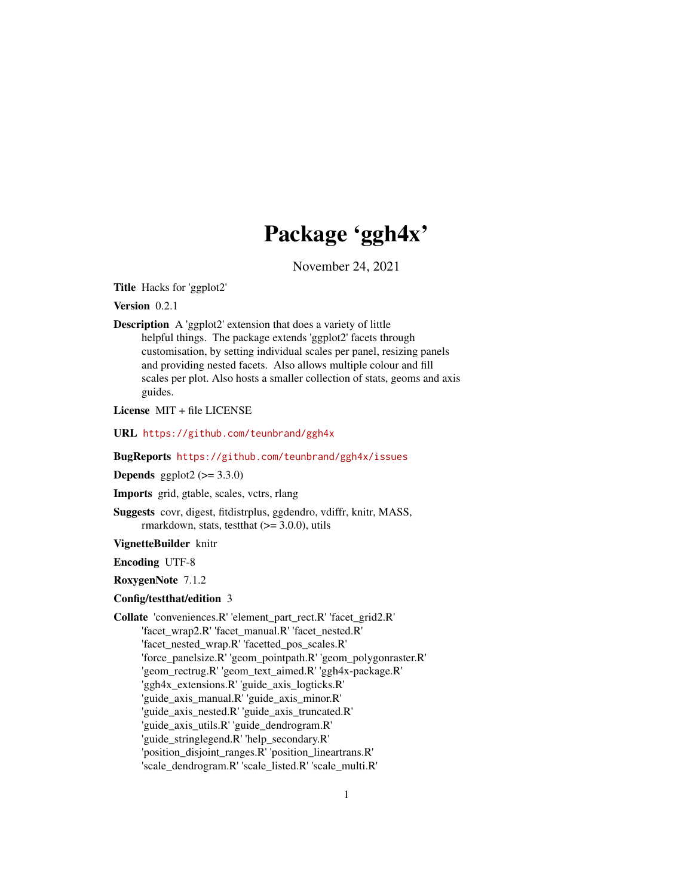# Package 'ggh4x'

November 24, 2021

<span id="page-0-0"></span>Title Hacks for 'ggplot2'

Version 0.2.1

Description A 'ggplot2' extension that does a variety of little helpful things. The package extends 'ggplot2' facets through customisation, by setting individual scales per panel, resizing panels and providing nested facets. Also allows multiple colour and fill scales per plot. Also hosts a smaller collection of stats, geoms and axis guides.

License MIT + file LICENSE

URL <https://github.com/teunbrand/ggh4x>

BugReports <https://github.com/teunbrand/ggh4x/issues>

**Depends** ggplot $2$  ( $>= 3.3.0$ )

Imports grid, gtable, scales, vctrs, rlang

Suggests covr, digest, fitdistrplus, ggdendro, vdiffr, knitr, MASS, rmarkdown, stats, test that  $(>= 3.0.0)$ , utils

VignetteBuilder knitr

Encoding UTF-8

RoxygenNote 7.1.2

### Config/testthat/edition 3

Collate 'conveniences.R' 'element\_part\_rect.R' 'facet\_grid2.R' 'facet\_wrap2.R' 'facet\_manual.R' 'facet\_nested.R' 'facet\_nested\_wrap.R' 'facetted\_pos\_scales.R' 'force\_panelsize.R' 'geom\_pointpath.R' 'geom\_polygonraster.R' 'geom\_rectrug.R' 'geom\_text\_aimed.R' 'ggh4x-package.R' 'ggh4x\_extensions.R' 'guide\_axis\_logticks.R' 'guide\_axis\_manual.R' 'guide\_axis\_minor.R' 'guide\_axis\_nested.R' 'guide\_axis\_truncated.R' 'guide\_axis\_utils.R' 'guide\_dendrogram.R' 'guide\_stringlegend.R' 'help\_secondary.R' 'position\_disjoint\_ranges.R' 'position\_lineartrans.R' 'scale\_dendrogram.R' 'scale\_listed.R' 'scale\_multi.R'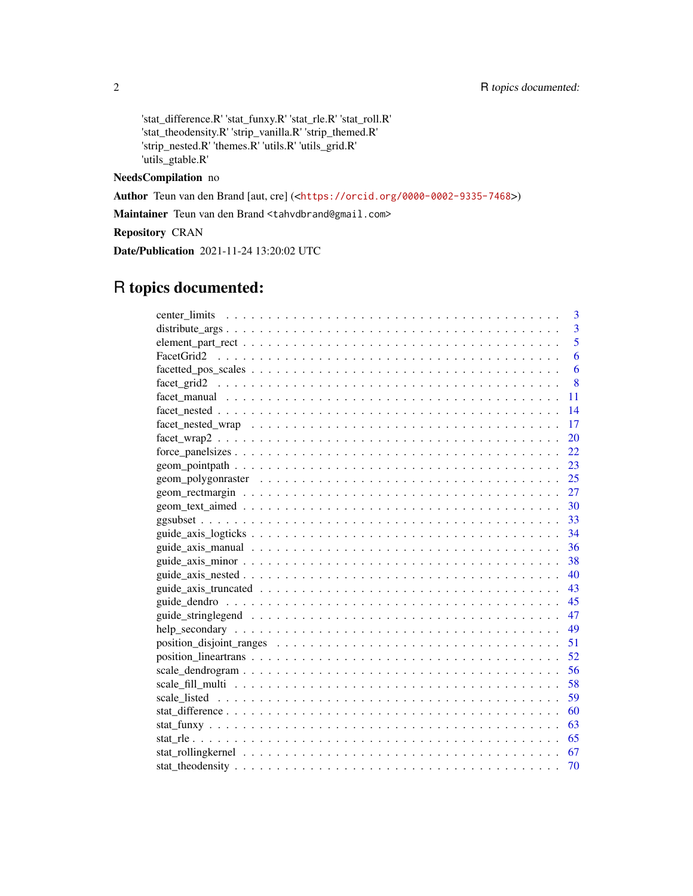'stat\_difference.R' 'stat\_funxy.R' 'stat\_rle.R' 'stat\_roll.R' 'stat\_theodensity.R' 'strip\_vanilla.R' 'strip\_themed.R' 'strip\_nested.R' 'themes.R' 'utils.R' 'utils\_grid.R' 'utils\_gtable.R'

### NeedsCompilation no

Author Teun van den Brand [aut, cre] (<<https://orcid.org/0000-0002-9335-7468>>)

Maintainer Teun van den Brand <tahvdbrand@gmail.com>

Repository CRAN

Date/Publication 2021-11-24 13:20:02 UTC

# R topics documented:

|     | 3 |
|-----|---|
|     | 3 |
|     | 5 |
|     | 6 |
|     | 6 |
|     | 8 |
| 11  |   |
| 14  |   |
| 17  |   |
| 20  |   |
| 22  |   |
| 23  |   |
|     |   |
| 27  |   |
|     |   |
|     |   |
|     |   |
|     |   |
| 38  |   |
| 40  |   |
| 43  |   |
| 45  |   |
| 47  |   |
| 49  |   |
| -51 |   |
|     |   |
|     |   |
|     |   |
| 59  |   |
| 60  |   |
| 63  |   |
|     |   |
|     |   |
| 70  |   |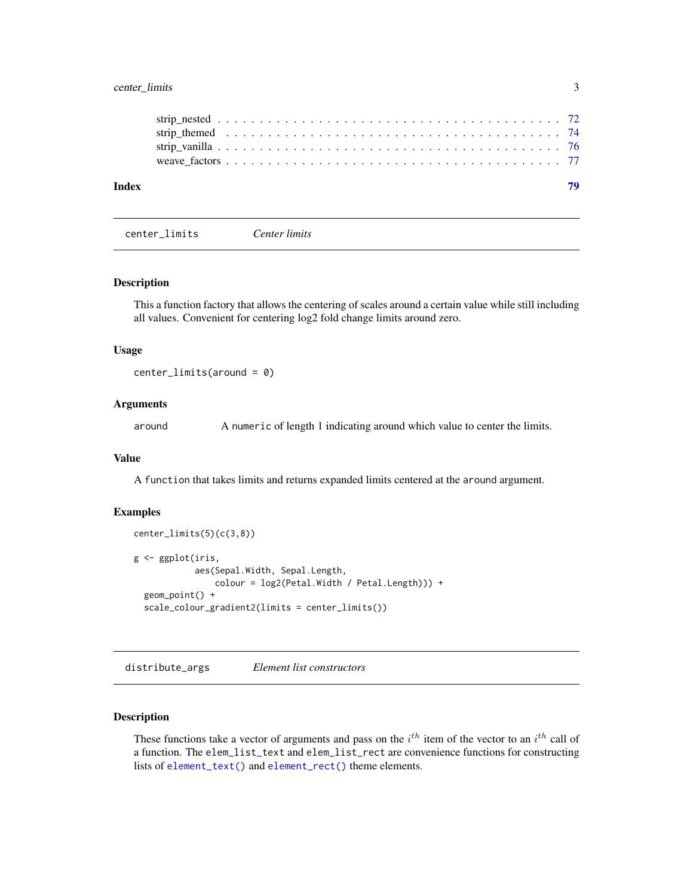### <span id="page-2-0"></span>center\_limits 3

| Index |  |  |  |  |  |  |  |  |  |  |  |  |  |  |  |  |
|-------|--|--|--|--|--|--|--|--|--|--|--|--|--|--|--|--|
|       |  |  |  |  |  |  |  |  |  |  |  |  |  |  |  |  |
|       |  |  |  |  |  |  |  |  |  |  |  |  |  |  |  |  |
|       |  |  |  |  |  |  |  |  |  |  |  |  |  |  |  |  |
|       |  |  |  |  |  |  |  |  |  |  |  |  |  |  |  |  |
|       |  |  |  |  |  |  |  |  |  |  |  |  |  |  |  |  |

center\_limits *Center limits*

#### Description

This a function factory that allows the centering of scales around a certain value while still including all values. Convenient for centering log2 fold change limits around zero.

#### Usage

```
center_limits(around = 0)
```
### Arguments

around A numeric of length 1 indicating around which value to center the limits.

#### Value

A function that takes limits and returns expanded limits centered at the around argument.

#### Examples

```
center_limits(5)(c(3,8))
g <- ggplot(iris,
            aes(Sepal.Width, Sepal.Length,
                colour = log2(Petal.Width / Petal.Length))) +
 geom_point() +
 scale_colour_gradient2(limits = center_limits())
```
distribute\_args *Element list constructors*

#### Description

These functions take a vector of arguments and pass on the  $i^{th}$  item of the vector to an  $i^{th}$  call of a function. The elem\_list\_text and elem\_list\_rect are convenience functions for constructing lists of [element\\_text\(\)](#page-0-0) and [element\\_rect\(\)](#page-0-0) theme elements.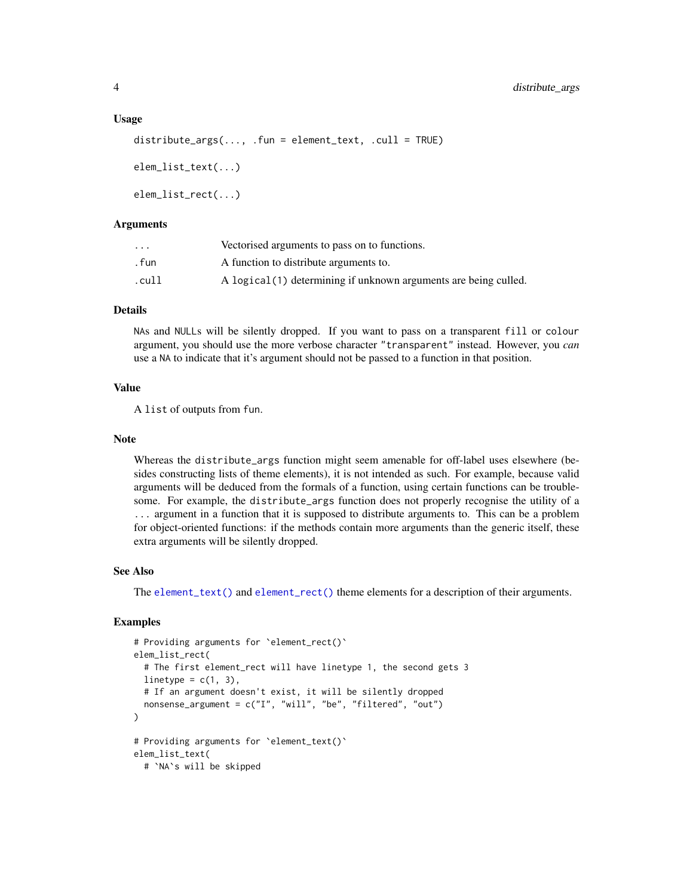#### Usage

```
distribute_{args}(\ldots, .fun = element_{text, .call = TRUE})elem_list_text(...)
elem_list_rect(...)
```
#### Arguments

| $\cdot$ $\cdot$ $\cdot$ | Vectorised arguments to pass on to functions.                    |
|-------------------------|------------------------------------------------------------------|
| . fun                   | A function to distribute arguments to.                           |
| .cull                   | A logical (1) determining if unknown arguments are being culled. |

#### Details

NAs and NULLs will be silently dropped. If you want to pass on a transparent fill or colour argument, you should use the more verbose character "transparent" instead. However, you *can* use a NA to indicate that it's argument should not be passed to a function in that position.

#### Value

A list of outputs from fun.

#### Note

Whereas the distribute\_args function might seem amenable for off-label uses elsewhere (besides constructing lists of theme elements), it is not intended as such. For example, because valid arguments will be deduced from the formals of a function, using certain functions can be troublesome. For example, the distribute\_args function does not properly recognise the utility of a ... argument in a function that it is supposed to distribute arguments to. This can be a problem for object-oriented functions: if the methods contain more arguments than the generic itself, these extra arguments will be silently dropped.

#### See Also

The [element\\_text\(\)](#page-0-0) and [element\\_rect\(\)](#page-0-0) theme elements for a description of their arguments.

#### Examples

```
# Providing arguments for `element_rect()`
elem_list_rect(
 # The first element_rect will have linetype 1, the second gets 3
 linetype = c(1, 3),
 # If an argument doesn't exist, it will be silently dropped
 nonsense_argument = c("I", "will", "be", "filtered", "out")
)
# Providing arguments for `element_text()`
elem_list_text(
 # `NA`s will be skipped
```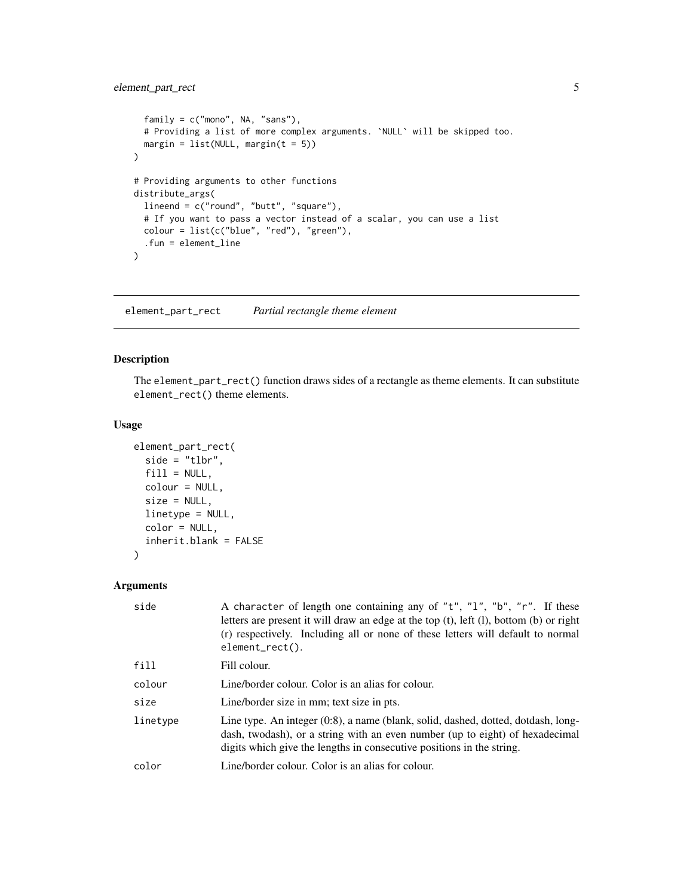### <span id="page-4-0"></span>element\_part\_rect 5

```
family = c("mono", NA, "sans"),
  # Providing a list of more complex arguments. `NULL` will be skipped too.
  margin = list(NULL, margin(t = 5)))
# Providing arguments to other functions
distribute_args(
  lineend = c("round", "butt", "square"),
  # If you want to pass a vector instead of a scalar, you can use a list
  colour = list(c("blue", "red"), "green"),
  .fun = element_line
\overline{)}
```
element\_part\_rect *Partial rectangle theme element*

#### Description

The element\_part\_rect() function draws sides of a rectangle as theme elements. It can substitute element\_rect() theme elements.

#### Usage

```
element_part_rect(
  side = "tlbr",
  fill = NULL,colour = NULL,
  size = NULL,
  linetype = NULL,
  color = NULL,
  inherit.blank = FALSE
)
```

```
Arguments
```

| side     | A character of length one containing any of "t", "1", "b", "r". If these<br>letters are present it will draw an edge at the top $(t)$ , left $(l)$ , bottom $(b)$ or right<br>(r) respectively. Including all or none of these letters will default to normal<br>$element\_rect()$ . |
|----------|--------------------------------------------------------------------------------------------------------------------------------------------------------------------------------------------------------------------------------------------------------------------------------------|
| fill     | Fill colour.                                                                                                                                                                                                                                                                         |
| colour   | Line/border colour. Color is an alias for colour.                                                                                                                                                                                                                                    |
| size     | Line/border size in mm; text size in pts.                                                                                                                                                                                                                                            |
| linetype | Line type. An integer (0:8), a name (blank, solid, dashed, dotted, dotdash, long-<br>dash, twodash), or a string with an even number (up to eight) of hexadecimal<br>digits which give the lengths in consecutive positions in the string.                                           |
| color    | Line/border colour. Color is an alias for colour.                                                                                                                                                                                                                                    |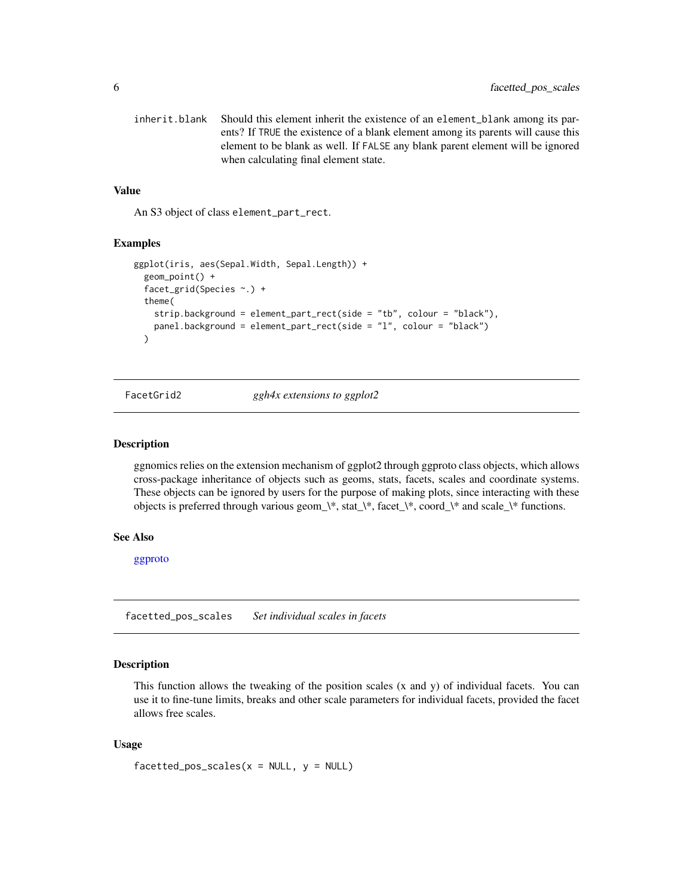<span id="page-5-0"></span>inherit.blank Should this element inherit the existence of an element\_blank among its parents? If TRUE the existence of a blank element among its parents will cause this element to be blank as well. If FALSE any blank parent element will be ignored when calculating final element state.

#### Value

An S3 object of class element\_part\_rect.

#### Examples

```
ggplot(iris, aes(Sepal.Width, Sepal.Length)) +
 geom_point() +
 facet_grid(Species ~.) +
 theme(
   strip.background = element_part_rect(side = "tb", colour = "black"),
   panel.background = element_part_rect(side = "l", colour = "black")
 \lambda
```
FacetGrid2 *ggh4x extensions to ggplot2*

#### Description

ggnomics relies on the extension mechanism of ggplot2 through ggproto class objects, which allows cross-package inheritance of objects such as geoms, stats, facets, scales and coordinate systems. These objects can be ignored by users for the purpose of making plots, since interacting with these objects is preferred through various geom\_\\*, stat\_\\*, facet\_\\*, coord\_\\* and scale\_\\* functions.

#### See Also

[ggproto](#page-0-0)

facetted\_pos\_scales *Set individual scales in facets*

#### Description

This function allows the tweaking of the position scales (x and y) of individual facets. You can use it to fine-tune limits, breaks and other scale parameters for individual facets, provided the facet allows free scales.

#### Usage

```
facetted_pos_scales(x = NULL, y = NULL)
```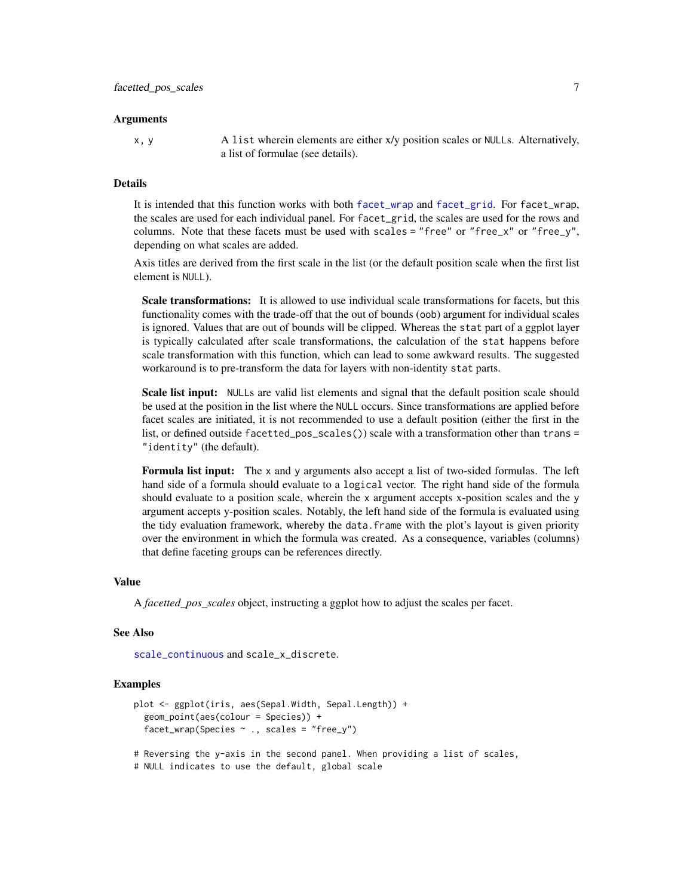#### Arguments

x, y A list wherein elements are either x/y position scales or NULLs. Alternatively, a list of formulae (see details).

#### Details

It is intended that this function works with both [facet\\_wrap](#page-0-0) and [facet\\_grid](#page-0-0). For facet\_wrap, the scales are used for each individual panel. For facet\_grid, the scales are used for the rows and columns. Note that these facets must be used with scales = "free" or "free\_x" or "free\_y", depending on what scales are added.

Axis titles are derived from the first scale in the list (or the default position scale when the first list element is NULL).

Scale transformations: It is allowed to use individual scale transformations for facets, but this functionality comes with the trade-off that the out of bounds (oob) argument for individual scales is ignored. Values that are out of bounds will be clipped. Whereas the stat part of a ggplot layer is typically calculated after scale transformations, the calculation of the stat happens before scale transformation with this function, which can lead to some awkward results. The suggested workaround is to pre-transform the data for layers with non-identity stat parts.

Scale list input: NULLs are valid list elements and signal that the default position scale should be used at the position in the list where the NULL occurs. Since transformations are applied before facet scales are initiated, it is not recommended to use a default position (either the first in the list, or defined outside facetted\_pos\_scales()) scale with a transformation other than trans = "identity" (the default).

Formula list input: The x and y arguments also accept a list of two-sided formulas. The left hand side of a formula should evaluate to a logical vector. The right hand side of the formula should evaluate to a position scale, wherein the x argument accepts x-position scales and the y argument accepts y-position scales. Notably, the left hand side of the formula is evaluated using the tidy evaluation framework, whereby the data.frame with the plot's layout is given priority over the environment in which the formula was created. As a consequence, variables (columns) that define faceting groups can be references directly.

#### Value

A *facetted\_pos\_scales* object, instructing a ggplot how to adjust the scales per facet.

#### See Also

[scale\\_continuous](#page-0-0) and scale\_x\_discrete.

#### Examples

```
plot <- ggplot(iris, aes(Sepal.Width, Sepal.Length)) +
 geom_point(aes(colour = Species)) +
  facet_wrap(Species ~ ~ ., scales = "free_y")
```
# Reversing the y-axis in the second panel. When providing a list of scales,

# NULL indicates to use the default, global scale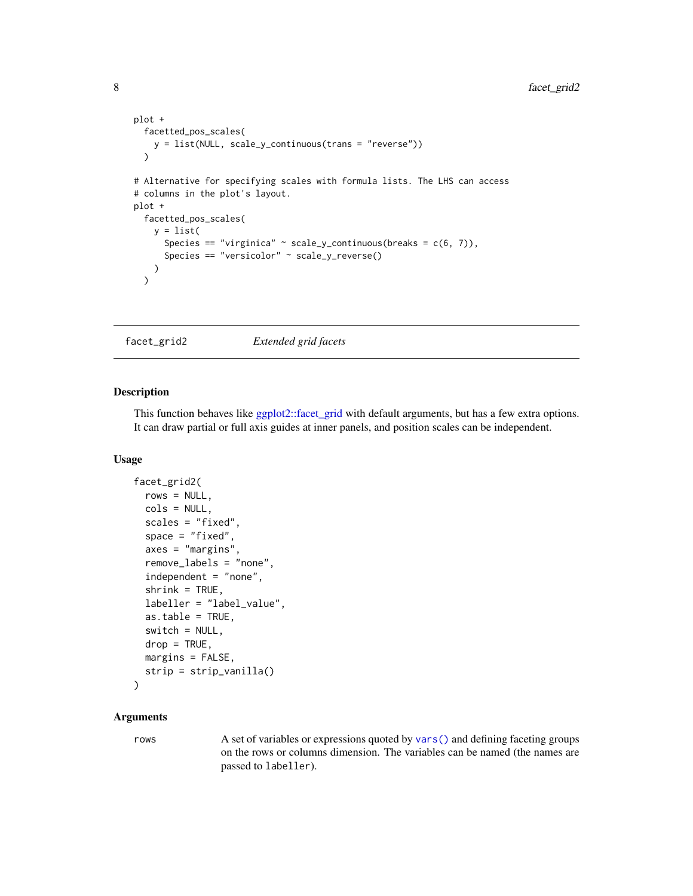```
plot +
 facetted_pos_scales(
   y = list(NULL, scale_y_continuous(trans = "reverse"))
 )
# Alternative for specifying scales with formula lists. The LHS can access
# columns in the plot's layout.
plot +
 facetted_pos_scales(
   y = list(Species == "virginica" \sim scale_y_continuous(breaks = c(6, 7)),
      Species == "versicolor" ~ scale_y_reverse()
   )
 \mathcal{L}
```
<span id="page-7-1"></span>facet\_grid2 *Extended grid facets*

### Description

This function behaves like [ggplot2::facet\\_grid](#page-0-0) with default arguments, but has a few extra options. It can draw partial or full axis guides at inner panels, and position scales can be independent.

#### Usage

```
facet_grid2(
  rows = NULL,cols = NULL,
  scales = "fixed",
  space = "fixed",
  axes = "margins",
  remove_labels = "none",
  independent = "none",
  shrink = TRUE,labeller = "label_value",
  as.table = TRUE,switch = NULL,drop = TRUE,
 margins = FALSE,
  strip = strip_vanilla()
)
```
### Arguments

rows A set of variables or expressions quoted by [vars\(\)](#page-0-0) and defining faceting groups on the rows or columns dimension. The variables can be named (the names are passed to labeller).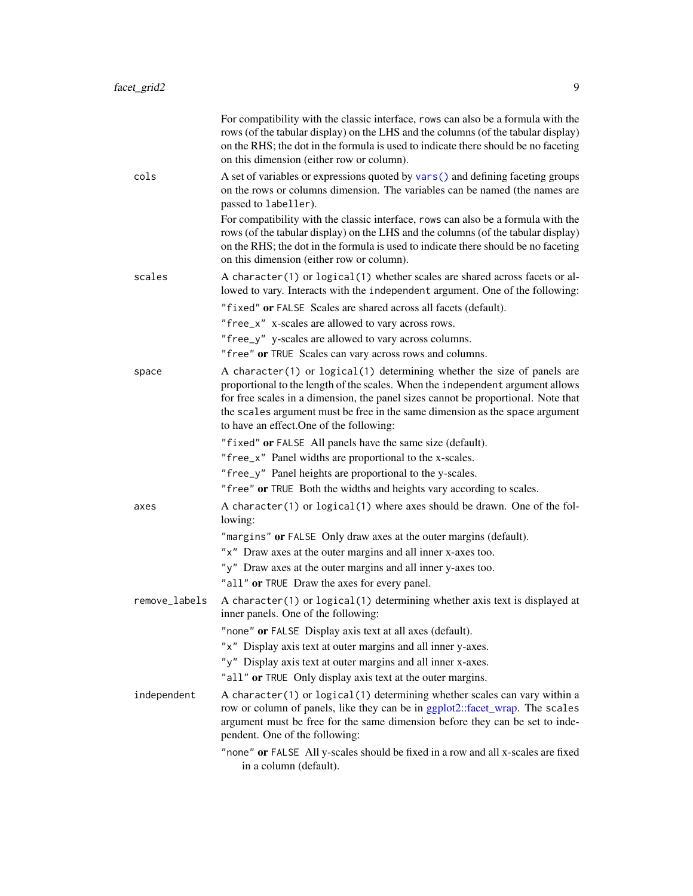|               | For compatibility with the classic interface, rows can also be a formula with the<br>rows (of the tabular display) on the LHS and the columns (of the tabular display)<br>on the RHS; the dot in the formula is used to indicate there should be no faceting<br>on this dimension (either row or column).                                                                  |
|---------------|----------------------------------------------------------------------------------------------------------------------------------------------------------------------------------------------------------------------------------------------------------------------------------------------------------------------------------------------------------------------------|
| cols          | A set of variables or expressions quoted by vars() and defining faceting groups<br>on the rows or columns dimension. The variables can be named (the names are<br>passed to labeller).                                                                                                                                                                                     |
|               | For compatibility with the classic interface, rows can also be a formula with the<br>rows (of the tabular display) on the LHS and the columns (of the tabular display)<br>on the RHS; the dot in the formula is used to indicate there should be no faceting<br>on this dimension (either row or column).                                                                  |
| scales        | A character(1) or logical(1) whether scales are shared across facets or al-<br>lowed to vary. Interacts with the independent argument. One of the following:                                                                                                                                                                                                               |
|               | "fixed" or FALSE Scales are shared across all facets (default).                                                                                                                                                                                                                                                                                                            |
|               | "free_x" x-scales are allowed to vary across rows.                                                                                                                                                                                                                                                                                                                         |
|               | "free_y" y-scales are allowed to vary across columns.                                                                                                                                                                                                                                                                                                                      |
|               | "free" or TRUE Scales can vary across rows and columns.                                                                                                                                                                                                                                                                                                                    |
| space         | A character(1) or logical(1) determining whether the size of panels are<br>proportional to the length of the scales. When the independent argument allows<br>for free scales in a dimension, the panel sizes cannot be proportional. Note that<br>the scales argument must be free in the same dimension as the space argument<br>to have an effect. One of the following: |
|               | "fixed" or FALSE All panels have the same size (default).                                                                                                                                                                                                                                                                                                                  |
|               | "free_x" Panel widths are proportional to the x-scales.                                                                                                                                                                                                                                                                                                                    |
|               | "free_y" Panel heights are proportional to the y-scales.                                                                                                                                                                                                                                                                                                                   |
|               | "free" or TRUE Both the widths and heights vary according to scales.                                                                                                                                                                                                                                                                                                       |
| axes          | A character(1) or logical(1) where axes should be drawn. One of the fol-<br>lowing:                                                                                                                                                                                                                                                                                        |
|               | "margins" or FALSE Only draw axes at the outer margins (default).                                                                                                                                                                                                                                                                                                          |
|               | "x" Draw axes at the outer margins and all inner x-axes too.                                                                                                                                                                                                                                                                                                               |
|               | "y" Draw axes at the outer margins and all inner y-axes too.                                                                                                                                                                                                                                                                                                               |
|               | "all" or TRUE Draw the axes for every panel.                                                                                                                                                                                                                                                                                                                               |
| remove_labels | A character(1) or logical(1) determining whether axis text is displayed at<br>inner panels. One of the following:                                                                                                                                                                                                                                                          |
|               | "none" or FALSE Display axis text at all axes (default).                                                                                                                                                                                                                                                                                                                   |
|               | "x" Display axis text at outer margins and all inner y-axes.                                                                                                                                                                                                                                                                                                               |
|               | "y" Display axis text at outer margins and all inner x-axes.                                                                                                                                                                                                                                                                                                               |
|               | "all" or TRUE Only display axis text at the outer margins.                                                                                                                                                                                                                                                                                                                 |
| independent   | A character(1) or logical(1) determining whether scales can vary within a<br>row or column of panels, like they can be in ggplot2::facet_wrap. The scales<br>argument must be free for the same dimension before they can be set to inde-<br>pendent. One of the following:                                                                                                |
|               | "none" or FALSE All y-scales should be fixed in a row and all x-scales are fixed<br>in a column (default).                                                                                                                                                                                                                                                                 |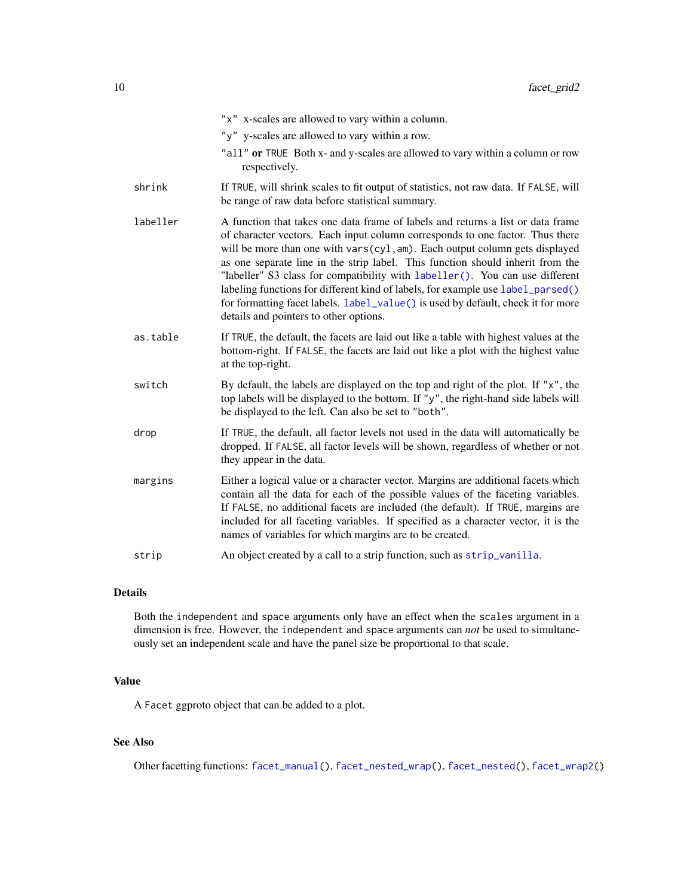|          | "x" x-scales are allowed to vary within a column.                                                                                                                                                                                                                                                                                                                                                                                                                                                                                                                                                                                  |
|----------|------------------------------------------------------------------------------------------------------------------------------------------------------------------------------------------------------------------------------------------------------------------------------------------------------------------------------------------------------------------------------------------------------------------------------------------------------------------------------------------------------------------------------------------------------------------------------------------------------------------------------------|
|          | "y" y-scales are allowed to vary within a row.                                                                                                                                                                                                                                                                                                                                                                                                                                                                                                                                                                                     |
|          | "all" or TRUE Both x- and y-scales are allowed to vary within a column or row<br>respectively.                                                                                                                                                                                                                                                                                                                                                                                                                                                                                                                                     |
| shrink   | If TRUE, will shrink scales to fit output of statistics, not raw data. If FALSE, will<br>be range of raw data before statistical summary.                                                                                                                                                                                                                                                                                                                                                                                                                                                                                          |
| labeller | A function that takes one data frame of labels and returns a list or data frame<br>of character vectors. Each input column corresponds to one factor. Thus there<br>will be more than one with vars(cyl, am). Each output column gets displayed<br>as one separate line in the strip label. This function should inherit from the<br>"labeller" S3 class for compatibility with labeller(). You can use different<br>labeling functions for different kind of labels, for example use label_parsed()<br>for formatting facet labels. label_value() is used by default, check it for more<br>details and pointers to other options. |
| as.table | If TRUE, the default, the facets are laid out like a table with highest values at the<br>bottom-right. If FALSE, the facets are laid out like a plot with the highest value<br>at the top-right.                                                                                                                                                                                                                                                                                                                                                                                                                                   |
| switch   | By default, the labels are displayed on the top and right of the plot. If " $x$ ", the<br>top labels will be displayed to the bottom. If "y", the right-hand side labels will<br>be displayed to the left. Can also be set to "both".                                                                                                                                                                                                                                                                                                                                                                                              |
| drop     | If TRUE, the default, all factor levels not used in the data will automatically be<br>dropped. If FALSE, all factor levels will be shown, regardless of whether or not<br>they appear in the data.                                                                                                                                                                                                                                                                                                                                                                                                                                 |
| margins  | Either a logical value or a character vector. Margins are additional facets which<br>contain all the data for each of the possible values of the faceting variables.<br>If FALSE, no additional facets are included (the default). If TRUE, margins are<br>included for all faceting variables. If specified as a character vector, it is the<br>names of variables for which margins are to be created.                                                                                                                                                                                                                           |
| strip    | An object created by a call to a strip function, such as strip_vanilla.                                                                                                                                                                                                                                                                                                                                                                                                                                                                                                                                                            |

Both the independent and space arguments only have an effect when the scales argument in a dimension is free. However, the independent and space arguments can *not* be used to simultaneously set an independent scale and have the panel size be proportional to that scale.

### Value

A Facet ggproto object that can be added to a plot.

## See Also

Other facetting functions: [facet\\_manual\(](#page-10-1)), [facet\\_nested\\_wrap\(](#page-16-1)), [facet\\_nested\(](#page-13-1)), [facet\\_wrap2\(](#page-19-1))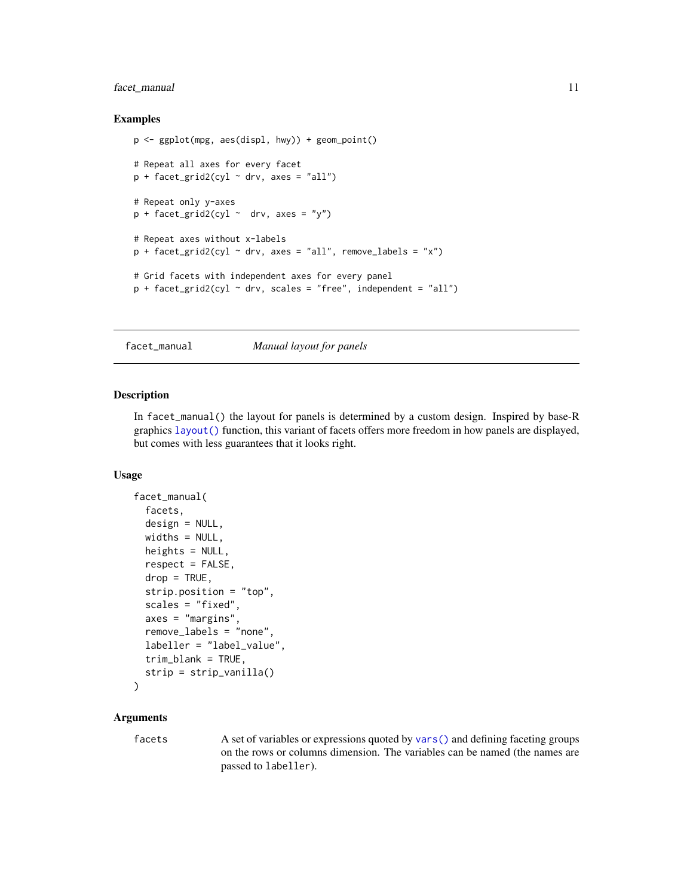### <span id="page-10-0"></span>facet\_manual 11

#### Examples

```
p <- ggplot(mpg, aes(displ, hwy)) + geom_point()
# Repeat all axes for every facet
p + facet_grid2(cyl ~ drv, axes = "all")
# Repeat only y-axes
p + facet_grid2(cyl ~ drv, axes = "y")
# Repeat axes without x-labels
p + facet_grid2(cyl ~ drv, axes = "all", remove_labels = "x")
# Grid facets with independent axes for every panel
p + facet_grid2(cyl ~ drv, scales = "free", independent = "all")
```
<span id="page-10-1"></span>facet\_manual *Manual layout for panels*

#### Description

In facet\_manual() the layout for panels is determined by a custom design. Inspired by base-R graphics [layout\(\)](#page-0-0) function, this variant of facets offers more freedom in how panels are displayed, but comes with less guarantees that it looks right.

#### Usage

```
facet_manual(
  facets,
  design = NULL,
 widths = NULL,heights = NULL,
  respect = FALSE,drop = TRUE,strip.position = "top",
  scales = "fixed",
  axes = "margins",
  remove_labels = "none",
  labeller = "label_value",
  trim_blank = TRUE,
  strip = strip_vanilla()
\lambda
```
### Arguments

facets A set of variables or expressions quoted by [vars\(\)](#page-0-0) and defining faceting groups on the rows or columns dimension. The variables can be named (the names are passed to labeller).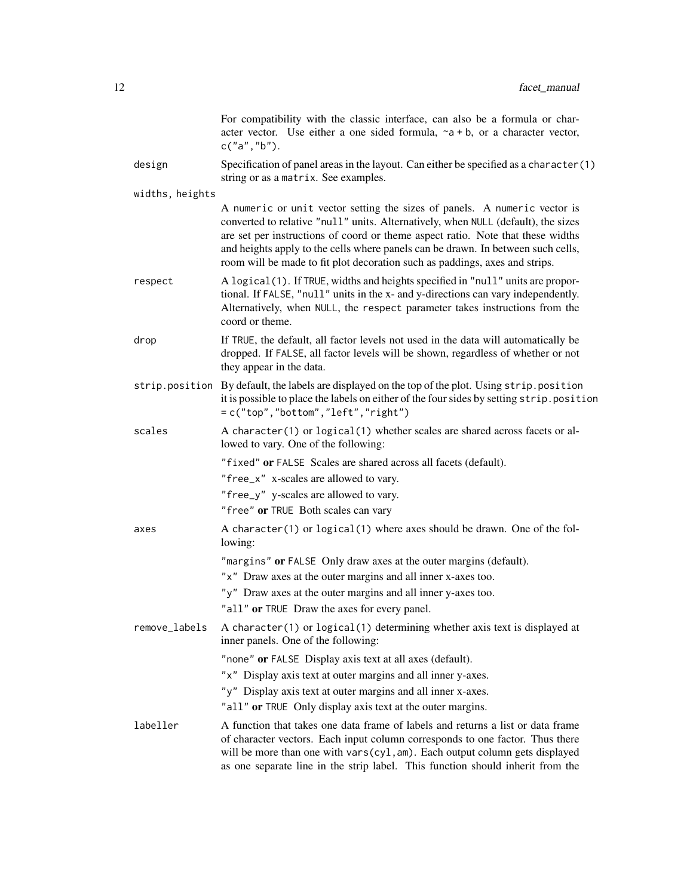|                 | For compatibility with the classic interface, can also be a formula or char-<br>acter vector. Use either a one sided formula, $\sim a + b$ , or a character vector,<br>c("a", "b").                                                                                                                                                                                                                                  |
|-----------------|----------------------------------------------------------------------------------------------------------------------------------------------------------------------------------------------------------------------------------------------------------------------------------------------------------------------------------------------------------------------------------------------------------------------|
| design          | Specification of panel areas in the layout. Can either be specified as a character(1)<br>string or as a matrix. See examples.                                                                                                                                                                                                                                                                                        |
| widths, heights |                                                                                                                                                                                                                                                                                                                                                                                                                      |
|                 | A numeric or unit vector setting the sizes of panels. A numeric vector is<br>converted to relative "null" units. Alternatively, when NULL (default), the sizes<br>are set per instructions of coord or theme aspect ratio. Note that these widths<br>and heights apply to the cells where panels can be drawn. In between such cells,<br>room will be made to fit plot decoration such as paddings, axes and strips. |
| respect         | A logical(1). If TRUE, widths and heights specified in "null" units are propor-<br>tional. If FALSE, "null" units in the x- and y-directions can vary independently.<br>Alternatively, when NULL, the respect parameter takes instructions from the<br>coord or theme.                                                                                                                                               |
| drop            | If TRUE, the default, all factor levels not used in the data will automatically be<br>dropped. If FALSE, all factor levels will be shown, regardless of whether or not<br>they appear in the data.                                                                                                                                                                                                                   |
|                 | strip.position By default, the labels are displayed on the top of the plot. Using strip.position<br>it is possible to place the labels on either of the four sides by setting strip. position<br>$=c("top", "bottom", "left", "right")$                                                                                                                                                                              |
| scales          | A character(1) or logical(1) whether scales are shared across facets or al-<br>lowed to vary. One of the following:                                                                                                                                                                                                                                                                                                  |
|                 | "fixed" or FALSE Scales are shared across all facets (default).                                                                                                                                                                                                                                                                                                                                                      |
|                 | "free_x" x-scales are allowed to vary.                                                                                                                                                                                                                                                                                                                                                                               |
|                 | "free_y" y-scales are allowed to vary.                                                                                                                                                                                                                                                                                                                                                                               |
|                 | "free" or TRUE Both scales can vary                                                                                                                                                                                                                                                                                                                                                                                  |
| axes            | A character(1) or logical(1) where axes should be drawn. One of the fol-<br>lowing:                                                                                                                                                                                                                                                                                                                                  |
|                 | "margins" or FALSE Only draw axes at the outer margins (default).                                                                                                                                                                                                                                                                                                                                                    |
|                 | "x" Draw axes at the outer margins and all inner x-axes too.                                                                                                                                                                                                                                                                                                                                                         |
|                 | "y" Draw axes at the outer margins and all inner y-axes too.                                                                                                                                                                                                                                                                                                                                                         |
|                 | "all" or TRUE Draw the axes for every panel.                                                                                                                                                                                                                                                                                                                                                                         |
| remove_labels   | A character(1) or logical(1) determining whether axis text is displayed at<br>inner panels. One of the following:                                                                                                                                                                                                                                                                                                    |
|                 | "none" or FALSE Display axis text at all axes (default).                                                                                                                                                                                                                                                                                                                                                             |
|                 | "x" Display axis text at outer margins and all inner y-axes.                                                                                                                                                                                                                                                                                                                                                         |
|                 | "y" Display axis text at outer margins and all inner x-axes.                                                                                                                                                                                                                                                                                                                                                         |
|                 | "all" or TRUE Only display axis text at the outer margins.                                                                                                                                                                                                                                                                                                                                                           |
| labeller        | A function that takes one data frame of labels and returns a list or data frame<br>of character vectors. Each input column corresponds to one factor. Thus there<br>will be more than one with vars(cyl, am). Each output column gets displayed<br>as one separate line in the strip label. This function should inherit from the                                                                                    |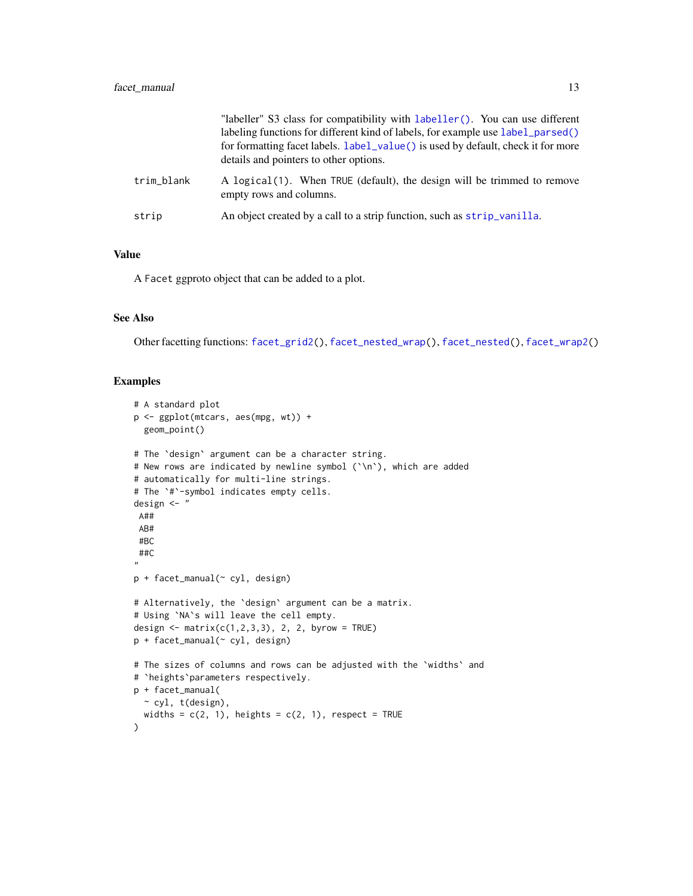|            | "labeller" S3 class for compatibility with labeller(). You can use different<br>labeling functions for different kind of labels, for example use label_parsed()<br>for formatting facet labels. label_value() is used by default, check it for more<br>details and pointers to other options. |
|------------|-----------------------------------------------------------------------------------------------------------------------------------------------------------------------------------------------------------------------------------------------------------------------------------------------|
| trim_blank | A logical(1). When TRUE (default), the design will be trimmed to remove<br>empty rows and columns.                                                                                                                                                                                            |
| strip      | An object created by a call to a strip function, such as strip_vanilla.                                                                                                                                                                                                                       |

### Value

A Facet ggproto object that can be added to a plot.

### See Also

Other facetting functions: [facet\\_grid2\(](#page-7-1)), [facet\\_nested\\_wrap\(](#page-16-1)), [facet\\_nested\(](#page-13-1)), [facet\\_wrap2\(](#page-19-1))

#### Examples

```
# A standard plot
p <- ggplot(mtcars, aes(mpg, wt)) +
  geom_point()
# The `design` argument can be a character string.
# New rows are indicated by newline symbol (`\n`), which are added
# automatically for multi-line strings.
# The `#`-symbol indicates empty cells.
design <- "
A##
 AB#
 #BC
 ##C
"p + facet_manual(~ cyl, design)
# Alternatively, the `design` argument can be a matrix.
# Using `NA`s will leave the cell empty.
design <- matrix(c(1,2,3,3), 2, 2, byrow = TRUE)
p + facet_manual(~ cyl, design)
# The sizes of columns and rows can be adjusted with the `widths` and
# `heights`parameters respectively.
p + facet_manual(
  ~ cyl, t(design),
  widths = c(2, 1), heights = c(2, 1), respect = TRUE
)
```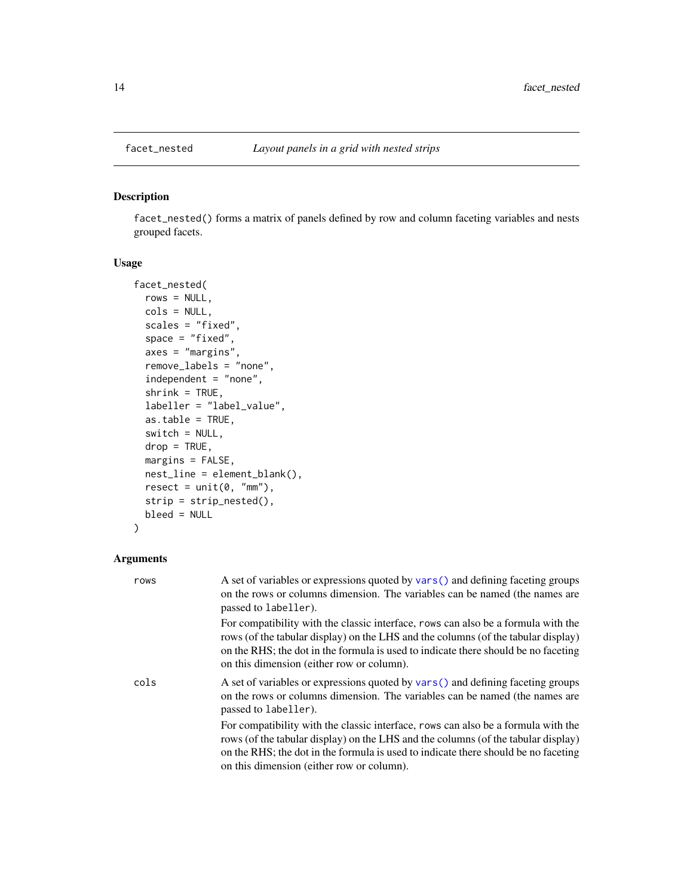#### Description

facet\_nested() forms a matrix of panels defined by row and column faceting variables and nests grouped facets.

### Usage

```
facet_nested(
  rows = NULL,cols = NULL,
 scales = "fixed",
  space = "fixed",axes = "margins",
  remove_labels = "none",
  independent = "none",
  shrink = TRUE,
  labeller = "label_value",
 as.table = TRUE,
 switch = NULL,
 drop = TRUE,margins = FALSE,
 nest_line = element_blank(),
 reset = unit(0, "mm"),
  strip = strip_nested(),
 bleed = NULL
)
```

| rows | A set of variables or expressions quoted by vars () and defining faceting groups<br>on the rows or columns dimension. The variables can be named (the names are<br>passed to labeller).                                                                                                                   |
|------|-----------------------------------------------------------------------------------------------------------------------------------------------------------------------------------------------------------------------------------------------------------------------------------------------------------|
|      | For compatibility with the classic interface, rows can also be a formula with the<br>rows (of the tabular display) on the LHS and the columns (of the tabular display)<br>on the RHS; the dot in the formula is used to indicate there should be no faceting<br>on this dimension (either row or column). |
| cols | A set of variables or expressions quoted by vars () and defining faceting groups<br>on the rows or columns dimension. The variables can be named (the names are<br>passed to labeller).                                                                                                                   |
|      | For compatibility with the classic interface, rows can also be a formula with the<br>rows (of the tabular display) on the LHS and the columns (of the tabular display)<br>on the RHS; the dot in the formula is used to indicate there should be no faceting<br>on this dimension (either row or column). |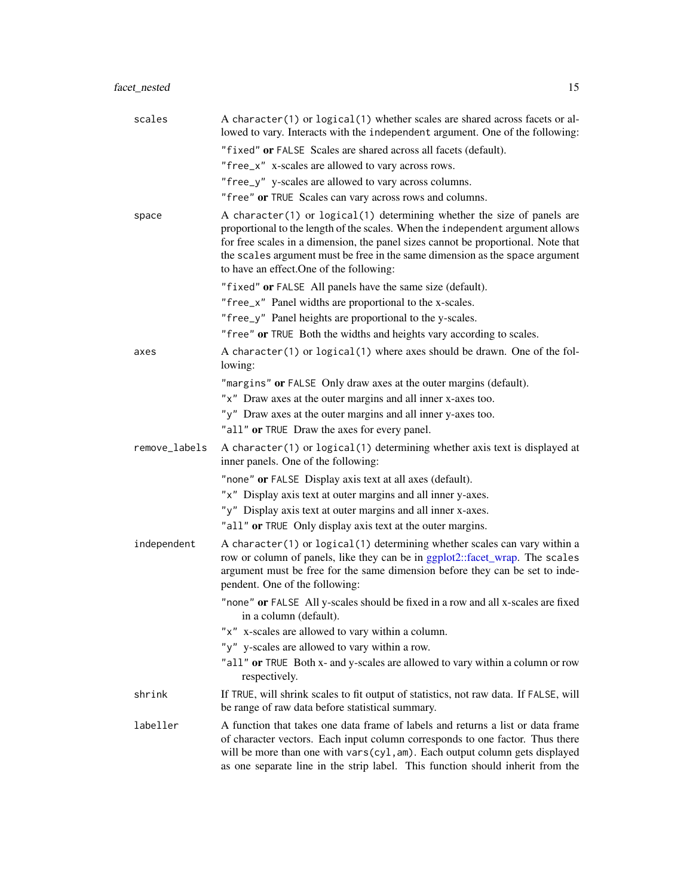| scales        | A character(1) or logical(1) whether scales are shared across facets or al-<br>lowed to vary. Interacts with the independent argument. One of the following:                                                                                                                                                                                                               |
|---------------|----------------------------------------------------------------------------------------------------------------------------------------------------------------------------------------------------------------------------------------------------------------------------------------------------------------------------------------------------------------------------|
|               | "fixed" or FALSE Scales are shared across all facets (default).                                                                                                                                                                                                                                                                                                            |
|               | "free_x" x-scales are allowed to vary across rows.                                                                                                                                                                                                                                                                                                                         |
|               | "free_y" y-scales are allowed to vary across columns.                                                                                                                                                                                                                                                                                                                      |
|               | "free" or TRUE Scales can vary across rows and columns.                                                                                                                                                                                                                                                                                                                    |
| space         | A character(1) or logical(1) determining whether the size of panels are<br>proportional to the length of the scales. When the independent argument allows<br>for free scales in a dimension, the panel sizes cannot be proportional. Note that<br>the scales argument must be free in the same dimension as the space argument<br>to have an effect. One of the following: |
|               | "fixed" or FALSE All panels have the same size (default).                                                                                                                                                                                                                                                                                                                  |
|               | "free_x" Panel widths are proportional to the x-scales.                                                                                                                                                                                                                                                                                                                    |
|               | "free_y" Panel heights are proportional to the y-scales.                                                                                                                                                                                                                                                                                                                   |
|               | "free" or TRUE Both the widths and heights vary according to scales.                                                                                                                                                                                                                                                                                                       |
| axes          | A character(1) or logical(1) where axes should be drawn. One of the fol-<br>lowing:                                                                                                                                                                                                                                                                                        |
|               | "margins" or FALSE Only draw axes at the outer margins (default).                                                                                                                                                                                                                                                                                                          |
|               | "x" Draw axes at the outer margins and all inner x-axes too.                                                                                                                                                                                                                                                                                                               |
|               | "y" Draw axes at the outer margins and all inner y-axes too.                                                                                                                                                                                                                                                                                                               |
|               | "all" or TRUE Draw the axes for every panel.                                                                                                                                                                                                                                                                                                                               |
| remove_labels | A character(1) or logical(1) determining whether axis text is displayed at<br>inner panels. One of the following:                                                                                                                                                                                                                                                          |
|               | "none" or FALSE Display axis text at all axes (default).                                                                                                                                                                                                                                                                                                                   |
|               | "x" Display axis text at outer margins and all inner y-axes.                                                                                                                                                                                                                                                                                                               |
|               | "y" Display axis text at outer margins and all inner x-axes.                                                                                                                                                                                                                                                                                                               |
|               | "all" or TRUE Only display axis text at the outer margins.                                                                                                                                                                                                                                                                                                                 |
| independent   | A character(1) or logical(1) determining whether scales can vary within a<br>row or column of panels, like they can be in ggplot2::facet_wrap. The scales<br>argument must be free for the same dimension before they can be set to inde-<br>pendent. One of the following:                                                                                                |
|               | "none" or FALSE All y-scales should be fixed in a row and all x-scales are fixed<br>in a column (default).                                                                                                                                                                                                                                                                 |
|               | "x" x-scales are allowed to vary within a column.                                                                                                                                                                                                                                                                                                                          |
|               | "y" y-scales are allowed to vary within a row.                                                                                                                                                                                                                                                                                                                             |
|               | "all" or TRUE Both x- and y-scales are allowed to vary within a column or row<br>respectively.                                                                                                                                                                                                                                                                             |
| shrink        | If TRUE, will shrink scales to fit output of statistics, not raw data. If FALSE, will<br>be range of raw data before statistical summary.                                                                                                                                                                                                                                  |
| labeller      | A function that takes one data frame of labels and returns a list or data frame<br>of character vectors. Each input column corresponds to one factor. Thus there<br>will be more than one with vars(cyl, am). Each output column gets displayed<br>as one separate line in the strip label. This function should inherit from the                                          |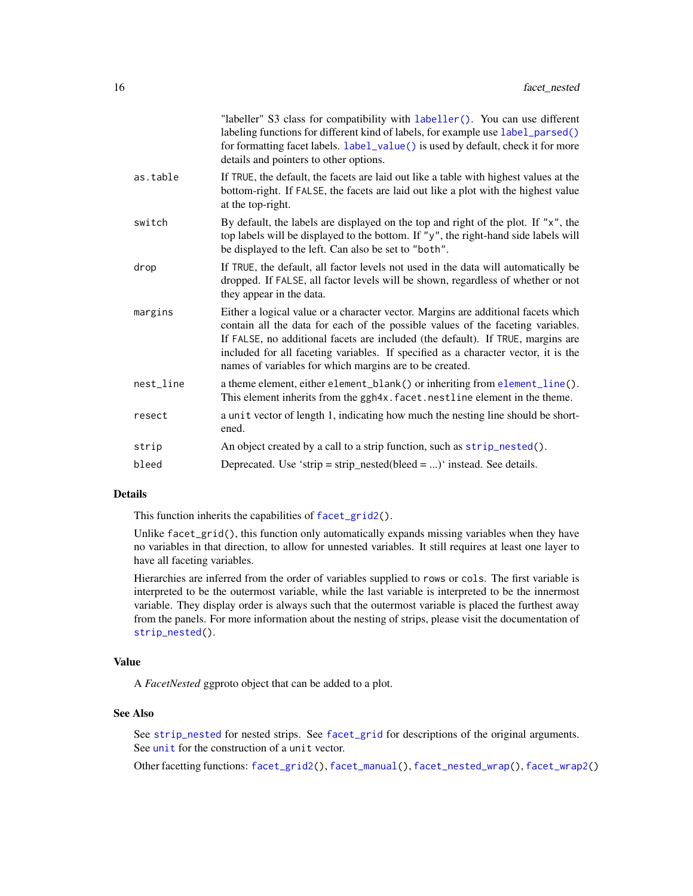|           | "labeller" S3 class for compatibility with labeller(). You can use different<br>labeling functions for different kind of labels, for example use label_parsed()<br>for formatting facet labels. label_value() is used by default, check it for more<br>details and pointers to other options.                                                                                                            |
|-----------|----------------------------------------------------------------------------------------------------------------------------------------------------------------------------------------------------------------------------------------------------------------------------------------------------------------------------------------------------------------------------------------------------------|
| as.table  | If TRUE, the default, the facets are laid out like a table with highest values at the<br>bottom-right. If FALSE, the facets are laid out like a plot with the highest value<br>at the top-right.                                                                                                                                                                                                         |
| switch    | By default, the labels are displayed on the top and right of the plot. If "x", the<br>top labels will be displayed to the bottom. If "y", the right-hand side labels will<br>be displayed to the left. Can also be set to "both".                                                                                                                                                                        |
| drop      | If TRUE, the default, all factor levels not used in the data will automatically be<br>dropped. If FALSE, all factor levels will be shown, regardless of whether or not<br>they appear in the data.                                                                                                                                                                                                       |
| margins   | Either a logical value or a character vector. Margins are additional facets which<br>contain all the data for each of the possible values of the faceting variables.<br>If FALSE, no additional facets are included (the default). If TRUE, margins are<br>included for all faceting variables. If specified as a character vector, it is the<br>names of variables for which margins are to be created. |
| nest_line | a theme element, either element_blank() or inheriting from element_line().<br>This element inherits from the ggh4x. facet. nestline element in the theme.                                                                                                                                                                                                                                                |
| resect    | a unit vector of length 1, indicating how much the nesting line should be short-<br>ened.                                                                                                                                                                                                                                                                                                                |
| strip     | An object created by a call to a strip function, such as strip_nested().                                                                                                                                                                                                                                                                                                                                 |
| bleed     | Deprecated. Use 'strip = strip_nested(bleed = )' instead. See details.                                                                                                                                                                                                                                                                                                                                   |
|           |                                                                                                                                                                                                                                                                                                                                                                                                          |

This function inherits the capabilities of [facet\\_grid2\(](#page-7-1)).

Unlike facet\_grid(), this function only automatically expands missing variables when they have no variables in that direction, to allow for unnested variables. It still requires at least one layer to have all faceting variables.

Hierarchies are inferred from the order of variables supplied to rows or cols. The first variable is interpreted to be the outermost variable, while the last variable is interpreted to be the innermost variable. They display order is always such that the outermost variable is placed the furthest away from the panels. For more information about the nesting of strips, please visit the documentation of [strip\\_nested\(](#page-71-1)).

#### Value

A *FacetNested* ggproto object that can be added to a plot.

#### See Also

See [strip\\_nested](#page-71-1) for nested strips. See [facet\\_grid](#page-0-0) for descriptions of the original arguments. See [unit](#page-0-0) for the construction of a unit vector.

Other facetting functions: [facet\\_grid2\(](#page-7-1)), [facet\\_manual\(](#page-10-1)), [facet\\_nested\\_wrap\(](#page-16-1)), [facet\\_wrap2\(](#page-19-1))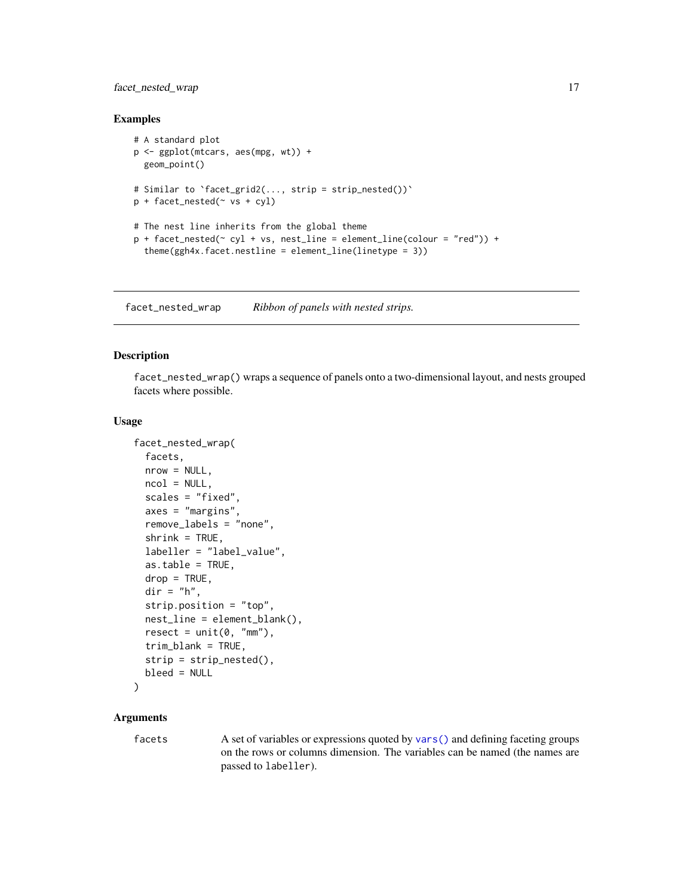### <span id="page-16-0"></span>facet\_nested\_wrap 17

#### Examples

```
# A standard plot
p <- ggplot(mtcars, aes(mpg, wt)) +
  geom_point()
# Similar to `facet_grid2(..., strip = strip_nested())`
p + facet_nested(\sim vs + cyl)
# The nest line inherits from the global theme
p + \text{facet\_nested}(\sim cyl + vs, \text{nest\_line} = \text{element\_line}(\text{colour} = \text{"red"})) +theme(ggh4x.facet.nestline = element_line(linetype = 3))
```
<span id="page-16-1"></span>facet\_nested\_wrap *Ribbon of panels with nested strips.*

#### Description

facet\_nested\_wrap() wraps a sequence of panels onto a two-dimensional layout, and nests grouped facets where possible.

#### Usage

```
facet_nested_wrap(
  facets,
  nrow = NULL,
  ncol = NULL,
  scales = "fixed",
  axes = "margins",remove_labels = "none",
  shrink = TRUE,labeller = "label_value",
  as.table = TRUE,
  drop = TRUE,dir = "h",strip.position = "top",
  nest_line = element_blank(),
  reset = unit(0, "mm"),
  trim_blank = TRUE,
  strip = strip_nested(),
  bleed = NULL
)
```
### Arguments

facets A set of variables or expressions quoted by [vars\(\)](#page-0-0) and defining faceting groups on the rows or columns dimension. The variables can be named (the names are passed to labeller).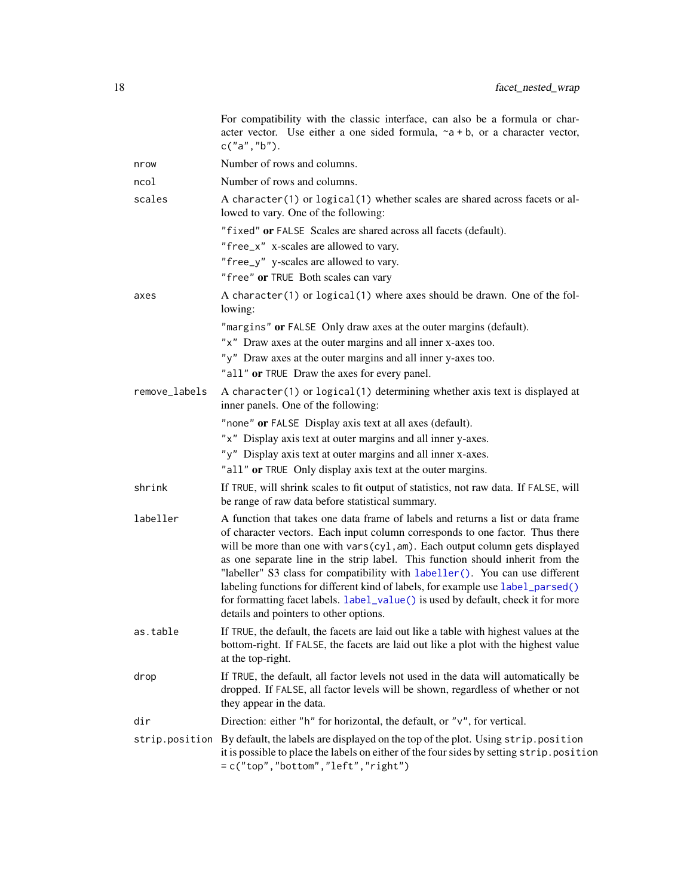|               | For compatibility with the classic interface, can also be a formula or char-<br>acter vector. Use either a one sided formula, $\sim a + b$ , or a character vector,<br>c("a", "b").                                                                                                                                                                                                                                                                                                                                                                                                                                                |
|---------------|------------------------------------------------------------------------------------------------------------------------------------------------------------------------------------------------------------------------------------------------------------------------------------------------------------------------------------------------------------------------------------------------------------------------------------------------------------------------------------------------------------------------------------------------------------------------------------------------------------------------------------|
| nrow          | Number of rows and columns.                                                                                                                                                                                                                                                                                                                                                                                                                                                                                                                                                                                                        |
| ncol          | Number of rows and columns.                                                                                                                                                                                                                                                                                                                                                                                                                                                                                                                                                                                                        |
| scales        | A character(1) or logical(1) whether scales are shared across facets or al-<br>lowed to vary. One of the following:                                                                                                                                                                                                                                                                                                                                                                                                                                                                                                                |
|               | "fixed" or FALSE Scales are shared across all facets (default).                                                                                                                                                                                                                                                                                                                                                                                                                                                                                                                                                                    |
|               | "free_x" x-scales are allowed to vary.                                                                                                                                                                                                                                                                                                                                                                                                                                                                                                                                                                                             |
|               | "free_y" y-scales are allowed to vary.                                                                                                                                                                                                                                                                                                                                                                                                                                                                                                                                                                                             |
|               | "free" or TRUE Both scales can vary                                                                                                                                                                                                                                                                                                                                                                                                                                                                                                                                                                                                |
| axes          | A character(1) or logical(1) where axes should be drawn. One of the fol-<br>lowing:                                                                                                                                                                                                                                                                                                                                                                                                                                                                                                                                                |
|               | "margins" or FALSE Only draw axes at the outer margins (default).                                                                                                                                                                                                                                                                                                                                                                                                                                                                                                                                                                  |
|               | "x" Draw axes at the outer margins and all inner x-axes too.                                                                                                                                                                                                                                                                                                                                                                                                                                                                                                                                                                       |
|               | "y" Draw axes at the outer margins and all inner y-axes too.                                                                                                                                                                                                                                                                                                                                                                                                                                                                                                                                                                       |
|               | "all" or TRUE Draw the axes for every panel.                                                                                                                                                                                                                                                                                                                                                                                                                                                                                                                                                                                       |
| remove_labels | A character(1) or logical(1) determining whether axis text is displayed at<br>inner panels. One of the following:                                                                                                                                                                                                                                                                                                                                                                                                                                                                                                                  |
|               | "none" or FALSE Display axis text at all axes (default).                                                                                                                                                                                                                                                                                                                                                                                                                                                                                                                                                                           |
|               | "x" Display axis text at outer margins and all inner y-axes.                                                                                                                                                                                                                                                                                                                                                                                                                                                                                                                                                                       |
|               | "y" Display axis text at outer margins and all inner x-axes.                                                                                                                                                                                                                                                                                                                                                                                                                                                                                                                                                                       |
|               | "all" or TRUE Only display axis text at the outer margins.                                                                                                                                                                                                                                                                                                                                                                                                                                                                                                                                                                         |
| shrink        | If TRUE, will shrink scales to fit output of statistics, not raw data. If FALSE, will<br>be range of raw data before statistical summary.                                                                                                                                                                                                                                                                                                                                                                                                                                                                                          |
| labeller      | A function that takes one data frame of labels and returns a list or data frame<br>of character vectors. Each input column corresponds to one factor. Thus there<br>will be more than one with vars(cyl, am). Each output column gets displayed<br>as one separate line in the strip label. This function should inherit from the<br>"labeller" S3 class for compatibility with labeller(). You can use different<br>labeling functions for different kind of labels, for example use label_parsed()<br>for formatting facet labels. label_value() is used by default, check it for more<br>details and pointers to other options. |
| as.table      | If TRUE, the default, the facets are laid out like a table with highest values at the<br>bottom-right. If FALSE, the facets are laid out like a plot with the highest value<br>at the top-right.                                                                                                                                                                                                                                                                                                                                                                                                                                   |
| drop          | If TRUE, the default, all factor levels not used in the data will automatically be<br>dropped. If FALSE, all factor levels will be shown, regardless of whether or not<br>they appear in the data.                                                                                                                                                                                                                                                                                                                                                                                                                                 |
| dir           | Direction: either "h" for horizontal, the default, or "v", for vertical.                                                                                                                                                                                                                                                                                                                                                                                                                                                                                                                                                           |
|               | strip.position By default, the labels are displayed on the top of the plot. Using strip.position<br>it is possible to place the labels on either of the four sides by setting strip. position<br>$= c("top", "bottom", "left", "right")$                                                                                                                                                                                                                                                                                                                                                                                           |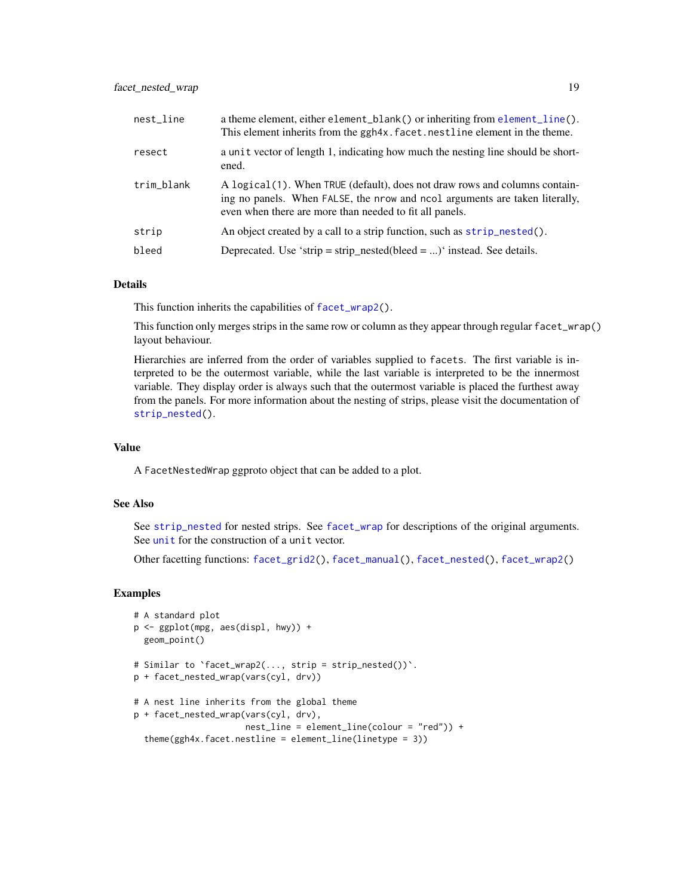| nest_line  | a theme element, either element_blank() or inheriting from element_line().<br>This element inherits from the ggh4x. facet. nestline element in the theme.                                                             |
|------------|-----------------------------------------------------------------------------------------------------------------------------------------------------------------------------------------------------------------------|
| resect     | a unit vector of length 1, indicating how much the nesting line should be short-<br>ened.                                                                                                                             |
| trim_blank | A logical (1). When TRUE (default), does not draw rows and columns contain-<br>ing no panels. When FALSE, the nrow and nool arguments are taken literally,<br>even when there are more than needed to fit all panels. |
| strip      | An object created by a call to a strip function, such as strip_nested().                                                                                                                                              |
| bleed      | Deprecated. Use 'strip = strip_nested(bleed = )' instead. See details.                                                                                                                                                |

This function inherits the capabilities of [facet\\_wrap2\(](#page-19-1)).

This function only merges strips in the same row or column as they appear through regular facet\_wrap() layout behaviour.

Hierarchies are inferred from the order of variables supplied to facets. The first variable is interpreted to be the outermost variable, while the last variable is interpreted to be the innermost variable. They display order is always such that the outermost variable is placed the furthest away from the panels. For more information about the nesting of strips, please visit the documentation of [strip\\_nested\(](#page-71-1)).

### Value

A FacetNestedWrap ggproto object that can be added to a plot.

### See Also

See [strip\\_nested](#page-71-1) for nested strips. See [facet\\_wrap](#page-0-0) for descriptions of the original arguments. See [unit](#page-0-0) for the construction of a unit vector.

Other facetting functions: [facet\\_grid2\(](#page-7-1)), [facet\\_manual\(](#page-10-1)), [facet\\_nested\(](#page-13-1)), [facet\\_wrap2\(](#page-19-1))

#### Examples

```
# A standard plot
p <- ggplot(mpg, aes(displ, hwy)) +
 geom_point()
# Similar to `facet_wrap2(..., strip = strip_nested())`.
p + facet_nested_wrap(vars(cyl, drv))
# A nest line inherits from the global theme
p + facet_nested_wrap(vars(cyl, drv),
                     nest_line = element_line(colour = "red")) +
 theme(ggh4x.facet.nestline = element_line(linetype = 3))
```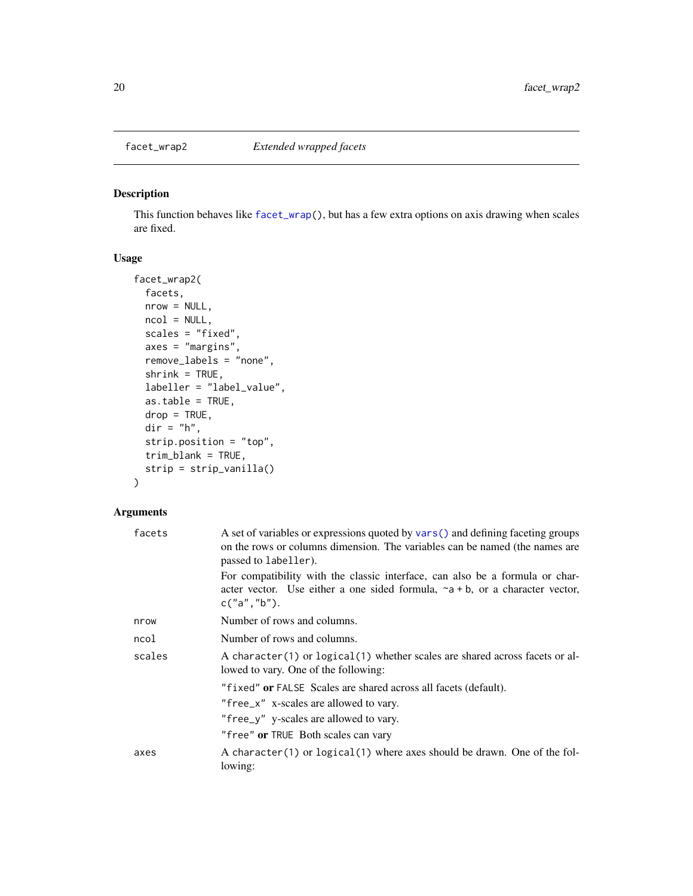<span id="page-19-1"></span><span id="page-19-0"></span>

### Description

This function behaves like [facet\\_wrap\(](#page-0-0)), but has a few extra options on axis drawing when scales are fixed.

### Usage

```
facet_wrap2(
 facets,
 nrow = NULL,ncol = NULL,scales = "fixed",
 axes = "margins",
 remove_labels = "none",
 shrink = TRUE,labeller = "label_value",
 as.table = TRUE,
 drop = TRUE,dir = "h",strip.position = "top",
 trim_blank = TRUE,
 strip = strip_vanilla()
)
```

| facets | A set of variables or expressions quoted by vars () and defining faceting groups<br>on the rows or columns dimension. The variables can be named (the names are<br>passed to labeller). |  |
|--------|-----------------------------------------------------------------------------------------------------------------------------------------------------------------------------------------|--|
|        | For compatibility with the classic interface, can also be a formula or char-<br>acter vector. Use either a one sided formula, $\sim a + b$ , or a character vector,<br>c("a", "b").     |  |
| nrow   | Number of rows and columns.                                                                                                                                                             |  |
| ncol   | Number of rows and columns.                                                                                                                                                             |  |
| scales | A character(1) or logical(1) whether scales are shared across facets or al-<br>lowed to vary. One of the following:                                                                     |  |
|        | "fixed" or FALSE Scales are shared across all facets (default).                                                                                                                         |  |
|        | "free_x" x-scales are allowed to vary.                                                                                                                                                  |  |
|        | "free_y" y-scales are allowed to vary.                                                                                                                                                  |  |
|        | "free" or TRUE Both scales can vary                                                                                                                                                     |  |
| axes   | A character(1) or logical(1) where axes should be drawn. One of the fol-<br>lowing:                                                                                                     |  |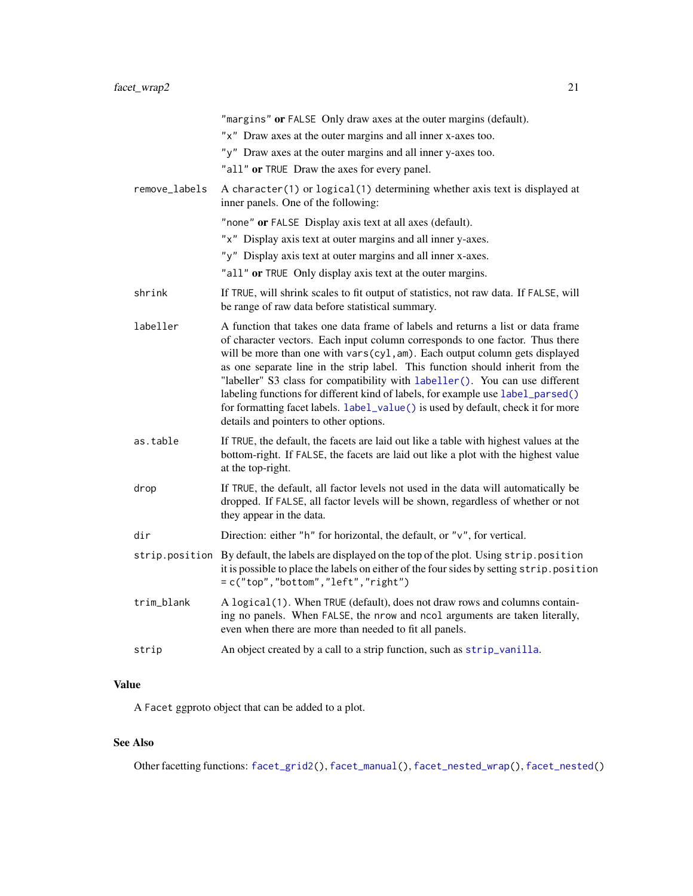|               | "margins" or FALSE Only draw axes at the outer margins (default).                                                                                                                                                                                                                                                                                                                                                                                                                                                                                                                                                                  |
|---------------|------------------------------------------------------------------------------------------------------------------------------------------------------------------------------------------------------------------------------------------------------------------------------------------------------------------------------------------------------------------------------------------------------------------------------------------------------------------------------------------------------------------------------------------------------------------------------------------------------------------------------------|
|               | "x" Draw axes at the outer margins and all inner x-axes too.                                                                                                                                                                                                                                                                                                                                                                                                                                                                                                                                                                       |
|               | "y" Draw axes at the outer margins and all inner y-axes too.                                                                                                                                                                                                                                                                                                                                                                                                                                                                                                                                                                       |
|               | "all" or TRUE Draw the axes for every panel.                                                                                                                                                                                                                                                                                                                                                                                                                                                                                                                                                                                       |
| remove_labels | A character(1) or logical(1) determining whether axis text is displayed at<br>inner panels. One of the following:                                                                                                                                                                                                                                                                                                                                                                                                                                                                                                                  |
|               | "none" or FALSE Display axis text at all axes (default).                                                                                                                                                                                                                                                                                                                                                                                                                                                                                                                                                                           |
|               | "x" Display axis text at outer margins and all inner y-axes.                                                                                                                                                                                                                                                                                                                                                                                                                                                                                                                                                                       |
|               | "y" Display axis text at outer margins and all inner x-axes.                                                                                                                                                                                                                                                                                                                                                                                                                                                                                                                                                                       |
|               | "all" or TRUE Only display axis text at the outer margins.                                                                                                                                                                                                                                                                                                                                                                                                                                                                                                                                                                         |
| shrink        | If TRUE, will shrink scales to fit output of statistics, not raw data. If FALSE, will<br>be range of raw data before statistical summary.                                                                                                                                                                                                                                                                                                                                                                                                                                                                                          |
| labeller      | A function that takes one data frame of labels and returns a list or data frame<br>of character vectors. Each input column corresponds to one factor. Thus there<br>will be more than one with vars(cyl, am). Each output column gets displayed<br>as one separate line in the strip label. This function should inherit from the<br>"labeller" S3 class for compatibility with labeller(). You can use different<br>labeling functions for different kind of labels, for example use label_parsed()<br>for formatting facet labels. label_value() is used by default, check it for more<br>details and pointers to other options. |
| as.table      | If TRUE, the default, the facets are laid out like a table with highest values at the<br>bottom-right. If FALSE, the facets are laid out like a plot with the highest value<br>at the top-right.                                                                                                                                                                                                                                                                                                                                                                                                                                   |
| drop          | If TRUE, the default, all factor levels not used in the data will automatically be<br>dropped. If FALSE, all factor levels will be shown, regardless of whether or not<br>they appear in the data.                                                                                                                                                                                                                                                                                                                                                                                                                                 |
| dir           | Direction: either "h" for horizontal, the default, or "v", for vertical.                                                                                                                                                                                                                                                                                                                                                                                                                                                                                                                                                           |
|               | strip.position By default, the labels are displayed on the top of the plot. Using strip.position<br>it is possible to place the labels on either of the four sides by setting strip. position<br>= c("top","bottom","left","right")                                                                                                                                                                                                                                                                                                                                                                                                |
| trim_blank    | A logical(1). When TRUE (default), does not draw rows and columns contain-<br>ing no panels. When FALSE, the nrow and ncol arguments are taken literally,<br>even when there are more than needed to fit all panels.                                                                                                                                                                                                                                                                                                                                                                                                               |
| strip         | An object created by a call to a strip function, such as strip_vanilla.                                                                                                                                                                                                                                                                                                                                                                                                                                                                                                                                                            |
|               |                                                                                                                                                                                                                                                                                                                                                                                                                                                                                                                                                                                                                                    |

### Value

A Facet ggproto object that can be added to a plot.

## See Also

Other facetting functions: [facet\\_grid2\(](#page-7-1)), [facet\\_manual\(](#page-10-1)), [facet\\_nested\\_wrap\(](#page-16-1)), [facet\\_nested\(](#page-13-1))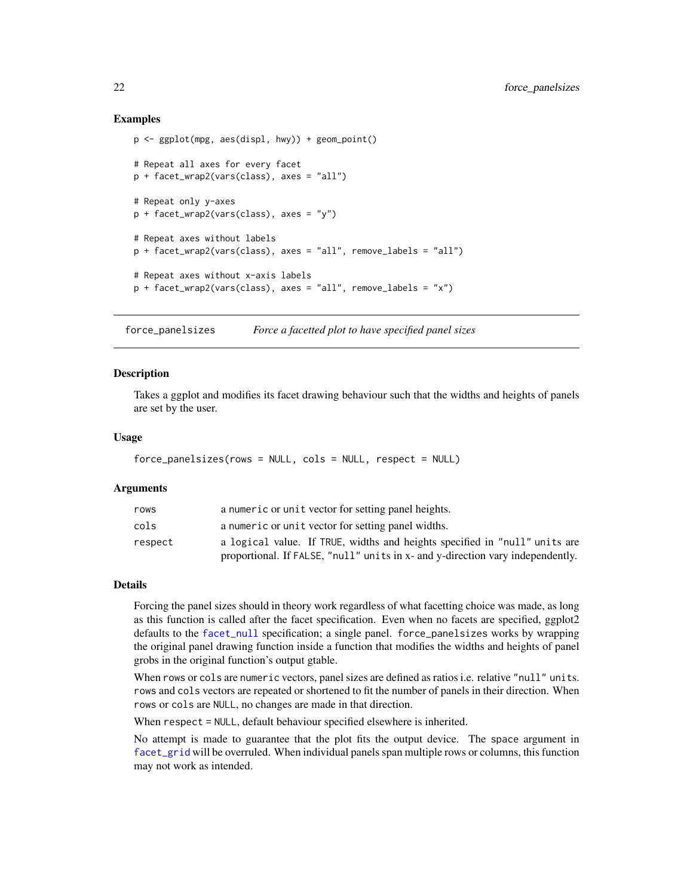#### Examples

```
p <- ggplot(mpg, aes(displ, hwy)) + geom_point()
# Repeat all axes for every facet
p + facet_wrap2(vars(class), axes = "all")
# Repeat only y-axes
p + facet_wrap2(vars(class), axes = "y")
# Repeat axes without labels
p + facet_wrap2(vars(class), axes = "all", remove_labels = "all")
# Repeat axes without x-axis labels
p + facet_wrap2(vars(class), axes = "all", remove_labels = "x")
```
force\_panelsizes *Force a facetted plot to have specified panel sizes*

#### Description

Takes a ggplot and modifies its facet drawing behaviour such that the widths and heights of panels are set by the user.

#### Usage

```
force_panelsizes(rows = NULL, cols = NULL, respect = NULL)
```
#### Arguments

| rows    | a numeric or unit vector for setting panel heights.                            |
|---------|--------------------------------------------------------------------------------|
| cols    | a numeric or unit vector for setting panel widths.                             |
| respect | a logical value. If TRUE, widths and heights specified in "null" units are     |
|         | proportional. If FALSE, "null" units in x- and y-direction vary independently. |

#### Details

Forcing the panel sizes should in theory work regardless of what facetting choice was made, as long as this function is called after the facet specification. Even when no facets are specified, ggplot2 defaults to the [facet\\_null](#page-0-0) specification; a single panel. force\_panelsizes works by wrapping the original panel drawing function inside a function that modifies the widths and heights of panel grobs in the original function's output gtable.

When rows or cols are numeric vectors, panel sizes are defined as ratios i.e. relative "null" units. rows and cols vectors are repeated or shortened to fit the number of panels in their direction. When rows or cols are NULL, no changes are made in that direction.

When respect = NULL, default behaviour specified elsewhere is inherited.

No attempt is made to guarantee that the plot fits the output device. The space argument in [facet\\_grid](#page-0-0) will be overruled. When individual panels span multiple rows or columns, this function may not work as intended.

<span id="page-21-0"></span>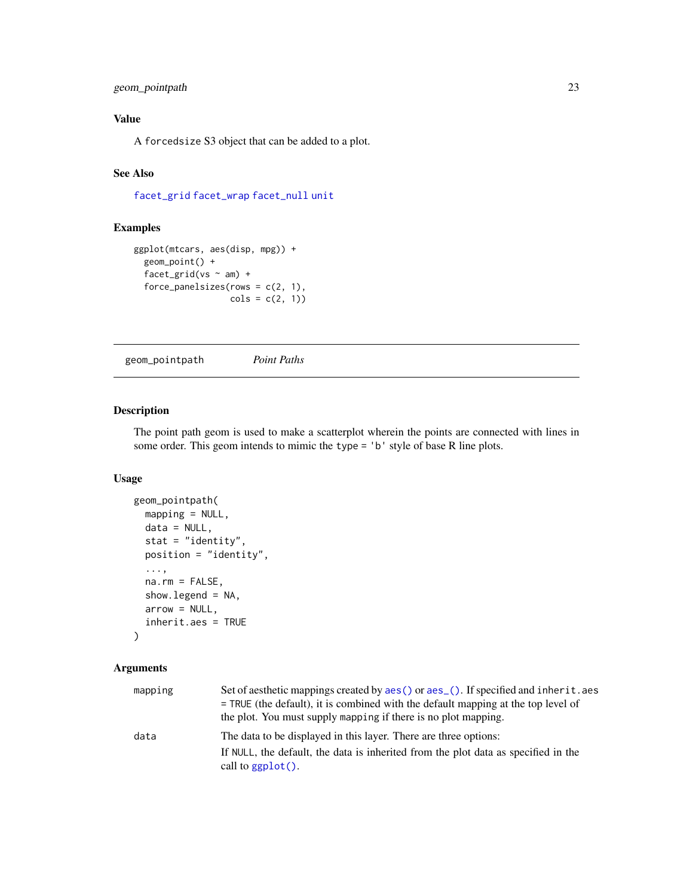### <span id="page-22-0"></span>geom\_pointpath 23

### Value

A forcedsize S3 object that can be added to a plot.

### See Also

[facet\\_grid](#page-0-0) [facet\\_wrap](#page-0-0) [facet\\_null](#page-0-0) [unit](#page-0-0)

### Examples

```
ggplot(mtcars, aes(disp, mpg)) +
 geom_point() +
 facet_grid(vs \sim am) +
 force\_panel sizes(rows = c(2, 1),cols = c(2, 1)
```
geom\_pointpath *Point Paths*

### Description

The point path geom is used to make a scatterplot wherein the points are connected with lines in some order. This geom intends to mimic the type = 'b' style of base R line plots.

### Usage

```
geom_pointpath(
 mapping = NULL,
 data = NULL,
 stat = "identity",
 position = "identity",
  ...,
 na.rm = FALSE,show.legend = NA,
  arrow = NULL,inherit.aes = TRUE
\mathcal{L}
```

| mapping | Set of aesthetic mappings created by aes () or aes (). If specified and inherit. aes<br>$=$ TRUE (the default), it is combined with the default mapping at the top level of<br>the plot. You must supply mapping if there is no plot mapping. |
|---------|-----------------------------------------------------------------------------------------------------------------------------------------------------------------------------------------------------------------------------------------------|
| data    | The data to be displayed in this layer. There are three options:                                                                                                                                                                              |
|         | If NULL, the default, the data is inherited from the plot data as specified in the<br>call to $ggplot()$ .                                                                                                                                    |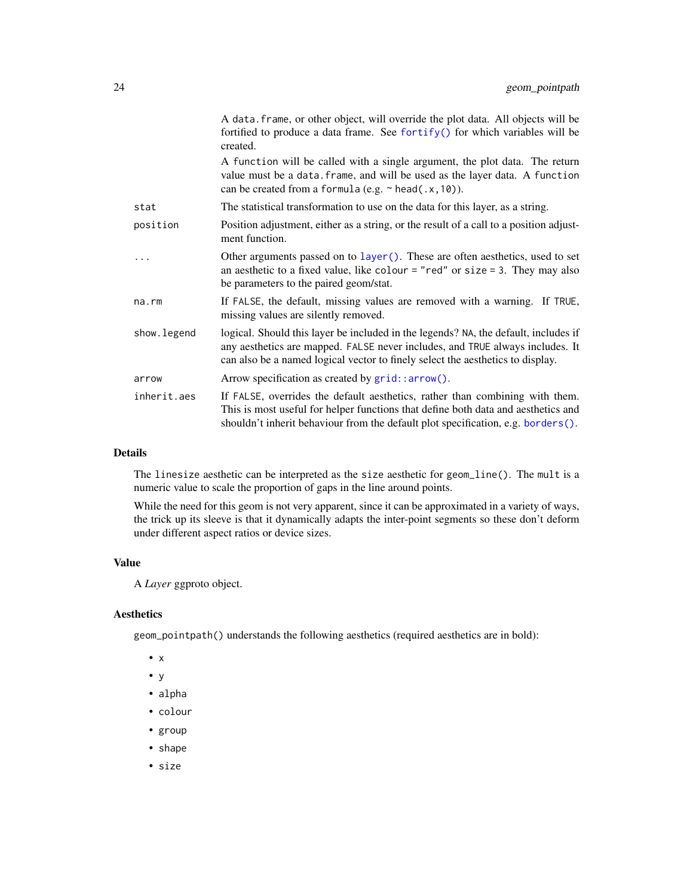| A data. frame, or other object, will override the plot data. All objects will be<br>fortified to produce a data frame. See fortify() for which variables will be<br>created.                                                                           |
|--------------------------------------------------------------------------------------------------------------------------------------------------------------------------------------------------------------------------------------------------------|
| A function will be called with a single argument, the plot data. The return<br>value must be a data. frame, and will be used as the layer data. A function<br>can be created from a formula (e.g. $\sim$ head(.x, 10)).                                |
| The statistical transformation to use on the data for this layer, as a string.                                                                                                                                                                         |
| Position adjustment, either as a string, or the result of a call to a position adjust-<br>ment function.                                                                                                                                               |
| Other arguments passed on to layer(). These are often aesthetics, used to set<br>an aesthetic to a fixed value, like colour = "red" or size = 3. They may also<br>be parameters to the paired geom/stat.                                               |
| If FALSE, the default, missing values are removed with a warning. If TRUE,<br>missing values are silently removed.                                                                                                                                     |
| logical. Should this layer be included in the legends? NA, the default, includes if<br>any aesthetics are mapped. FALSE never includes, and TRUE always includes. It<br>can also be a named logical vector to finely select the aesthetics to display. |
| Arrow specification as created by grid::arrow().                                                                                                                                                                                                       |
| If FALSE, overrides the default aesthetics, rather than combining with them.<br>This is most useful for helper functions that define both data and aesthetics and<br>shouldn't inherit behaviour from the default plot specification, e.g. borders().  |
|                                                                                                                                                                                                                                                        |

The linesize aesthetic can be interpreted as the size aesthetic for geom\_line(). The mult is a numeric value to scale the proportion of gaps in the line around points.

While the need for this geom is not very apparent, since it can be approximated in a variety of ways, the trick up its sleeve is that it dynamically adapts the inter-point segments so these don't deform under different aspect ratios or device sizes.

### Value

A *Layer* ggproto object.

### Aesthetics

geom\_pointpath() understands the following aesthetics (required aesthetics are in bold):

- x
- y
- alpha
- colour
- group
- shape
- size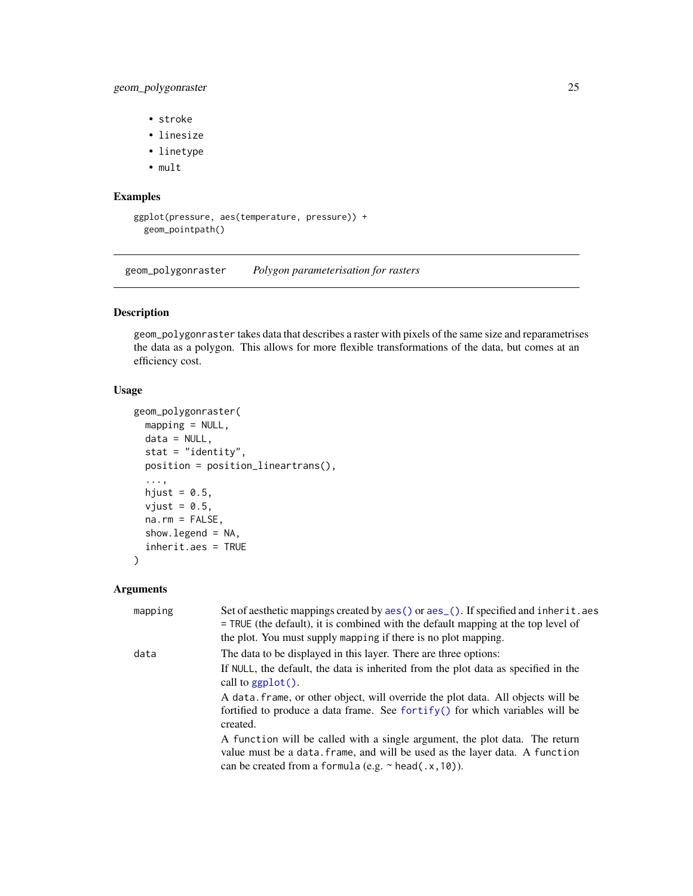### <span id="page-24-0"></span>geom\_polygonraster 25

- stroke
- linesize
- linetype
- mult

### Examples

```
ggplot(pressure, aes(temperature, pressure)) +
 geom_pointpath()
```
geom\_polygonraster *Polygon parameterisation for rasters*

### Description

geom\_polygonraster takes data that describes a raster with pixels of the same size and reparametrises the data as a polygon. This allows for more flexible transformations of the data, but comes at an efficiency cost.

### Usage

```
geom_polygonraster(
 mapping = NULL,
 data = NULL,stat = "identity",
 position = position_lineartrans(),
  ...,
 hjust = 0.5,
 vjust = 0.5,
 na.rm = FALSE,show.legend = NA,
  inherit.aes = TRUE
)
```

| mapping | Set of aesthetic mappings created by aes () or aes (). If specified and inherit. aes<br>$=$ TRUE (the default), it is combined with the default mapping at the top level of<br>the plot. You must supply mapping if there is no plot mapping. |
|---------|-----------------------------------------------------------------------------------------------------------------------------------------------------------------------------------------------------------------------------------------------|
| data    | The data to be displayed in this layer. There are three options:                                                                                                                                                                              |
|         | If NULL, the default, the data is inherited from the plot data as specified in the<br>call to $ggplot()$ .                                                                                                                                    |
|         | A data frame, or other object, will override the plot data. All objects will be<br>fortified to produce a data frame. See fortify() for which variables will be<br>created.                                                                   |
|         | A function will be called with a single argument, the plot data. The return<br>value must be a data. frame, and will be used as the layer data. A function<br>can be created from a formula (e.g. $\sim$ head(.x, 10)).                       |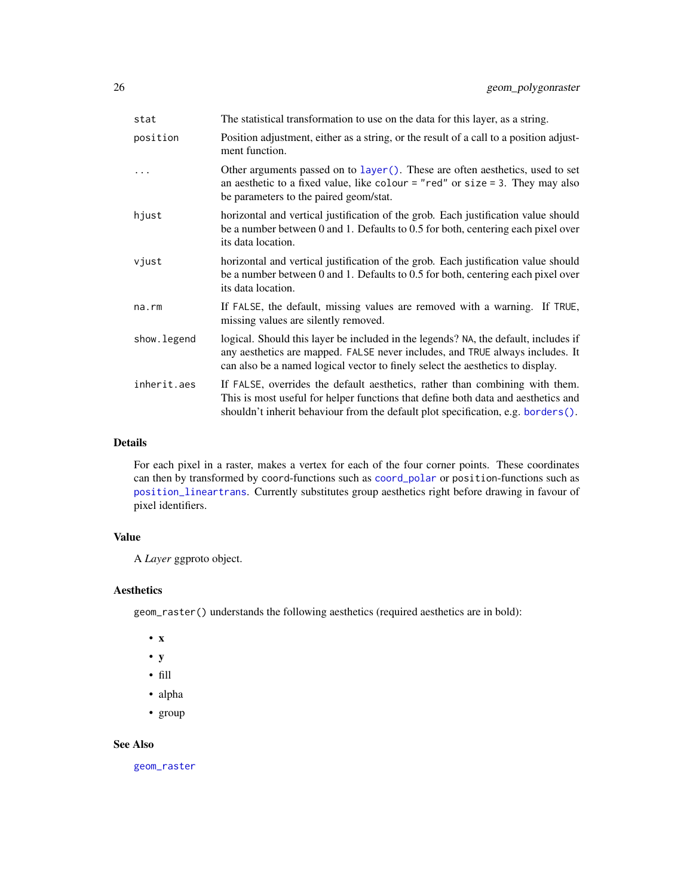| stat        | The statistical transformation to use on the data for this layer, as a string.                                                                                                                                                                         |
|-------------|--------------------------------------------------------------------------------------------------------------------------------------------------------------------------------------------------------------------------------------------------------|
| position    | Position adjustment, either as a string, or the result of a call to a position adjust-<br>ment function.                                                                                                                                               |
|             | Other arguments passed on to layer (). These are often aesthetics, used to set<br>an aesthetic to a fixed value, like colour = "red" or size = 3. They may also<br>be parameters to the paired geom/stat.                                              |
| hjust       | horizontal and vertical justification of the grob. Each justification value should<br>be a number between 0 and 1. Defaults to $0.5$ for both, centering each pixel over<br>its data location.                                                         |
| vjust       | horizontal and vertical justification of the grob. Each justification value should<br>be a number between 0 and 1. Defaults to 0.5 for both, centering each pixel over<br>its data location.                                                           |
| na.rm       | If FALSE, the default, missing values are removed with a warning. If TRUE,<br>missing values are silently removed.                                                                                                                                     |
| show.legend | logical. Should this layer be included in the legends? NA, the default, includes if<br>any aesthetics are mapped. FALSE never includes, and TRUE always includes. It<br>can also be a named logical vector to finely select the aesthetics to display. |
| inherit.aes | If FALSE, overrides the default aesthetics, rather than combining with them.<br>This is most useful for helper functions that define both data and aesthetics and<br>shouldn't inherit behaviour from the default plot specification, e.g. borders().  |
|             |                                                                                                                                                                                                                                                        |

For each pixel in a raster, makes a vertex for each of the four corner points. These coordinates can then by transformed by coord-functions such as [coord\\_polar](#page-0-0) or position-functions such as [position\\_lineartrans](#page-51-1). Currently substitutes group aesthetics right before drawing in favour of pixel identifiers.

### Value

A *Layer* ggproto object.

### Aesthetics

geom\_raster() understands the following aesthetics (required aesthetics are in bold):

- x
- y
- fill
- alpha
- group

#### See Also

[geom\\_raster](#page-0-0)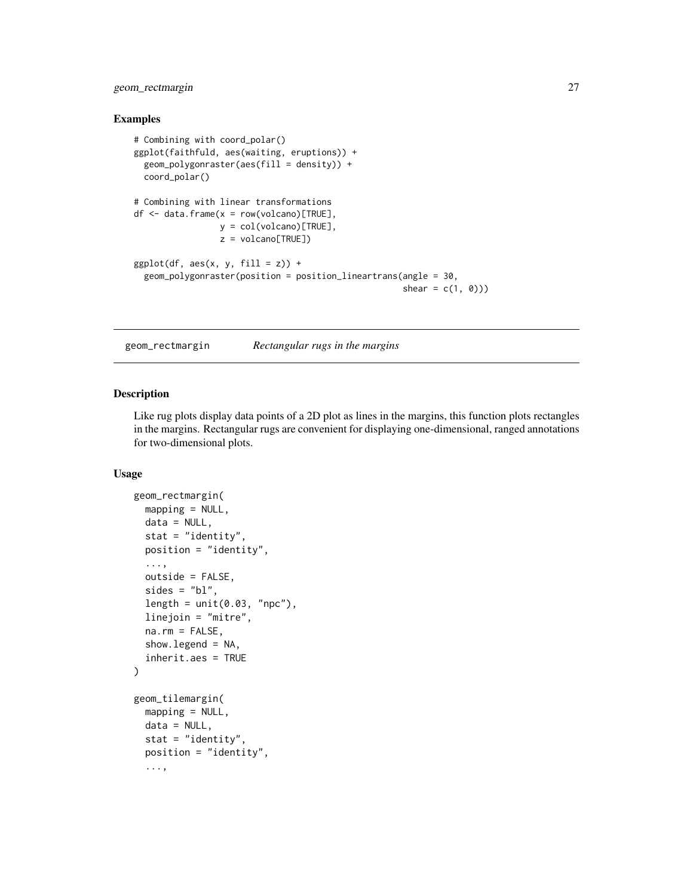### <span id="page-26-0"></span>geom\_rectmargin 27

#### Examples

```
# Combining with coord_polar()
ggplot(faithfuld, aes(waiting, eruptions)) +
 geom_polygonraster(aes(fill = density)) +
 coord_polar()
# Combining with linear transformations
df \leq - data.frame(x = row(volcano)[TRUE],y = col(volcano)[TRUE],
                 z = volcano[TRUE])
ggplot(df, aes(x, y, fill = z)) +geom_polygonraster(position = position_lineartrans(angle = 30,
                                                     shear = c(1, 0))
```
geom\_rectmargin *Rectangular rugs in the margins*

#### Description

Like rug plots display data points of a 2D plot as lines in the margins, this function plots rectangles in the margins. Rectangular rugs are convenient for displaying one-dimensional, ranged annotations for two-dimensional plots.

#### Usage

```
geom_rectmargin(
 mapping = NULL,
 data = NULL,stat = "identity",
 position = "identity",
  ...,
 outside = FALSE,
 sides = "bl",length = unit(0.03, "npc"),linejoin = "mitre",
 na.rm = FALSE,showu = NA,
  inherit.aes = TRUE
)
geom_tilemargin(
 mapping = NULL,
 data = NULL,
 stat = "identity",
 position = "identity",
  ...,
```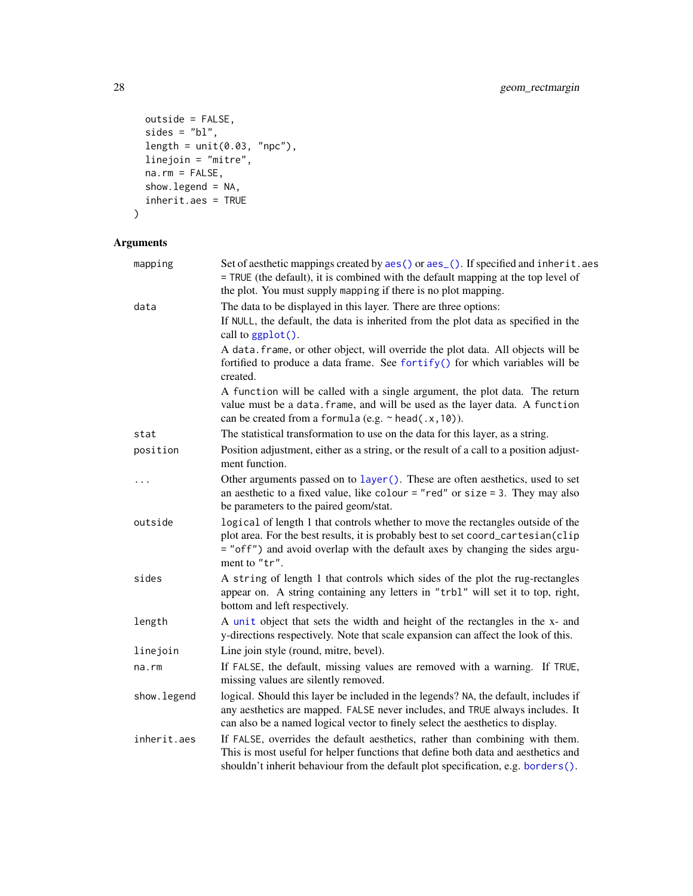```
outside = FALSE,
sides = "bl",length = unit(0.03, 'npc"),
linejoin = "mitre",
na.rm = FALSE,show.legend = NA,
inherit.aes = TRUE
```

```
\mathcal{L}
```

| mapping      | Set of aesthetic mappings created by aes() or aes_(). If specified and inherit.aes<br>= TRUE (the default), it is combined with the default mapping at the top level of                                                                                              |  |
|--------------|----------------------------------------------------------------------------------------------------------------------------------------------------------------------------------------------------------------------------------------------------------------------|--|
|              | the plot. You must supply mapping if there is no plot mapping.                                                                                                                                                                                                       |  |
| data         | The data to be displayed in this layer. There are three options:                                                                                                                                                                                                     |  |
|              | If NULL, the default, the data is inherited from the plot data as specified in the<br>call to ggplot().                                                                                                                                                              |  |
|              | A data. frame, or other object, will override the plot data. All objects will be<br>fortified to produce a data frame. See fortify() for which variables will be<br>created.                                                                                         |  |
|              | A function will be called with a single argument, the plot data. The return<br>value must be a data. frame, and will be used as the layer data. A function<br>can be created from a formula (e.g. ~ head(.x, 10)).                                                   |  |
| stat         | The statistical transformation to use on the data for this layer, as a string.                                                                                                                                                                                       |  |
| position     | Position adjustment, either as a string, or the result of a call to a position adjust-<br>ment function.                                                                                                                                                             |  |
| $\cdots$     | Other arguments passed on to layer (). These are often aesthetics, used to set<br>an aesthetic to a fixed value, like colour = "red" or size = 3. They may also<br>be parameters to the paired geom/stat.                                                            |  |
| outside      | logical of length 1 that controls whether to move the rectangles outside of the<br>plot area. For the best results, it is probably best to set coord_cartesian(clip<br>= "off") and avoid overlap with the default axes by changing the sides argu-<br>ment to "tr". |  |
| sides        | A string of length 1 that controls which sides of the plot the rug-rectangles<br>appear on. A string containing any letters in "trbl" will set it to top, right,<br>bottom and left respectively.                                                                    |  |
| length       | A unit object that sets the width and height of the rectangles in the x- and<br>y-directions respectively. Note that scale expansion can affect the look of this.                                                                                                    |  |
| linejoin     | Line join style (round, mitre, bevel).                                                                                                                                                                                                                               |  |
| $na$ . $rm$  | If FALSE, the default, missing values are removed with a warning. If TRUE,<br>missing values are silently removed.                                                                                                                                                   |  |
| show. legend | logical. Should this layer be included in the legends? NA, the default, includes if<br>any aesthetics are mapped. FALSE never includes, and TRUE always includes. It<br>can also be a named logical vector to finely select the aesthetics to display.               |  |
| inherit.aes  | If FALSE, overrides the default aesthetics, rather than combining with them.<br>This is most useful for helper functions that define both data and aesthetics and<br>shouldn't inherit behaviour from the default plot specification, e.g. borders().                |  |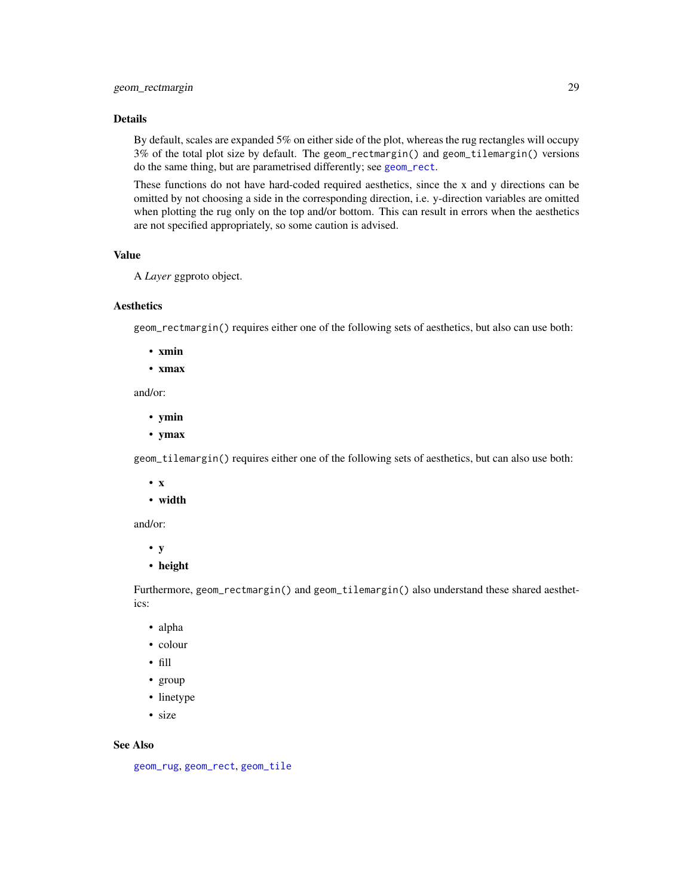By default, scales are expanded 5% on either side of the plot, whereas the rug rectangles will occupy 3% of the total plot size by default. The geom\_rectmargin() and geom\_tilemargin() versions do the same thing, but are parametrised differently; see [geom\\_rect](#page-0-0).

These functions do not have hard-coded required aesthetics, since the x and y directions can be omitted by not choosing a side in the corresponding direction, i.e. y-direction variables are omitted when plotting the rug only on the top and/or bottom. This can result in errors when the aesthetics are not specified appropriately, so some caution is advised.

### Value

```
A Layer ggproto object.
```
### **Aesthetics**

geom\_rectmargin() requires either one of the following sets of aesthetics, but also can use both:

- xmin
- xmax

and/or:

- ymin
- ymax

geom\_tilemargin() requires either one of the following sets of aesthetics, but can also use both:

- x
- width

and/or:

- y
- height

Furthermore, geom\_rectmargin() and geom\_tilemargin() also understand these shared aesthetics:

- alpha
- colour
- fill
- group
- linetype
- size

#### See Also

[geom\\_rug](#page-0-0), [geom\\_rect](#page-0-0), [geom\\_tile](#page-0-0)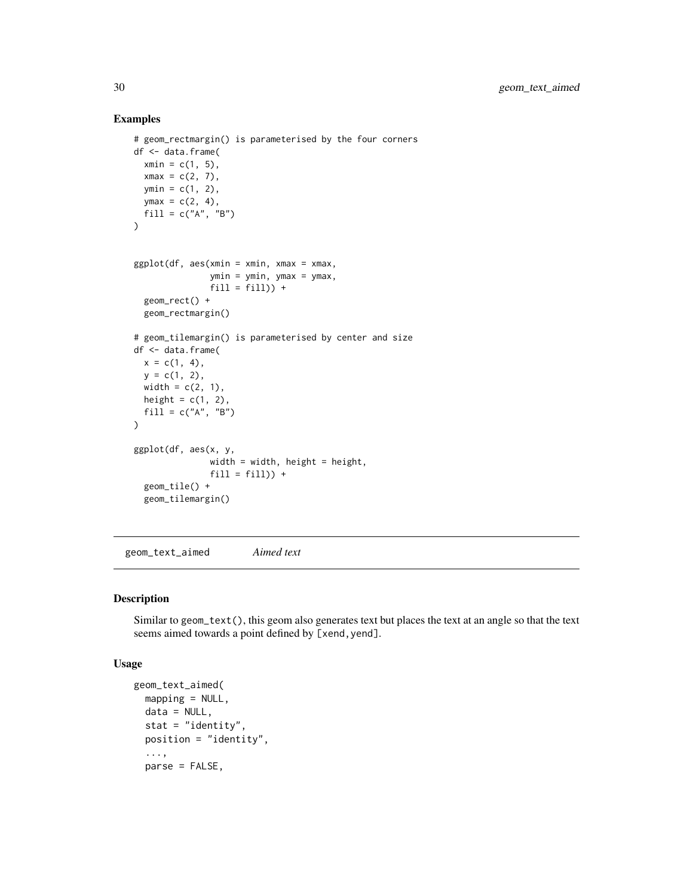### Examples

```
# geom_rectmargin() is parameterised by the four corners
df <- data.frame(
 xmin = c(1, 5),
 xmax = c(2, 7),
 ymin = c(1, 2),
 ymax = c(2, 4),fill = c("A", "B"))
ggplot(df, aes(xmin = xmin, xmax = xmax,ymin = ymin, ymax = ymax,
               fill = fill() +geom_rect() +
  geom_rectmargin()
# geom_tilemargin() is parameterised by center and size
df <- data.frame(
 x = c(1, 4),
  y = c(1, 2),
  width = c(2, 1),
  height = c(1, 2),
  fill = c("A", "B")\mathcal{L}ggplot(df, aes(x, y,
               width = width, height = height,
               fill = fill() +
  geom_tile() +
  geom_tilemargin()
```
geom\_text\_aimed *Aimed text*

### Description

Similar to geom\_text(), this geom also generates text but places the text at an angle so that the text seems aimed towards a point defined by [xend, yend].

#### Usage

```
geom_text_aimed(
 mapping = NULL,data = NULL,
  stat = "identity",
 position = "identity",
  ...,
  parse = FALSE,
```
<span id="page-29-0"></span>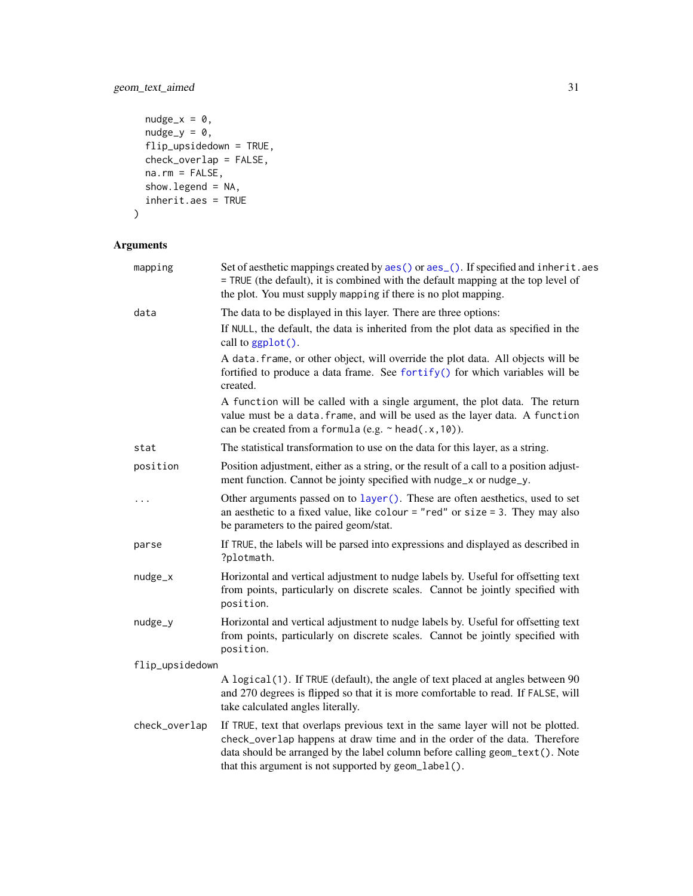### geom\_text\_aimed 31

```
nudge_x = 0,
  nudge_y = 0,
 flip_upsidedown = TRUE,
 check_overlap = FALSE,
  na.rm = FALSE,
  show.legend = NA,
  inherit.aes = TRUE
\mathcal{L}
```

| mapping         | Set of aesthetic mappings created by aes() or aes_(). If specified and inherit.aes<br>= TRUE (the default), it is combined with the default mapping at the top level of<br>the plot. You must supply mapping if there is no plot mapping.                                                              |  |
|-----------------|--------------------------------------------------------------------------------------------------------------------------------------------------------------------------------------------------------------------------------------------------------------------------------------------------------|--|
| data            | The data to be displayed in this layer. There are three options:                                                                                                                                                                                                                                       |  |
|                 | If NULL, the default, the data is inherited from the plot data as specified in the<br>call to ggplot().                                                                                                                                                                                                |  |
|                 | A data. frame, or other object, will override the plot data. All objects will be<br>fortified to produce a data frame. See fortify() for which variables will be<br>created.                                                                                                                           |  |
|                 | A function will be called with a single argument, the plot data. The return<br>value must be a data. frame, and will be used as the layer data. A function<br>can be created from a formula (e.g. $\sim$ head(.x, 10)).                                                                                |  |
| stat            | The statistical transformation to use on the data for this layer, as a string.                                                                                                                                                                                                                         |  |
| position        | Position adjustment, either as a string, or the result of a call to a position adjust-<br>ment function. Cannot be jointy specified with nudge_x or nudge_y.                                                                                                                                           |  |
| .               | Other arguments passed on to layer (). These are often aesthetics, used to set<br>an aesthetic to a fixed value, like colour = "red" or size = 3. They may also<br>be parameters to the paired geom/stat.                                                                                              |  |
| parse           | If TRUE, the labels will be parsed into expressions and displayed as described in<br>?plotmath.                                                                                                                                                                                                        |  |
| nudge_x         | Horizontal and vertical adjustment to nudge labels by. Useful for offsetting text<br>from points, particularly on discrete scales. Cannot be jointly specified with<br>position.                                                                                                                       |  |
| nudge_y         | Horizontal and vertical adjustment to nudge labels by. Useful for offsetting text<br>from points, particularly on discrete scales. Cannot be jointly specified with<br>position.                                                                                                                       |  |
| flip_upsidedown |                                                                                                                                                                                                                                                                                                        |  |
|                 | A logical(1). If TRUE (default), the angle of text placed at angles between 90<br>and 270 degrees is flipped so that it is more comfortable to read. If FALSE, will<br>take calculated angles literally.                                                                                               |  |
| check_overlap   | If TRUE, text that overlaps previous text in the same layer will not be plotted.<br>check_overlap happens at draw time and in the order of the data. Therefore<br>data should be arranged by the label column before calling geom_text(). Note<br>that this argument is not supported by geom_label(). |  |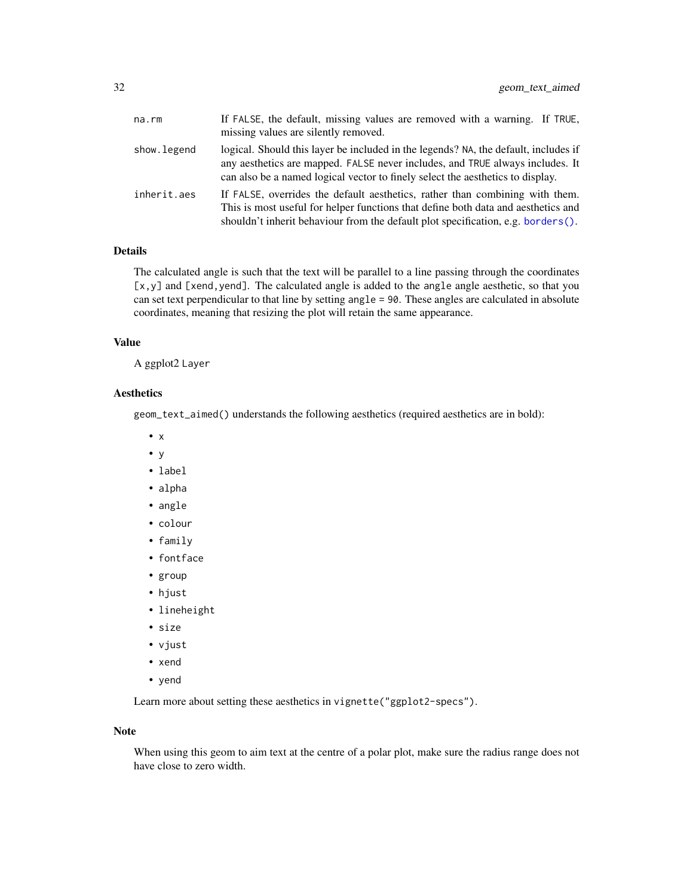| na.rm       | If FALSE, the default, missing values are removed with a warning. If TRUE,<br>missing values are silently removed.                                                                                                                                     |
|-------------|--------------------------------------------------------------------------------------------------------------------------------------------------------------------------------------------------------------------------------------------------------|
| show.legend | logical. Should this layer be included in the legends? NA, the default, includes if<br>any aesthetics are mapped. FALSE never includes, and TRUE always includes. It<br>can also be a named logical vector to finely select the aesthetics to display. |
| inherit.aes | If FALSE, overrides the default aesthetics, rather than combining with them.<br>This is most useful for helper functions that define both data and aesthetics and<br>shouldn't inherit behaviour from the default plot specification, e.g. borders().  |

The calculated angle is such that the text will be parallel to a line passing through the coordinates [x,y] and [xend, yend]. The calculated angle is added to the angle angle aesthetic, so that you can set text perpendicular to that line by setting angle = 90. These angles are calculated in absolute coordinates, meaning that resizing the plot will retain the same appearance.

### Value

A ggplot2 Layer

### Aesthetics

geom\_text\_aimed() understands the following aesthetics (required aesthetics are in bold):

- x
- y
- label
- alpha
- angle
- colour
- family
- fontface
- group
- hjust
- lineheight
- size
- vjust
- xend
- yend

Learn more about setting these aesthetics in vignette("ggplot2-specs").

### Note

When using this geom to aim text at the centre of a polar plot, make sure the radius range does not have close to zero width.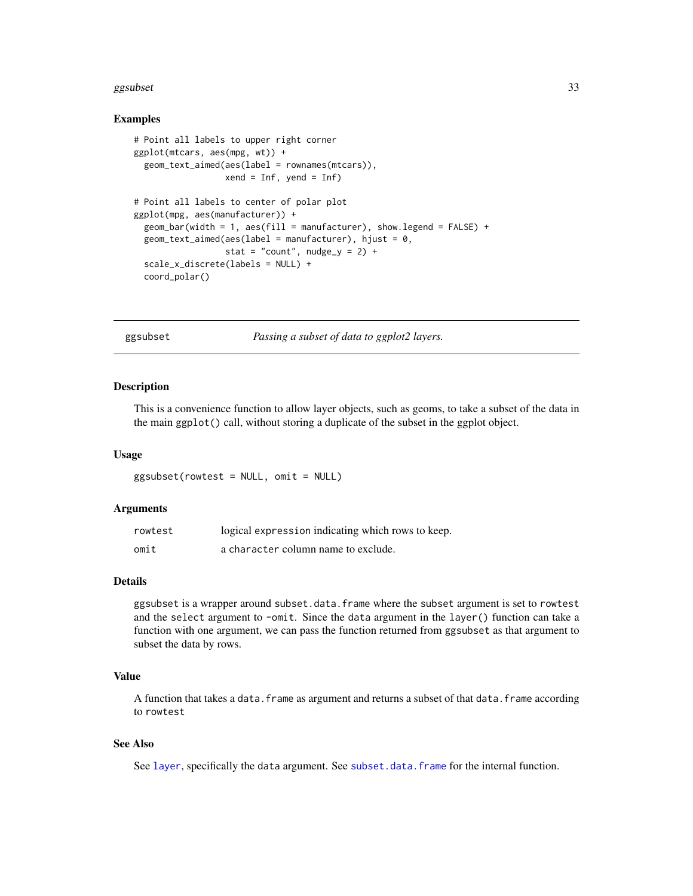#### <span id="page-32-0"></span>ggsubset 33

#### Examples

```
# Point all labels to upper right corner
ggplot(mtcars, aes(mpg, wt)) +
 geom_text_aimed(aes(label = rownames(mtcars)),
                  xend = Inf, yend = Inf# Point all labels to center of polar plot
ggplot(mpg, aes(manufacturer)) +
 geom_bar(width = 1, aes(fill = manufacturer), show.legend = FALSE) +
 geom_text_aimed(aes(label = manufacturer), hjust = 0,
                 stat = "count", nudge_y = 2) +
 scale_x_discrete(labels = NULL) +
 coord_polar()
```
ggsubset *Passing a subset of data to ggplot2 layers.*

### Description

This is a convenience function to allow layer objects, such as geoms, to take a subset of the data in the main ggplot() call, without storing a duplicate of the subset in the ggplot object.

#### Usage

ggsubset(rowtest = NULL, omit = NULL)

#### Arguments

| rowtest | logical expression indicating which rows to keep. |
|---------|---------------------------------------------------|
| omit    | a character column name to exclude.               |

#### Details

ggsubset is a wrapper around subset.data.frame where the subset argument is set to rowtest and the select argument to -omit. Since the data argument in the layer() function can take a function with one argument, we can pass the function returned from ggsubset as that argument to subset the data by rows.

#### Value

A function that takes a data.frame as argument and returns a subset of that data.frame according to rowtest

#### See Also

See [layer](#page-0-0), specifically the data argument. See [subset.data.frame](#page-0-0) for the internal function.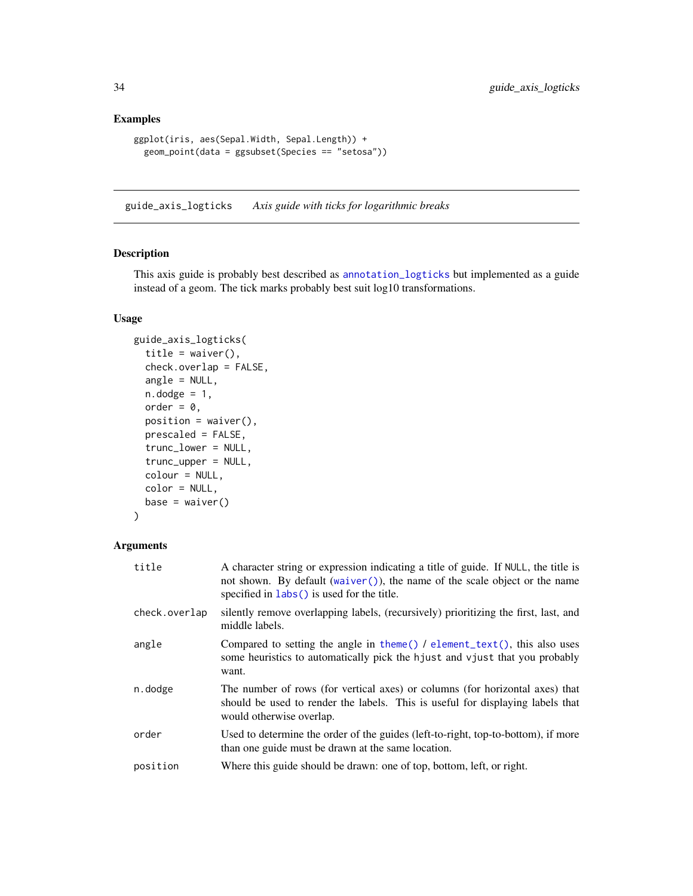### <span id="page-33-0"></span>Examples

```
ggplot(iris, aes(Sepal.Width, Sepal.Length)) +
 geom_point(data = ggsubset(Species == "setosa"))
```
guide\_axis\_logticks *Axis guide with ticks for logarithmic breaks*

### Description

This axis guide is probably best described as [annotation\\_logticks](#page-0-0) but implemented as a guide instead of a geom. The tick marks probably best suit log10 transformations.

### Usage

```
guide_axis_logticks(
  title = waiver(),
  check.overlap = FALSE,
  angle = NULL,
  n.dodge = 1,
  order = 0,
 position = waitver(),
 prescaled = FALSE,
  trunc_lower = NULL,
  trunc_upper = NULL,
  colour = NULL,
  color = NULL,
  base = wavier())
```

| title         | A character string or expression indicating a title of guide. If NULL, the title is<br>not shown. By default (waiver()), the name of the scale object or the name<br>specified in $\text{ labs}()$ is used for the title. |
|---------------|---------------------------------------------------------------------------------------------------------------------------------------------------------------------------------------------------------------------------|
| check.overlap | silently remove overlapping labels, (recursively) prioritizing the first, last, and<br>middle labels.                                                                                                                     |
| angle         | Compared to setting the angle in theme() / element_text(), this also uses<br>some heuristics to automatically pick the hjust and vjust that you probably<br>want.                                                         |
| n.dodge       | The number of rows (for vertical axes) or columns (for horizontal axes) that<br>should be used to render the labels. This is useful for displaying labels that<br>would otherwise overlap.                                |
| order         | Used to determine the order of the guides (left-to-right, top-to-bottom), if more<br>than one guide must be drawn at the same location.                                                                                   |
| position      | Where this guide should be drawn: one of top, bottom, left, or right.                                                                                                                                                     |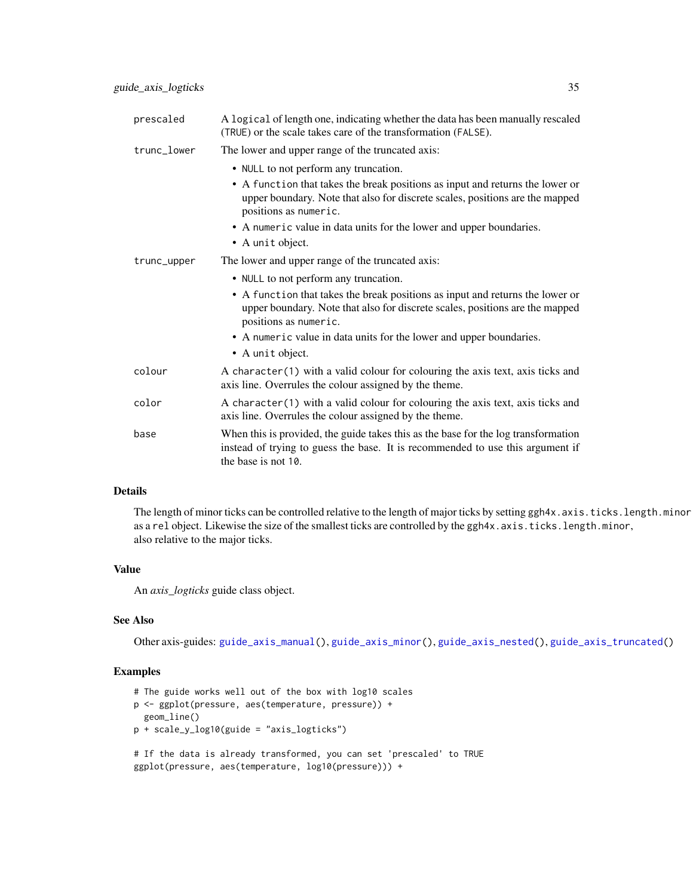| prescaled   | A logical of length one, indicating whether the data has been manually rescaled<br>(TRUE) or the scale takes care of the transformation (FALSE).                                            |
|-------------|---------------------------------------------------------------------------------------------------------------------------------------------------------------------------------------------|
| trunc_lower | The lower and upper range of the truncated axis:                                                                                                                                            |
|             | • NULL to not perform any truncation.                                                                                                                                                       |
|             | • A function that takes the break positions as input and returns the lower or<br>upper boundary. Note that also for discrete scales, positions are the mapped<br>positions as numeric.      |
|             | • A numeric value in data units for the lower and upper boundaries.                                                                                                                         |
|             | • A unit object.                                                                                                                                                                            |
| trunc_upper | The lower and upper range of the truncated axis:                                                                                                                                            |
|             | • NULL to not perform any truncation.                                                                                                                                                       |
|             | • A function that takes the break positions as input and returns the lower or<br>upper boundary. Note that also for discrete scales, positions are the mapped<br>positions as numeric.      |
|             | • A numeric value in data units for the lower and upper boundaries.                                                                                                                         |
|             | • A unit object.                                                                                                                                                                            |
| colour      | A character (1) with a valid colour for colouring the axis text, axis ticks and<br>axis line. Overrules the colour assigned by the theme.                                                   |
| color       | A character (1) with a valid colour for colouring the axis text, axis ticks and<br>axis line. Overrules the colour assigned by the theme.                                                   |
| base        | When this is provided, the guide takes this as the base for the log transformation<br>instead of trying to guess the base. It is recommended to use this argument if<br>the base is not 10. |

The length of minor ticks can be controlled relative to the length of major ticks by setting ggh4x.axis.ticks.length.minor as a rel object. Likewise the size of the smallest ticks are controlled by the ggh4x.axis.ticks.length.minor, also relative to the major ticks.

### Value

An *axis\_logticks* guide class object.

#### See Also

Other axis-guides: [guide\\_axis\\_manual\(](#page-35-1)), [guide\\_axis\\_minor\(](#page-37-1)), [guide\\_axis\\_nested\(](#page-39-1)), [guide\\_axis\\_truncated\(](#page-42-1))

### Examples

```
# The guide works well out of the box with log10 scales
p <- ggplot(pressure, aes(temperature, pressure)) +
  geom_line()
p + scale_y_log10(guide = "axis_logticks")
```

```
# If the data is already transformed, you can set 'prescaled' to TRUE
ggplot(pressure, aes(temperature, log10(pressure))) +
```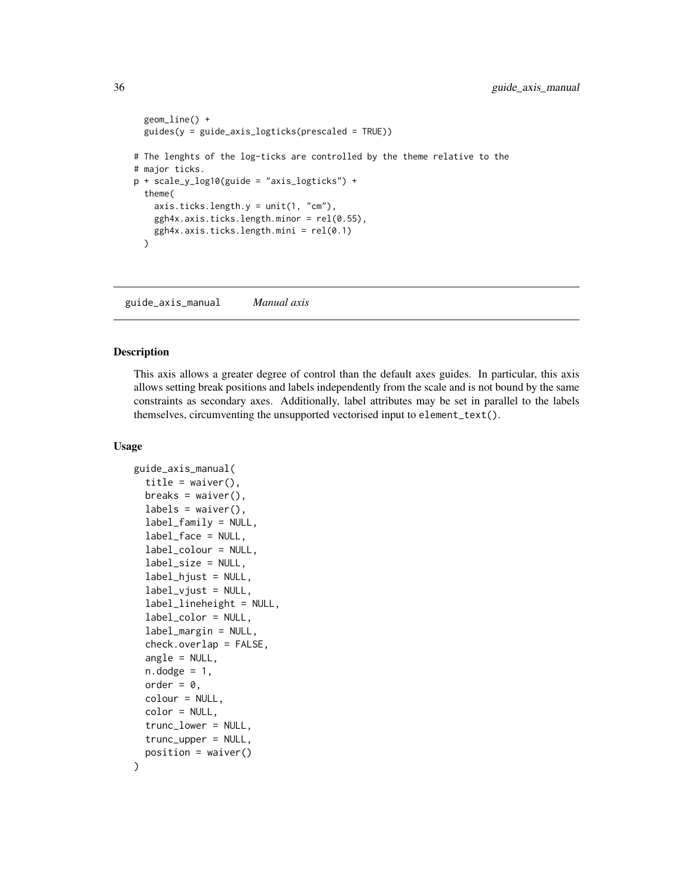```
geom_line() +
 guides(y = guide_axis_logticks(prescaled = TRUE))
# The lenghts of the log-ticks are controlled by the theme relative to the
# major ticks.
p + scale_y_log10(guide = "axis_logticks") +theme(
    axis.ticks.length.y = unit(1, "cm"),
   ggh4x.axis.ticks. length.minor = rel(0.55),ggh4x.axis.ticks.length.mini = rel(0.1)
 \mathcal{L}
```
<span id="page-35-1"></span>guide\_axis\_manual *Manual axis*

#### Description

This axis allows a greater degree of control than the default axes guides. In particular, this axis allows setting break positions and labels independently from the scale and is not bound by the same constraints as secondary axes. Additionally, label attributes may be set in parallel to the labels themselves, circumventing the unsupported vectorised input to element\_text().

#### Usage

```
guide_axis_manual(
  title = waiver(),
  breaks = waiver(),
  labels = waire(),label_family = NULL,
  label_face = NULL,
  label_colour = NULL,
  label_size = NULL,
  label_hjust = NULL,
  label\_vjust = NULL,label_lineheight = NULL,
  label_color = NULL,
  label_margin = NULL,
  check. overlap = FALSE,angle = NULL,
  n.dodge = 1,
  order = \theta,
  colour = NULL,
  color = NULL,
  trunc_lower = NULL,
  trunc_upper = NULL,
  position = waiver()
)
```
<span id="page-35-0"></span>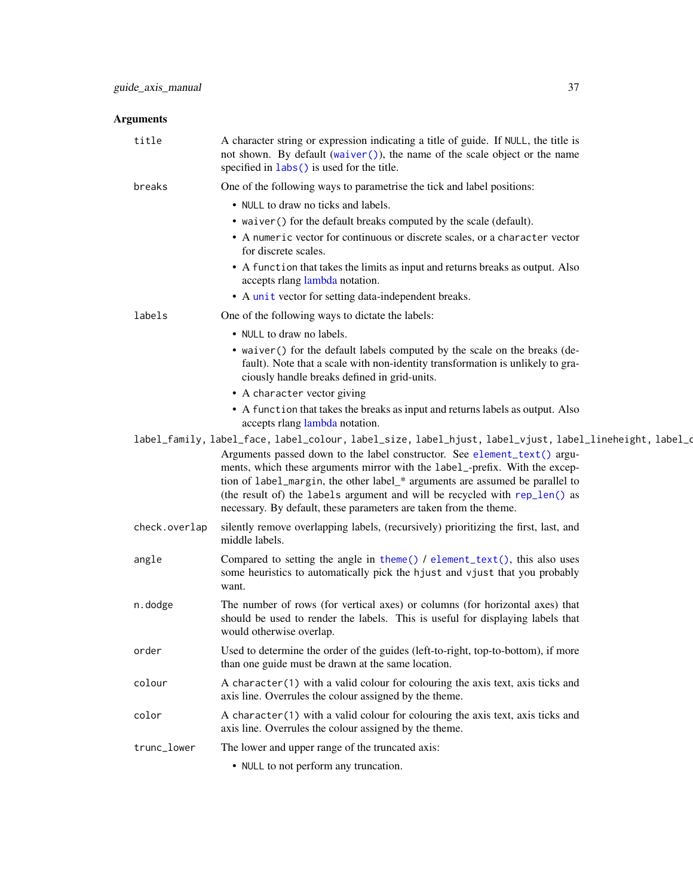| title         | A character string or expression indicating a title of guide. If NULL, the title is<br>not shown. By default (waiver()), the name of the scale object or the name<br>specified in labs () is used for the title.                                                                                                                                                                                                                                                                                      |
|---------------|-------------------------------------------------------------------------------------------------------------------------------------------------------------------------------------------------------------------------------------------------------------------------------------------------------------------------------------------------------------------------------------------------------------------------------------------------------------------------------------------------------|
| breaks        | One of the following ways to parametrise the tick and label positions:                                                                                                                                                                                                                                                                                                                                                                                                                                |
|               | • NULL to draw no ticks and labels.                                                                                                                                                                                                                                                                                                                                                                                                                                                                   |
|               | • waiver () for the default breaks computed by the scale (default).                                                                                                                                                                                                                                                                                                                                                                                                                                   |
|               | • A numeric vector for continuous or discrete scales, or a character vector<br>for discrete scales.                                                                                                                                                                                                                                                                                                                                                                                                   |
|               | • A function that takes the limits as input and returns breaks as output. Also<br>accepts rlang lambda notation.                                                                                                                                                                                                                                                                                                                                                                                      |
|               | • A unit vector for setting data-independent breaks.                                                                                                                                                                                                                                                                                                                                                                                                                                                  |
| labels        | One of the following ways to dictate the labels:                                                                                                                                                                                                                                                                                                                                                                                                                                                      |
|               | • NULL to draw no labels.                                                                                                                                                                                                                                                                                                                                                                                                                                                                             |
|               | • waiver () for the default labels computed by the scale on the breaks (de-<br>fault). Note that a scale with non-identity transformation is unlikely to gra-<br>ciously handle breaks defined in grid-units.                                                                                                                                                                                                                                                                                         |
|               | • A character vector giving                                                                                                                                                                                                                                                                                                                                                                                                                                                                           |
|               | • A function that takes the breaks as input and returns labels as output. Also<br>accepts rlang lambda notation.                                                                                                                                                                                                                                                                                                                                                                                      |
|               | label_family, label_face, label_colour, label_size, label_hjust, label_vjust, label_lineheight, label_o<br>Arguments passed down to the label constructor. See element_text() argu-<br>ments, which these arguments mirror with the label_-prefix. With the excep-<br>tion of label_margin, the other label_* arguments are assumed be parallel to<br>(the result of) the labels argument and will be recycled with rep_len() as<br>necessary. By default, these parameters are taken from the theme. |
| check.overlap | silently remove overlapping labels, (recursively) prioritizing the first, last, and<br>middle labels.                                                                                                                                                                                                                                                                                                                                                                                                 |
| angle         | Compared to setting the angle in theme() / element_text(), this also uses<br>some heuristics to automatically pick the hjust and vjust that you probably<br>want.                                                                                                                                                                                                                                                                                                                                     |
| n.dodge       | The number of rows (for vertical axes) or columns (for horizontal axes) that<br>should be used to render the labels. This is useful for displaying labels that<br>would otherwise overlap.                                                                                                                                                                                                                                                                                                            |
| order         | Used to determine the order of the guides (left-to-right, top-to-bottom), if more<br>than one guide must be drawn at the same location.                                                                                                                                                                                                                                                                                                                                                               |
| colour        | A character(1) with a valid colour for colouring the axis text, axis ticks and<br>axis line. Overrules the colour assigned by the theme.                                                                                                                                                                                                                                                                                                                                                              |
| color         | A character(1) with a valid colour for colouring the axis text, axis ticks and<br>axis line. Overrules the colour assigned by the theme.                                                                                                                                                                                                                                                                                                                                                              |
| trunc_lower   | The lower and upper range of the truncated axis:                                                                                                                                                                                                                                                                                                                                                                                                                                                      |
|               | • NULL to not perform any truncation.                                                                                                                                                                                                                                                                                                                                                                                                                                                                 |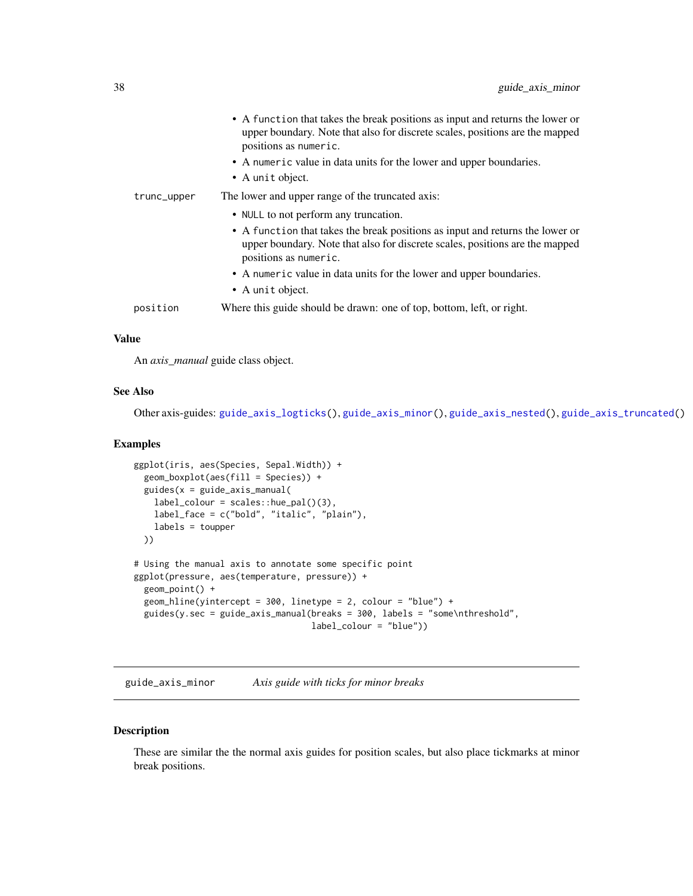|             | • A function that takes the break positions as input and returns the lower or<br>upper boundary. Note that also for discrete scales, positions are the mapped<br>positions as numeric.<br>• A numeric value in data units for the lower and upper boundaries.<br>• A unit object. |
|-------------|-----------------------------------------------------------------------------------------------------------------------------------------------------------------------------------------------------------------------------------------------------------------------------------|
| trunc_upper | The lower and upper range of the truncated axis:                                                                                                                                                                                                                                  |
|             | • NULL to not perform any truncation.                                                                                                                                                                                                                                             |
|             | • A function that takes the break positions as input and returns the lower or<br>upper boundary. Note that also for discrete scales, positions are the mapped<br>positions as numeric.                                                                                            |
|             | • A numeric value in data units for the lower and upper boundaries.                                                                                                                                                                                                               |
|             | • A unit object.                                                                                                                                                                                                                                                                  |
| position    | Where this guide should be drawn: one of top, bottom, left, or right.                                                                                                                                                                                                             |
|             |                                                                                                                                                                                                                                                                                   |

### Value

An *axis\_manual* guide class object.

### See Also

Other axis-guides: [guide\\_axis\\_logticks\(](#page-33-0)), [guide\\_axis\\_minor\(](#page-37-0)), [guide\\_axis\\_nested\(](#page-39-0)), [guide\\_axis\\_truncated\(](#page-42-0))

#### Examples

```
ggplot(iris, aes(Species, Sepal.Width)) +
  geom_boxplot(aes(fill = Species)) +
  guides(x = guide_axis_manual(
   label_colour = scales::hue_pal()(3),
   label_face = c("bold", "italic", "plain"),
   labels = toupper
  ))
# Using the manual axis to annotate some specific point
ggplot(pressure, aes(temperature, pressure)) +
  geom_point() +
  geom_hline(yintercept = 300, linetype = 2, colour = "blue") +
  guides(y.sec = guide_axis_manual(breaks = 300, labels = "some\nthreshold",
                                   label_colour = "blue"))
```
<span id="page-37-0"></span>guide\_axis\_minor *Axis guide with ticks for minor breaks*

#### Description

These are similar the the normal axis guides for position scales, but also place tickmarks at minor break positions.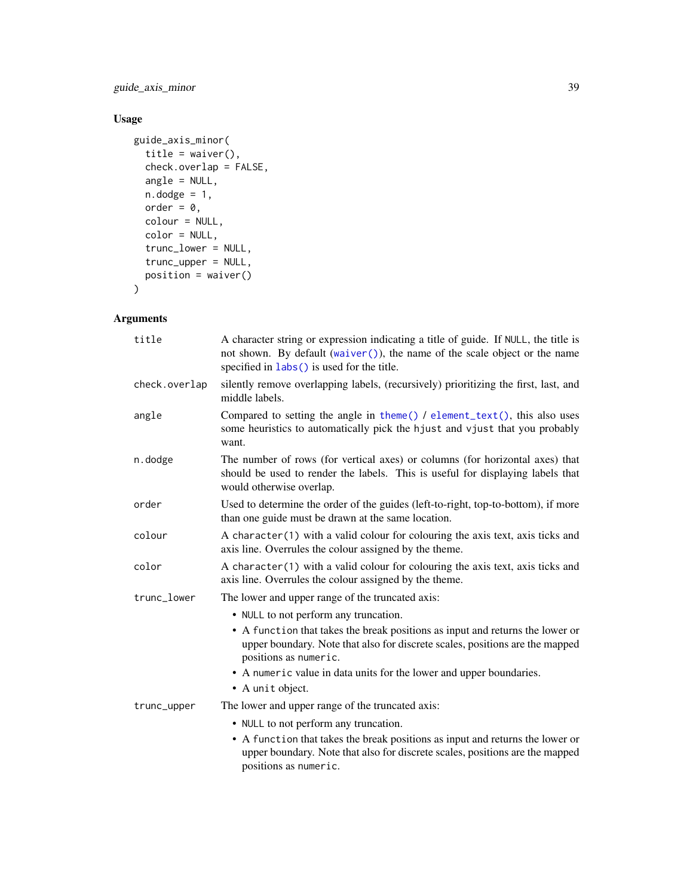guide\_axis\_minor 39

# Usage

```
guide_axis_minor(
  title = waiver(),
  check.overlap = FALSE,
  angle = NULL,
  n.dodge = 1,
  order = 0,
  colour = NULL,
  color = NULL,
  trunc_lower = NULL,
  trunc_upper = NULL,
  position = waiver()
\mathcal{L}
```

| title         | A character string or expression indicating a title of guide. If NULL, the title is<br>not shown. By default (waiver()), the name of the scale object or the name<br>specified in labs () is used for the title. |
|---------------|------------------------------------------------------------------------------------------------------------------------------------------------------------------------------------------------------------------|
| check.overlap | silently remove overlapping labels, (recursively) prioritizing the first, last, and<br>middle labels.                                                                                                            |
| angle         | Compared to setting the angle in theme() $\ell$ element_text(), this also uses<br>some heuristics to automatically pick the hjust and vjust that you probably<br>want.                                           |
| n.dodge       | The number of rows (for vertical axes) or columns (for horizontal axes) that<br>should be used to render the labels. This is useful for displaying labels that<br>would otherwise overlap.                       |
| order         | Used to determine the order of the guides (left-to-right, top-to-bottom), if more<br>than one guide must be drawn at the same location.                                                                          |
| colour        | A character (1) with a valid colour for colouring the axis text, axis ticks and<br>axis line. Overrules the colour assigned by the theme.                                                                        |
| color         | A character(1) with a valid colour for colouring the axis text, axis ticks and<br>axis line. Overrules the colour assigned by the theme.                                                                         |
| trunc_lower   | The lower and upper range of the truncated axis:                                                                                                                                                                 |
|               | • NULL to not perform any truncation.                                                                                                                                                                            |
|               | • A function that takes the break positions as input and returns the lower or<br>upper boundary. Note that also for discrete scales, positions are the mapped<br>positions as numeric.                           |
|               | • A numeric value in data units for the lower and upper boundaries.<br>• A unit object.                                                                                                                          |
| trunc_upper   | The lower and upper range of the truncated axis:                                                                                                                                                                 |
|               | • NULL to not perform any truncation.                                                                                                                                                                            |
|               | • A function that takes the break positions as input and returns the lower or<br>upper boundary. Note that also for discrete scales, positions are the mapped<br>positions as numeric.                           |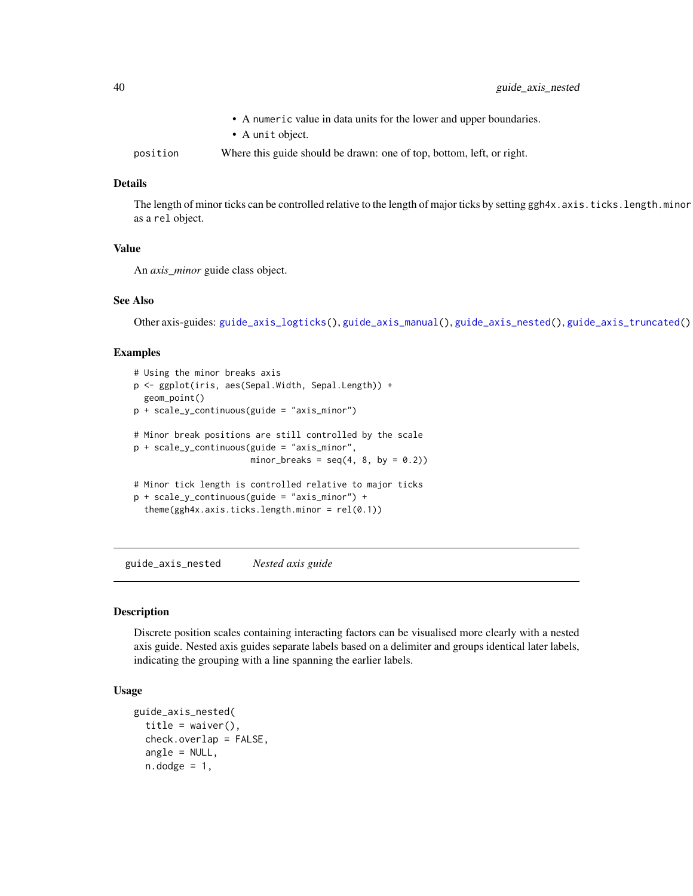|          | • A numeric value in data units for the lower and upper boundaries.   |
|----------|-----------------------------------------------------------------------|
|          | • A unit object.                                                      |
| position | Where this guide should be drawn: one of top, bottom, left, or right. |

### Details

The length of minor ticks can be controlled relative to the length of major ticks by setting ggh4x.axis.ticks.length.minor as a rel object.

### Value

An *axis\_minor* guide class object.

#### See Also

Other axis-guides: [guide\\_axis\\_logticks\(](#page-33-0)), [guide\\_axis\\_manual\(](#page-35-0)), [guide\\_axis\\_nested\(](#page-39-0)), [guide\\_axis\\_truncated\(](#page-42-0))

#### Examples

```
# Using the minor breaks axis
p <- ggplot(iris, aes(Sepal.Width, Sepal.Length)) +
 geom_point()
p + scale_y_continuous(guide = "axis_minor")
# Minor break positions are still controlled by the scale
p + scale_y_continuous(guide = "axis_minor",
                      minor_breaks = seq(4, 8, by = 0.2)# Minor tick length is controlled relative to major ticks
p + scale_y_continuous(guide = "axis_minor") +
 theme(ggh4x.axis.ticks.length.minor = rel(0.1))
```
<span id="page-39-0"></span>guide\_axis\_nested *Nested axis guide*

#### Description

Discrete position scales containing interacting factors can be visualised more clearly with a nested axis guide. Nested axis guides separate labels based on a delimiter and groups identical later labels, indicating the grouping with a line spanning the earlier labels.

#### Usage

```
guide_axis_nested(
  title = waiver(),
  check.overlap = FALSE,
  angle = NULL,
  n.dodge = 1,
```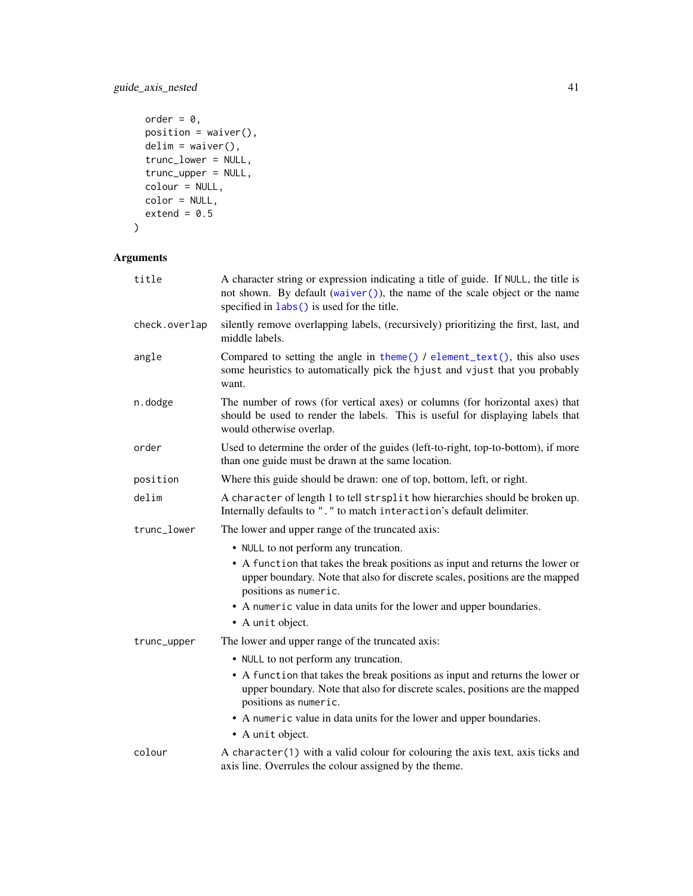# guide\_axis\_nested 41

```
order = 0,
 position = waiver(),
 delim = waiver(),trunc_lower = NULL,
 trunc\_upper = NULL,colour = NULL,
 color = NULL,
 extend = 0.5\mathcal{L}
```

| title         | A character string or expression indicating a title of guide. If NULL, the title is<br>not shown. By default (waiver()), the name of the scale object or the name<br>specified in labs() is used for the title. |
|---------------|-----------------------------------------------------------------------------------------------------------------------------------------------------------------------------------------------------------------|
| check.overlap | silently remove overlapping labels, (recursively) prioritizing the first, last, and<br>middle labels.                                                                                                           |
| angle         | Compared to setting the angle in theme() / element_text(), this also uses<br>some heuristics to automatically pick the hjust and vjust that you probably<br>want.                                               |
| n.dodge       | The number of rows (for vertical axes) or columns (for horizontal axes) that<br>should be used to render the labels. This is useful for displaying labels that<br>would otherwise overlap.                      |
| order         | Used to determine the order of the guides (left-to-right, top-to-bottom), if more<br>than one guide must be drawn at the same location.                                                                         |
| position      | Where this guide should be drawn: one of top, bottom, left, or right.                                                                                                                                           |
| delim         | A character of length 1 to tell strsplit how hierarchies should be broken up.<br>Internally defaults to "." to match interaction's default delimiter.                                                           |
| trunc_lower   | The lower and upper range of the truncated axis:                                                                                                                                                                |
|               | • NULL to not perform any truncation.                                                                                                                                                                           |
|               | • A function that takes the break positions as input and returns the lower or<br>upper boundary. Note that also for discrete scales, positions are the mapped<br>positions as numeric.                          |
|               | • A numeric value in data units for the lower and upper boundaries.<br>• A unit object.                                                                                                                         |
| trunc_upper   | The lower and upper range of the truncated axis:                                                                                                                                                                |
|               | • NULL to not perform any truncation.                                                                                                                                                                           |
|               | • A function that takes the break positions as input and returns the lower or<br>upper boundary. Note that also for discrete scales, positions are the mapped<br>positions as numeric.                          |
|               | • A numeric value in data units for the lower and upper boundaries.                                                                                                                                             |
|               | • A unit object.                                                                                                                                                                                                |
| colour        | A character(1) with a valid colour for colouring the axis text, axis ticks and<br>axis line. Overrules the colour assigned by the theme.                                                                        |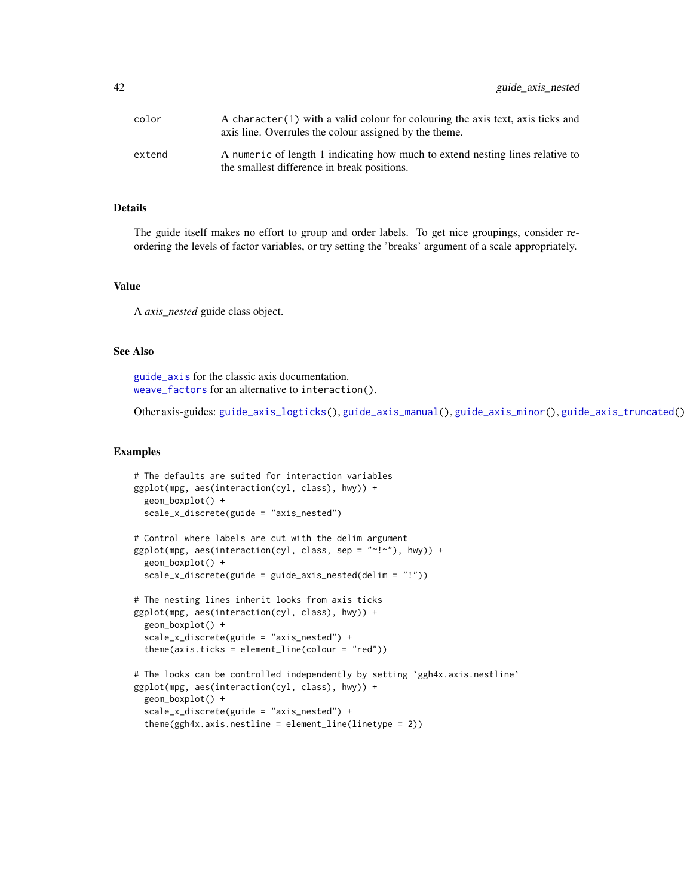| color  | A character (1) with a valid colour for colouring the axis text, axis ticks and<br>axis line. Overrules the colour assigned by the theme. |
|--------|-------------------------------------------------------------------------------------------------------------------------------------------|
| extend | A numeric of length 1 indicating how much to extend nesting lines relative to<br>the smallest difference in break positions.              |

#### Details

The guide itself makes no effort to group and order labels. To get nice groupings, consider reordering the levels of factor variables, or try setting the 'breaks' argument of a scale appropriately.

#### Value

A *axis\_nested* guide class object.

#### See Also

[guide\\_axis](#page-0-0) for the classic axis documentation. [weave\\_factors](#page-76-0) for an alternative to interaction().

Other axis-guides: [guide\\_axis\\_logticks\(](#page-33-0)), [guide\\_axis\\_manual\(](#page-35-0)), [guide\\_axis\\_minor\(](#page-37-0)), [guide\\_axis\\_truncated\(](#page-42-0))

#### Examples

```
# The defaults are suited for interaction variables
ggplot(mpg, aes(interaction(cyl, class), hwy)) +
 geom_boxplot() +
 scale_x_discrete(guide = "axis_nested")
# Control where labels are cut with the delim argument
ggplot(mpg, aes(interation(cyl, class, sep = "~!~\sim"). hwy)) +
 geom_boxplot() +
 scale_x_discrete(guide = guide_axis_nested(delim = "!"))
# The nesting lines inherit looks from axis ticks
ggplot(mpg, aes(interaction(cyl, class), hwy)) +
 geom_boxplot() +
 scale_x_discrete(guide = "axis_nested") +
 theme(axis.ticks = element_line(colour = "red"))
# The looks can be controlled independently by setting `ggh4x.axis.nestline`
ggplot(mpg, aes(interaction(cyl, class), hwy)) +
 geom_boxplot() +
 scale_x_discrete(guide = "axis_nested") +
 theme(ggh4x.axis.nestline = element_line(linetype = 2))
```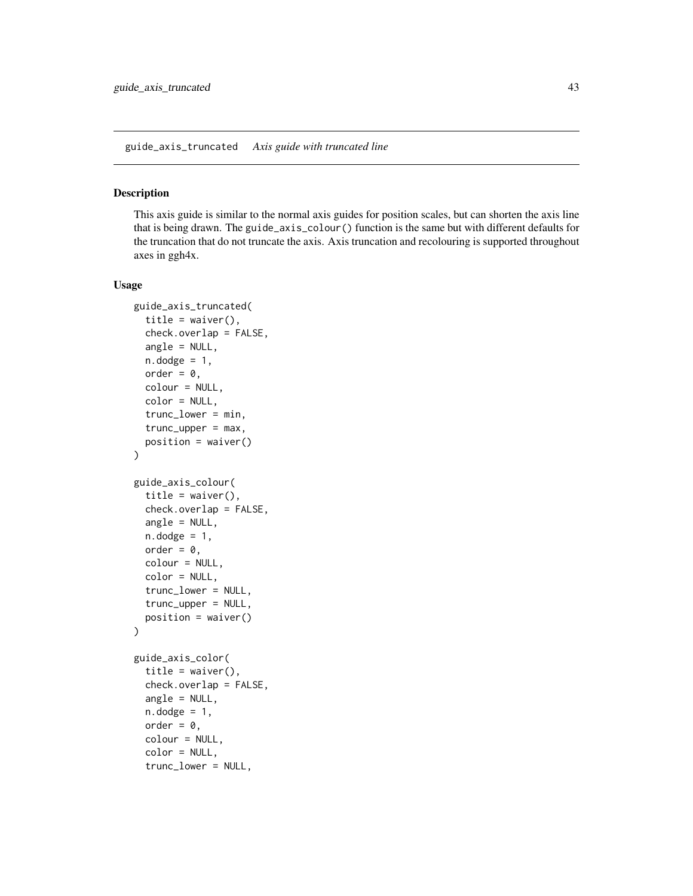#### <span id="page-42-0"></span>Description

This axis guide is similar to the normal axis guides for position scales, but can shorten the axis line that is being drawn. The guide\_axis\_colour() function is the same but with different defaults for the truncation that do not truncate the axis. Axis truncation and recolouring is supported throughout axes in ggh4x.

#### Usage

```
guide_axis_truncated(
  title = waiver(),
  check.overlap = FALSE,
  angle = NULL,
  n.dodge = 1,
  order = \theta,
  colour = NULL,
  color = NULL,
  trunc_lower = min,
  trunc\_upper = max,position = waiver()
\mathcal{L}guide_axis_colour(
  title = waiver(),
  check.overlap = FALSE,
  angle = NULL,
  n.dodge = 1,
  order = 0,
  colour = NULL,
  color = NULL,
  trunc_lower = NULL,
  trunc_upper = NULL,
 position = waiver()
)
guide_axis_color(
  title = waiver(),
  check.overlap = FALSE,
  angle = NULL,n.dodge = 1,
  order = 0,
  colour = NULL,
  color = NULL,
  trunc_lower = NULL,
```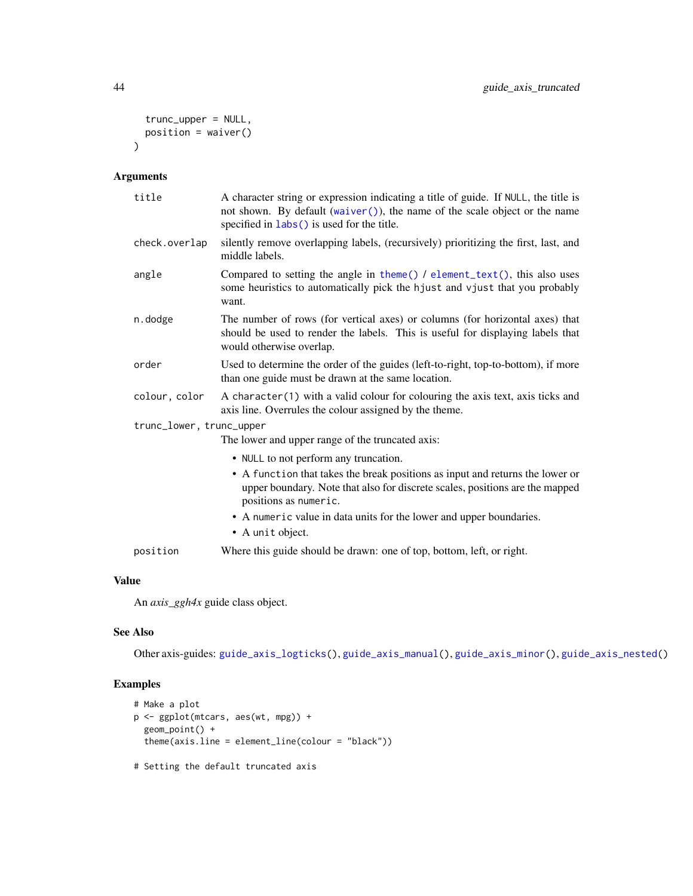```
trunc_upper = NULL,
  position = waiver()
\lambda
```
# Arguments

| title                    | A character string or expression indicating a title of guide. If NULL, the title is<br>not shown. By default (waiver()), the name of the scale object or the name<br>specified in labs () is used for the title. |
|--------------------------|------------------------------------------------------------------------------------------------------------------------------------------------------------------------------------------------------------------|
| check.overlap            | silently remove overlapping labels, (recursively) prioritizing the first, last, and<br>middle labels.                                                                                                            |
| angle                    | Compared to setting the angle in theme() $\ell$ element_text(), this also uses<br>some heuristics to automatically pick the hjust and vjust that you probably<br>want.                                           |
| n.dodge                  | The number of rows (for vertical axes) or columns (for horizontal axes) that<br>should be used to render the labels. This is useful for displaying labels that<br>would otherwise overlap.                       |
| order                    | Used to determine the order of the guides (left-to-right, top-to-bottom), if more<br>than one guide must be drawn at the same location.                                                                          |
| colour, color            | A character (1) with a valid colour for colouring the axis text, axis ticks and<br>axis line. Overrules the colour assigned by the theme.                                                                        |
| trunc_lower, trunc_upper |                                                                                                                                                                                                                  |
|                          | The lower and upper range of the truncated axis:                                                                                                                                                                 |
|                          | • NULL to not perform any truncation.                                                                                                                                                                            |
|                          | • A function that takes the break positions as input and returns the lower or<br>upper boundary. Note that also for discrete scales, positions are the mapped<br>positions as numeric.                           |
|                          | • A numeric value in data units for the lower and upper boundaries.                                                                                                                                              |
|                          | • A unit object.                                                                                                                                                                                                 |
| position                 | Where this guide should be drawn: one of top, bottom, left, or right.                                                                                                                                            |

# Value

An *axis\_ggh4x* guide class object.

# See Also

Other axis-guides: [guide\\_axis\\_logticks\(](#page-33-0)), [guide\\_axis\\_manual\(](#page-35-0)), [guide\\_axis\\_minor\(](#page-37-0)), [guide\\_axis\\_nested\(](#page-39-0))

# Examples

```
# Make a plot
p <- ggplot(mtcars, aes(wt, mpg)) +
 geom_point() +
 theme(axis.line = element_line(colour = "black"))
```
# Setting the default truncated axis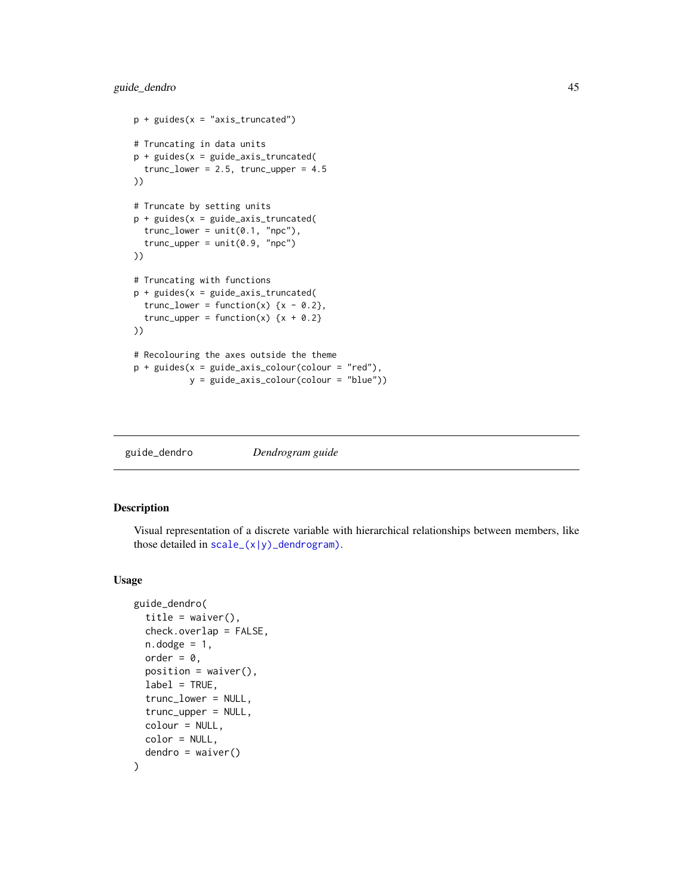# guide\_dendro 45

```
p + guides(x = "axis_truncated")# Truncating in data units
p + guides(x = guide\_axis_truncated()trunc_lower = 2.5, trunc_lupper = 4.5))
# Truncate by setting units
p + guides(x = guide\_axis\_truncated)trunc\_lower = unit(0.1, "npc"),trunc_upper = unit(0.9, "npc")
))
# Truncating with functions
p + guides(x = guide\_axis_truncated()trunc_lower = function(x) \{x - 0.2\},
  trunc_upper = function(x) \{x + 0.2\}))
# Recolouring the axes outside the theme
p + guides(x = guide\_axis\_colour(colour = "red"),y = guide_axis_colour(colour = "blue"))
```

|  | guide_dendro | Dendrogram guide |  |
|--|--------------|------------------|--|
|--|--------------|------------------|--|

### Description

Visual representation of a discrete variable with hierarchical relationships between members, like those detailed in  $scale_{-}(x|y)$  dendrogram).

### Usage

```
guide_dendro(
  title = waiver(),
  check.overlap = FALSE,
  n.dodge = 1,
  order = 0,
  position = waitver(),
  label = TRUE,trunc_lower = NULL,
  trunc_upper = NULL,
  colour = NULL,
  color = NULL,
  dendro = waire())
```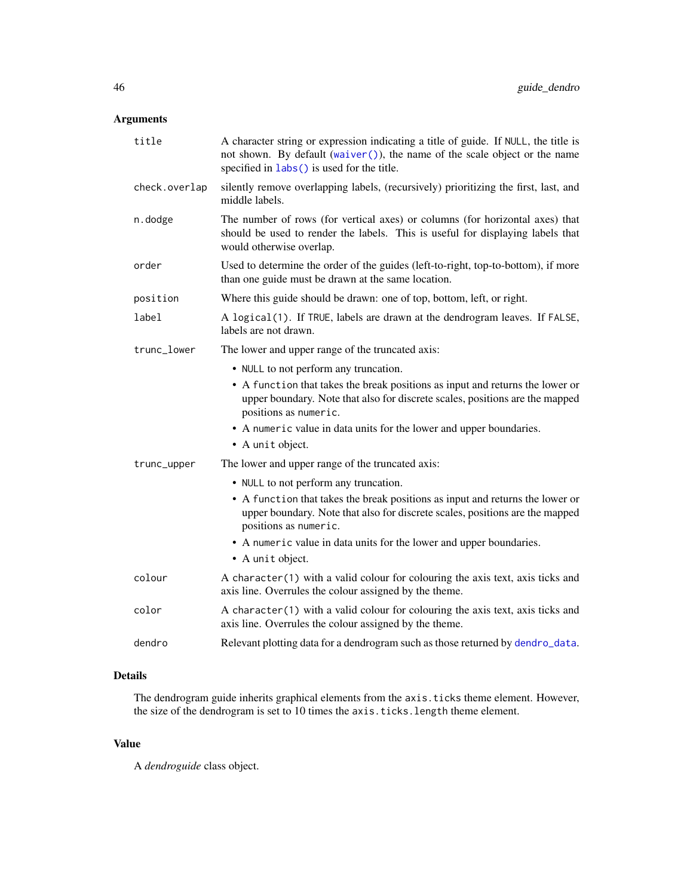# Arguments

| title         | A character string or expression indicating a title of guide. If NULL, the title is<br>not shown. By default (waiver()), the name of the scale object or the name<br>specified in labs () is used for the title. |
|---------------|------------------------------------------------------------------------------------------------------------------------------------------------------------------------------------------------------------------|
| check.overlap | silently remove overlapping labels, (recursively) prioritizing the first, last, and<br>middle labels.                                                                                                            |
| n.dodge       | The number of rows (for vertical axes) or columns (for horizontal axes) that<br>should be used to render the labels. This is useful for displaying labels that<br>would otherwise overlap.                       |
| order         | Used to determine the order of the guides (left-to-right, top-to-bottom), if more<br>than one guide must be drawn at the same location.                                                                          |
| position      | Where this guide should be drawn: one of top, bottom, left, or right.                                                                                                                                            |
| label         | A logical(1). If TRUE, labels are drawn at the dendrogram leaves. If FALSE,<br>labels are not drawn.                                                                                                             |
| trunc_lower   | The lower and upper range of the truncated axis:                                                                                                                                                                 |
|               | • NULL to not perform any truncation.                                                                                                                                                                            |
|               | • A function that takes the break positions as input and returns the lower or<br>upper boundary. Note that also for discrete scales, positions are the mapped<br>positions as numeric.                           |
|               | • A numeric value in data units for the lower and upper boundaries.                                                                                                                                              |
|               | • A unit object.                                                                                                                                                                                                 |
| trunc_upper   | The lower and upper range of the truncated axis:                                                                                                                                                                 |
|               | • NULL to not perform any truncation.                                                                                                                                                                            |
|               | • A function that takes the break positions as input and returns the lower or<br>upper boundary. Note that also for discrete scales, positions are the mapped<br>positions as numeric.                           |
|               | • A numeric value in data units for the lower and upper boundaries.                                                                                                                                              |
|               | • A unit object.                                                                                                                                                                                                 |
| colour        | A character(1) with a valid colour for colouring the axis text, axis ticks and<br>axis line. Overrules the colour assigned by the theme.                                                                         |
| color         | A character(1) with a valid colour for colouring the axis text, axis ticks and<br>axis line. Overrules the colour assigned by the theme.                                                                         |
| dendro        | Relevant plotting data for a dendrogram such as those returned by dendro_data.                                                                                                                                   |
|               |                                                                                                                                                                                                                  |

# Details

The dendrogram guide inherits graphical elements from the axis.ticks theme element. However, the size of the dendrogram is set to 10 times the axis.ticks.length theme element.

# Value

A *dendroguide* class object.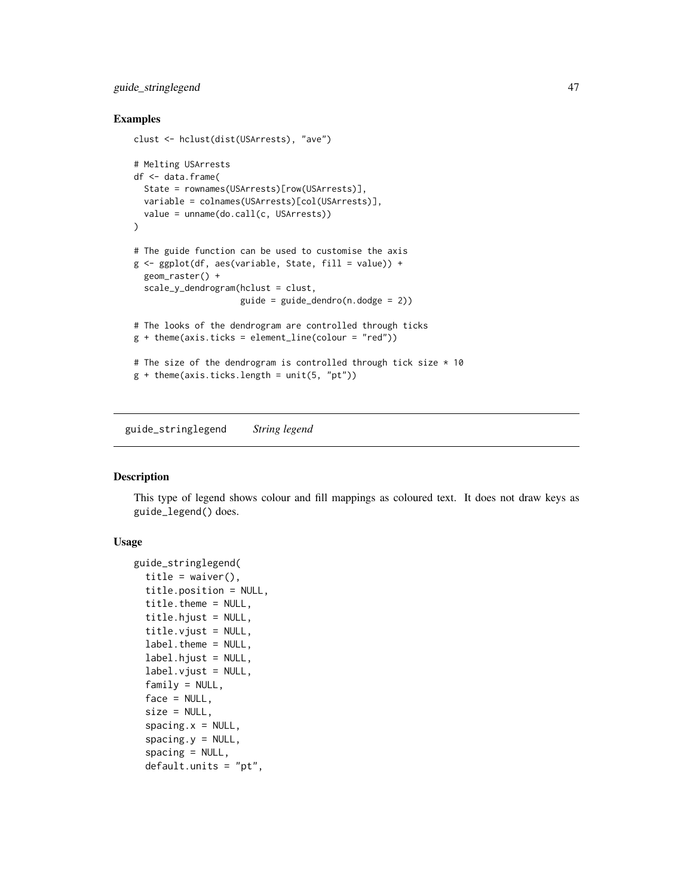# guide\_stringlegend 47

### Examples

```
clust <- hclust(dist(USArrests), "ave")
# Melting USArrests
df <- data.frame(
  State = rownames(USArrests)[row(USArrests)],
  variable = colnames(USArrests)[col(USArrests)],
  value = unname(do.call(c, USArrests))
\lambda# The guide function can be used to customise the axis
g \leftarrow ggplot(df, aes(variable, State, fill = value)) +geom_raster() +
  scale_y_dendrogram(hclust = clust,
                     guide = guide\_dendro(n.dodge = 2)# The looks of the dendrogram are controlled through ticks
g + theme(axis.ticks = element_line(colour = "red"))
# The size of the dendrogram is controlled through tick size * 10
g + theme(axis.ticks.length = unit(5, "pt"))
```
guide\_stringlegend *String legend*

### Description

This type of legend shows colour and fill mappings as coloured text. It does not draw keys as guide\_legend() does.

### Usage

```
guide_stringlegend(
  title = waiver(),
  title.position = NULL,
  title.theme = NULL,
  title.hjust = NULL,
  title.vjust = NULL,
  label.theme = NULL,
  label.hjust = NULL,
  label.vjust = NULL,family = NULL,
  face = NULL,size = NULL,
  spacing.x = NULL,spacing.y = NULL,spacing = NULL,
  default.units = "pt",
```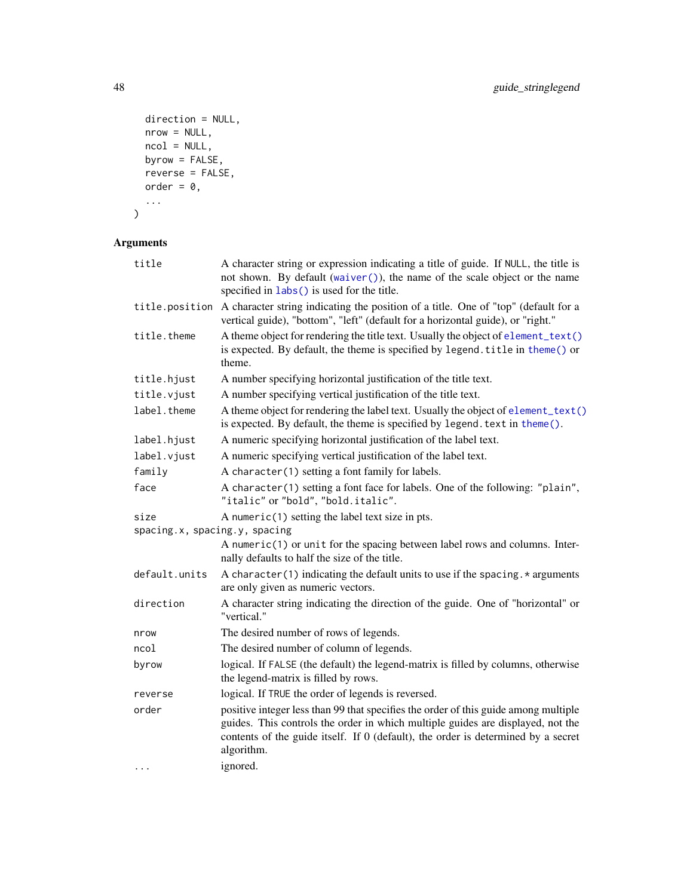```
direction = NULL,
  nrow = NULL,
  ncol = NULL,byrow = FALSE,
  reverse = FALSE,
  order = 0,...
\overline{)}
```

| title                                 | A character string or expression indicating a title of guide. If NULL, the title is<br>not shown. By default (waiver()), the name of the scale object or the name<br>specified in labs() is used for the title.                                                           |
|---------------------------------------|---------------------------------------------------------------------------------------------------------------------------------------------------------------------------------------------------------------------------------------------------------------------------|
| title.position                        | A character string indicating the position of a title. One of "top" (default for a<br>vertical guide), "bottom", "left" (default for a horizontal guide), or "right."                                                                                                     |
| title.theme                           | A theme object for rendering the title text. Usually the object of element_text()<br>is expected. By default, the theme is specified by legend. title in theme() or<br>theme.                                                                                             |
| title.hjust                           | A number specifying horizontal justification of the title text.                                                                                                                                                                                                           |
| title.vjust                           | A number specifying vertical justification of the title text.                                                                                                                                                                                                             |
| label.theme                           | A theme object for rendering the label text. Usually the object of element_text()<br>is expected. By default, the theme is specified by legend. text in theme().                                                                                                          |
| label.hjust                           | A numeric specifying horizontal justification of the label text.                                                                                                                                                                                                          |
| label.vjust                           | A numeric specifying vertical justification of the label text.                                                                                                                                                                                                            |
| family                                | A character(1) setting a font family for labels.                                                                                                                                                                                                                          |
| face                                  | A character(1) setting a font face for labels. One of the following: "plain",<br>"italic" or "bold", "bold.italic".                                                                                                                                                       |
| size<br>spacing.x, spacing.y, spacing | A numeric $(1)$ setting the label text size in pts.                                                                                                                                                                                                                       |
|                                       | A numeric(1) or unit for the spacing between label rows and columns. Inter-<br>nally defaults to half the size of the title.                                                                                                                                              |
| default.units                         | A character (1) indicating the default units to use if the spacing. $*$ arguments<br>are only given as numeric vectors.                                                                                                                                                   |
| direction                             | A character string indicating the direction of the guide. One of "horizontal" or<br>"vertical."                                                                                                                                                                           |
| nrow                                  | The desired number of rows of legends.                                                                                                                                                                                                                                    |
| ncol                                  | The desired number of column of legends.                                                                                                                                                                                                                                  |
| byrow                                 | logical. If FALSE (the default) the legend-matrix is filled by columns, otherwise<br>the legend-matrix is filled by rows.                                                                                                                                                 |
| reverse                               | logical. If TRUE the order of legends is reversed.                                                                                                                                                                                                                        |
| order                                 | positive integer less than 99 that specifies the order of this guide among multiple<br>guides. This controls the order in which multiple guides are displayed, not the<br>contents of the guide itself. If 0 (default), the order is determined by a secret<br>algorithm. |
| $\cdots$                              | ignored.                                                                                                                                                                                                                                                                  |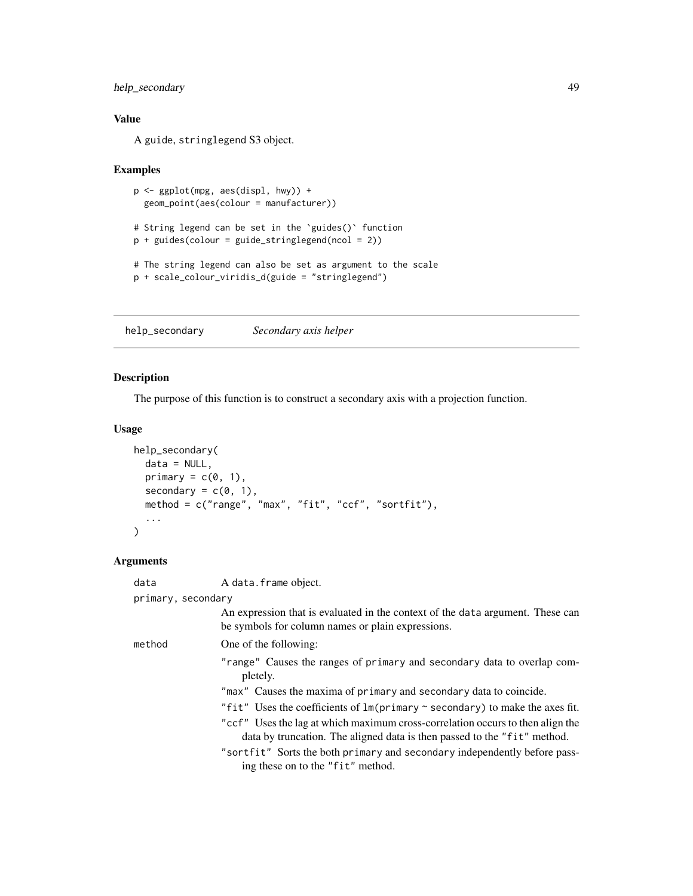# help\_secondary 49

# Value

A guide, stringlegend S3 object.

#### Examples

```
p <- ggplot(mpg, aes(displ, hwy)) +
  geom_point(aes(colour = manufacturer))
# String legend can be set in the `guides()` function
p + guides(colour = guide_stringlegend(ncol = 2))
# The string legend can also be set as argument to the scale
p + scale_colour_viridis_d(guide = "stringlegend")
```
help\_secondary *Secondary axis helper*

# Description

The purpose of this function is to construct a secondary axis with a projection function.

# Usage

```
help_secondary(
 data = NULL,primary = c(0, 1),
 secondary = c(0, 1),
 method = c("range", "max", "fit", "ccf", "sortfit"),
  ...
\mathcal{L}
```

| data               | A data.frame object.                                                                                                                                       |
|--------------------|------------------------------------------------------------------------------------------------------------------------------------------------------------|
| primary, secondary |                                                                                                                                                            |
|                    | An expression that is evaluated in the context of the data argument. These can<br>be symbols for column names or plain expressions.                        |
| method             | One of the following:                                                                                                                                      |
|                    | "range" Causes the ranges of primary and secondary data to overlap com-<br>pletely.                                                                        |
|                    | "max" Causes the maxima of primary and secondary data to coincide.                                                                                         |
|                    | "fit" Uses the coefficients of $\text{Im}(\text{primary} \sim \text{secondary})$ to make the axes fit.                                                     |
|                    | "ccf" Uses the lag at which maximum cross-correlation occurs to then align the<br>data by truncation. The aligned data is then passed to the "fit" method. |
|                    | "sortfit" Sorts the both primary and secondary independently before pass-<br>ing these on to the "fit" method.                                             |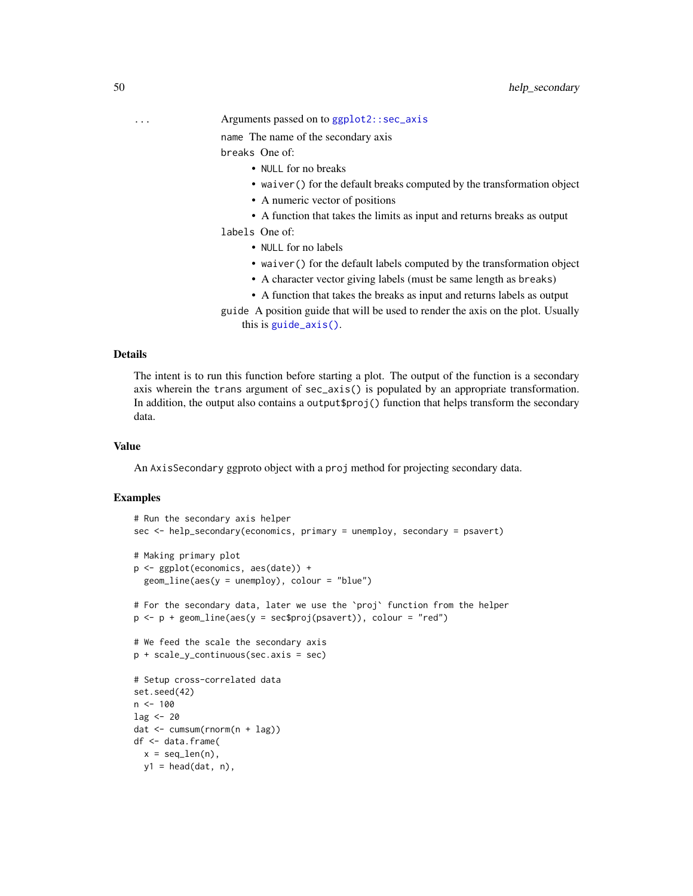name The name of the secondary axis

breaks One of:

- NULL for no breaks
- waiver() for the default breaks computed by the transformation object
- A numeric vector of positions
- A function that takes the limits as input and returns breaks as output

labels One of:

- NULL for no labels
- waiver() for the default labels computed by the transformation object
- A character vector giving labels (must be same length as breaks)
- A function that takes the breaks as input and returns labels as output
- guide A position guide that will be used to render the axis on the plot. Usually this is [guide\\_axis\(\)](#page-0-0).

# Details

The intent is to run this function before starting a plot. The output of the function is a secondary axis wherein the trans argument of sec\_axis() is populated by an appropriate transformation. In addition, the output also contains a output\$proj() function that helps transform the secondary data.

#### Value

An AxisSecondary ggproto object with a proj method for projecting secondary data.

#### Examples

```
# Run the secondary axis helper
sec <- help_secondary(economics, primary = unemploy, secondary = psavert)
# Making primary plot
p <- ggplot(economics, aes(date)) +
 geom_line(aes(y = unemploy), colour = "blue")
# For the secondary data, later we use the `proj` function from the helper
p \leq p + \text{geom\_line}(aes(y = sec\text{`proj}(psavert)), color = "red")# We feed the scale the secondary axis
p + scale_y_continuous(sec.axis = sec)
# Setup cross-correlated data
set.seed(42)
n < -100lag < - 20dat <- cumsum(rnorm(n + lag))
df <- data.frame(
 x = seq\_len(n),
 y1 = head(data, n),
```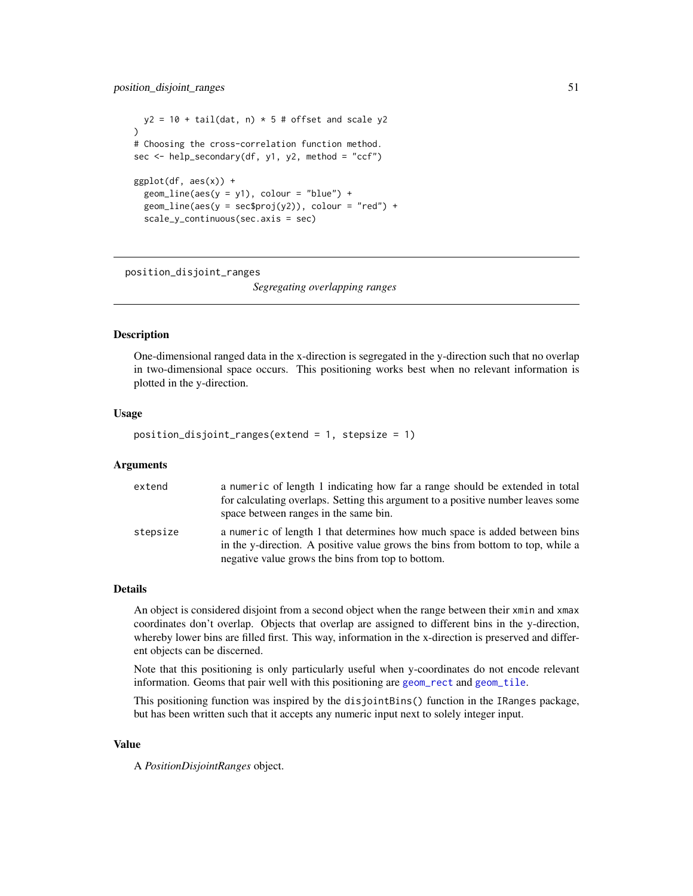```
y2 = 10 + tail(data, n) * 5 # offset and scale y2)
# Choosing the cross-correlation function method.
sec \leq help_secondary(df, y1, y2, method = "ccf")
ggplot(df, aes(x)) +geom\_line(aes(y = y1), colour = "blue") +geom\_line(aes(y = sec\proj(y2)), color = "red") +
 scale_y_continuous(sec.axis = sec)
```
position\_disjoint\_ranges

*Segregating overlapping ranges*

### **Description**

One-dimensional ranged data in the x-direction is segregated in the y-direction such that no overlap in two-dimensional space occurs. This positioning works best when no relevant information is plotted in the y-direction.

#### Usage

position\_disjoint\_ranges(extend = 1, stepsize = 1)

#### Arguments

| extend   | a numeric of length 1 indicating how far a range should be extended in total<br>for calculating overlaps. Setting this argument to a positive number leaves some<br>space between ranges in the same bin.          |
|----------|--------------------------------------------------------------------------------------------------------------------------------------------------------------------------------------------------------------------|
| stepsize | a numeric of length 1 that determines how much space is added between bins<br>in the y-direction. A positive value grows the bins from bottom to top, while a<br>negative value grows the bins from top to bottom. |

#### Details

An object is considered disjoint from a second object when the range between their xmin and xmax coordinates don't overlap. Objects that overlap are assigned to different bins in the y-direction, whereby lower bins are filled first. This way, information in the x-direction is preserved and different objects can be discerned.

Note that this positioning is only particularly useful when y-coordinates do not encode relevant information. Geoms that pair well with this positioning are [geom\\_rect](#page-0-0) and [geom\\_tile](#page-0-0).

This positioning function was inspired by the disjointBins() function in the IRanges package, but has been written such that it accepts any numeric input next to solely integer input.

#### Value

A *PositionDisjointRanges* object.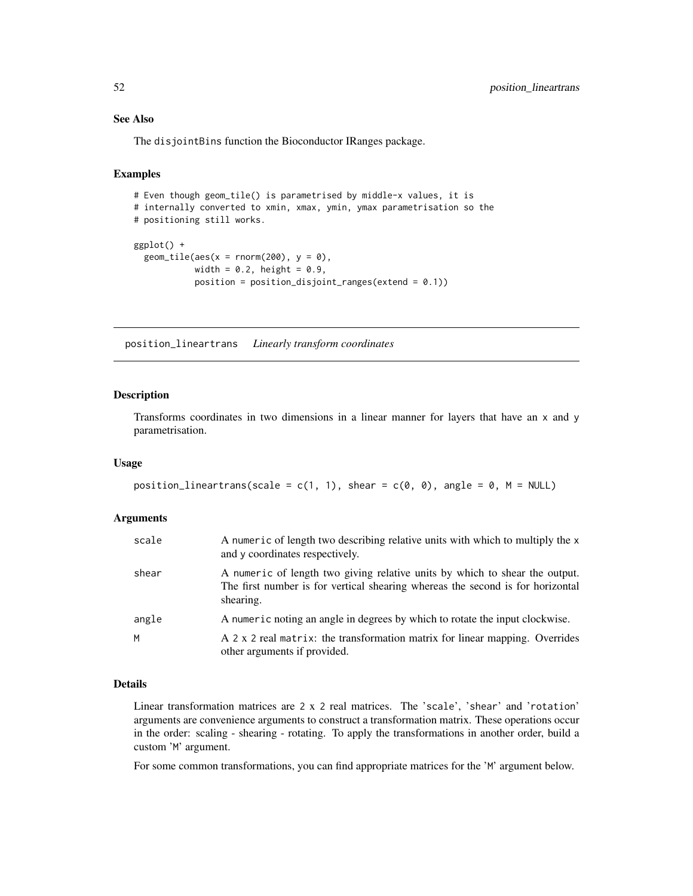# See Also

The disjointBins function the Bioconductor IRanges package.

### Examples

```
# Even though geom_tile() is parametrised by middle-x values, it is
# internally converted to xmin, xmax, ymin, ymax parametrisation so the
# positioning still works.
ggplot() +
 geom\_tile(aes(x = rnorm(200), y = 0),width = 0.2, height = 0.9,
            position = position\_disjoint\_ranges(extend = 0.1)
```
position\_lineartrans *Linearly transform coordinates*

### Description

Transforms coordinates in two dimensions in a linear manner for layers that have an x and y parametrisation.

#### Usage

```
position_lineartrans(scale = c(1, 1), shear = c(\emptyset, \emptyset), angle = \emptyset, M = NULL)
```
#### Arguments

| scale | A numeric of length two describing relative units with which to multiply the x<br>and y coordinates respectively.                                                          |
|-------|----------------------------------------------------------------------------------------------------------------------------------------------------------------------------|
| shear | A numeric of length two giving relative units by which to shear the output.<br>The first number is for vertical shearing whereas the second is for horizontal<br>shearing. |
| angle | A numeric noting an angle in degrees by which to rotate the input clockwise.                                                                                               |
| М     | A 2 x 2 real matrix: the transformation matrix for linear mapping. Overrides<br>other arguments if provided.                                                               |

#### Details

Linear transformation matrices are 2 x 2 real matrices. The 'scale', 'shear' and 'rotation' arguments are convenience arguments to construct a transformation matrix. These operations occur in the order: scaling - shearing - rotating. To apply the transformations in another order, build a custom 'M' argument.

For some common transformations, you can find appropriate matrices for the 'M' argument below.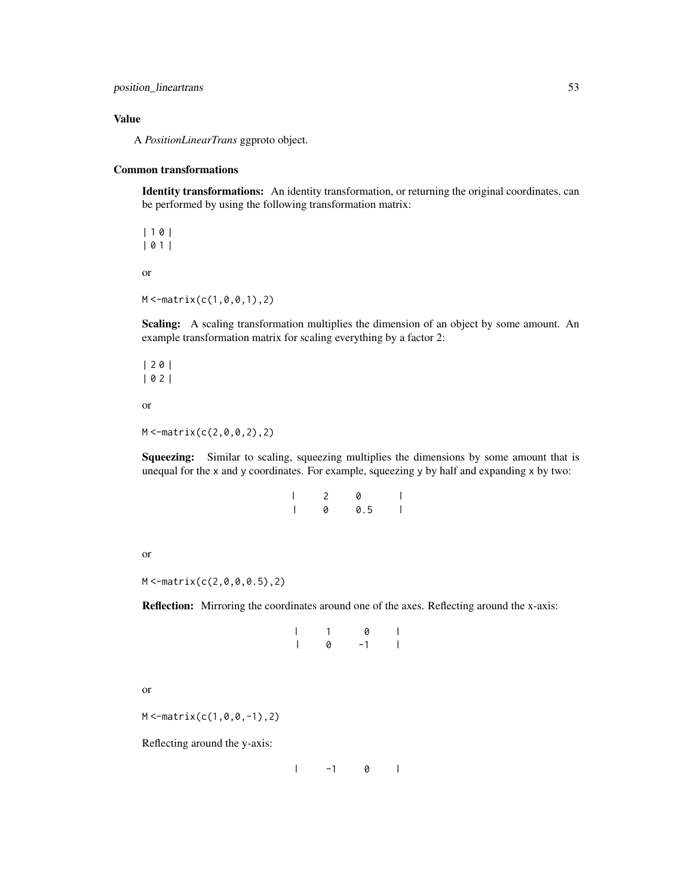position\_lineartrans 53

### Value

A *PositionLinearTrans* ggproto object.

# Common transformations

Identity transformations: An identity transformation, or returning the original coordinates, can be performed by using the following transformation matrix:

| 1 0 | | 0 1 | or  $M < -matrix(c(1, 0, 0, 1), 2)$ 

Scaling: A scaling transformation multiplies the dimension of an object by some amount. An example transformation matrix for scaling everything by a factor 2:

| 2 0 | | 0 2 |

or

 $M < -matrix(c(2, 0, 0, 2), 2)$ 

Squeezing: Similar to scaling, squeezing multiplies the dimensions by some amount that is unequal for the x and y coordinates. For example, squeezing y by half and expanding x by two:

| I | 2 | Ø   |  |
|---|---|-----|--|
|   | 0 | 0.5 |  |

or

M <-matrix(c(2,0,0,0.5),2)

Reflection: Mirroring the coordinates around one of the axes. Reflecting around the x-axis:

|                          | $\mathbf{1}$ | 0    | ľ                        |
|--------------------------|--------------|------|--------------------------|
| $\overline{\phantom{a}}$ | 0            | $-1$ | $\overline{\phantom{a}}$ |

```
or
```
 $M < -$ matrix(c(1,0,0,-1),2)

Reflecting around the y-axis:

 $\begin{array}{ccc} \n & -1 & 0 \n \end{array}$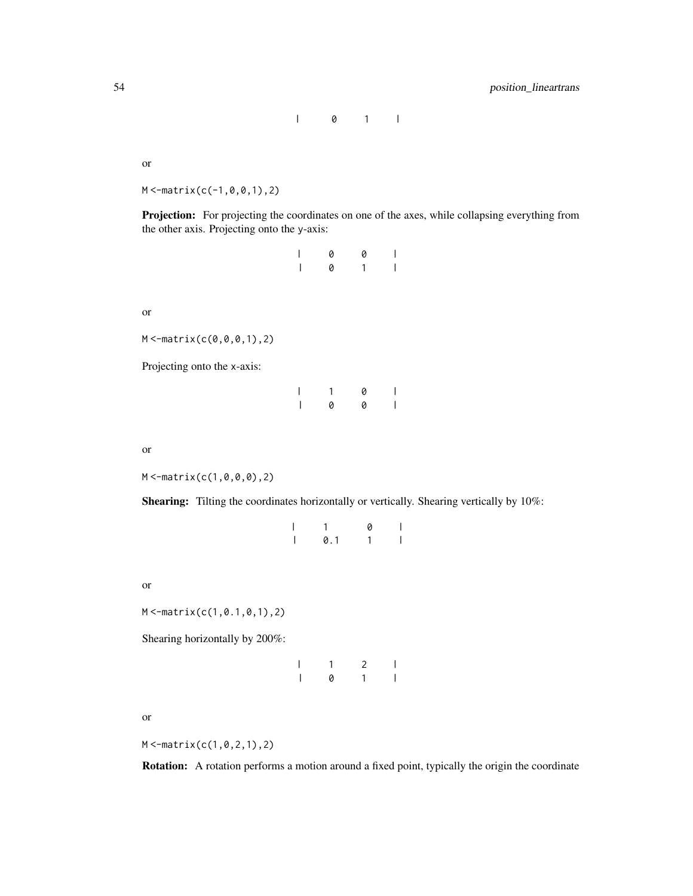| 0 1 |

or

 $M < -$ matrix(c(-1,0,0,1),2)

Projection: For projecting the coordinates on one of the axes, while collapsing everything from the other axis. Projecting onto the y-axis:

| $\overline{\phantom{a}}$ | 0 | 0 |   |
|--------------------------|---|---|---|
| $\overline{\phantom{a}}$ | 0 | 1 | L |

or

 $M < -$ matrix(c(0,0,0,1),2)

Projecting onto the x-axis:

|                          | 1 | 0 | $\overline{\phantom{a}}$ |
|--------------------------|---|---|--------------------------|
| $\overline{\phantom{a}}$ | 0 | 0 | $\overline{\phantom{a}}$ |

or

 $M < -matrix(c(1, 0, 0, 0), 2)$ 

Shearing: Tilting the coordinates horizontally or vertically. Shearing vertically by 10%:

| I | $\mathbf{1}$ | 0 | L            |
|---|--------------|---|--------------|
|   | 0.1          |   | $\mathsf{L}$ |

or

M <-matrix(c(1,0.1,0,1),2)

Shearing horizontally by 200%:

|   | $\mathcal{P}$ |  |
|---|---------------|--|
| 0 | ٠             |  |

or

M <-matrix(c(1,0,2,1),2)

Rotation: A rotation performs a motion around a fixed point, typically the origin the coordinate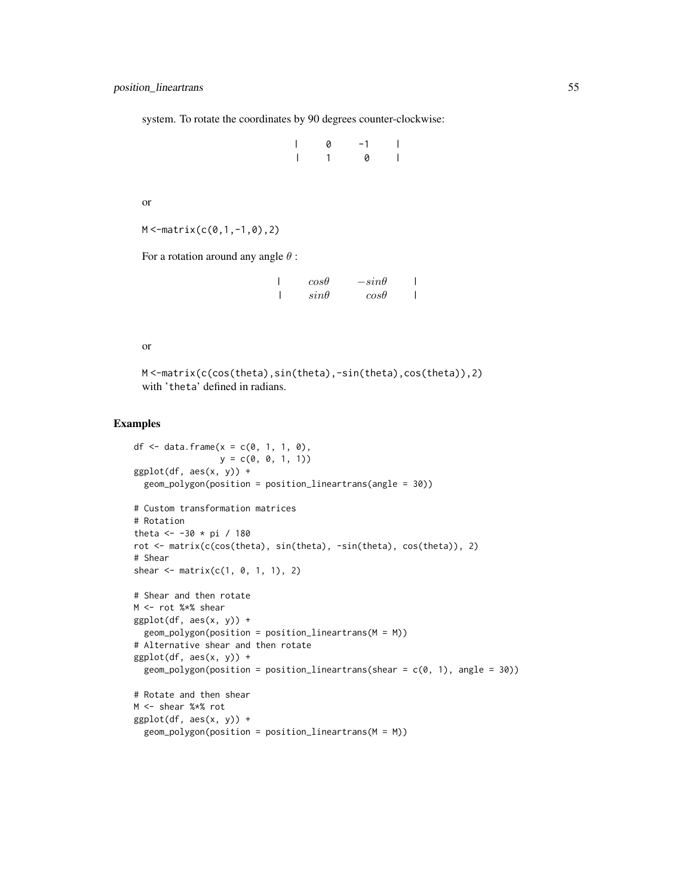system. To rotate the coordinates by 90 degrees counter-clockwise:

| 0            | $-1$ |                |
|--------------|------|----------------|
| $\mathbf{1}$ | 0    | $\overline{1}$ |

or

```
M < -matrix(c(0,1,-1,0),2)
```
For a rotation around any angle  $\theta$  :

| $cos\theta$ | $-sin\theta$ |  |
|-------------|--------------|--|
| $sin\theta$ | $cos\theta$  |  |

#### or

M <-matrix(c(cos(theta),sin(theta),-sin(theta),cos(theta)),2) with 'theta' defined in radians.

#### Examples

```
df <- data.frame(x = c(0, 1, 1, 0),
                 y = c(0, 0, 1, 1)ggplot(df, aes(x, y)) +geom_polygon(position = position_lineartrans(angle = 30))
# Custom transformation matrices
# Rotation
theta <- -30 * pi / 180
rot <- matrix(c(cos(theta), sin(theta), -sin(theta), cos(theta)), 2)
# Shear
shear \leq - matrix(c(1, 0, 1, 1), 2)
# Shear and then rotate
M <- rot %*% shear
ggplot(df, aes(x, y)) +geom\_polygon(position = position\_lineartrans(M = M))# Alternative shear and then rotate
ggplot(df, aes(x, y)) +geom_polygon(position = position_lineartrans(shear = c(\theta, 1), angle = 30))
# Rotate and then shear
M <- shear %*% rot
ggplot(df, aes(x, y)) +geom_polygon(position = position_lineartrans(M = M))
```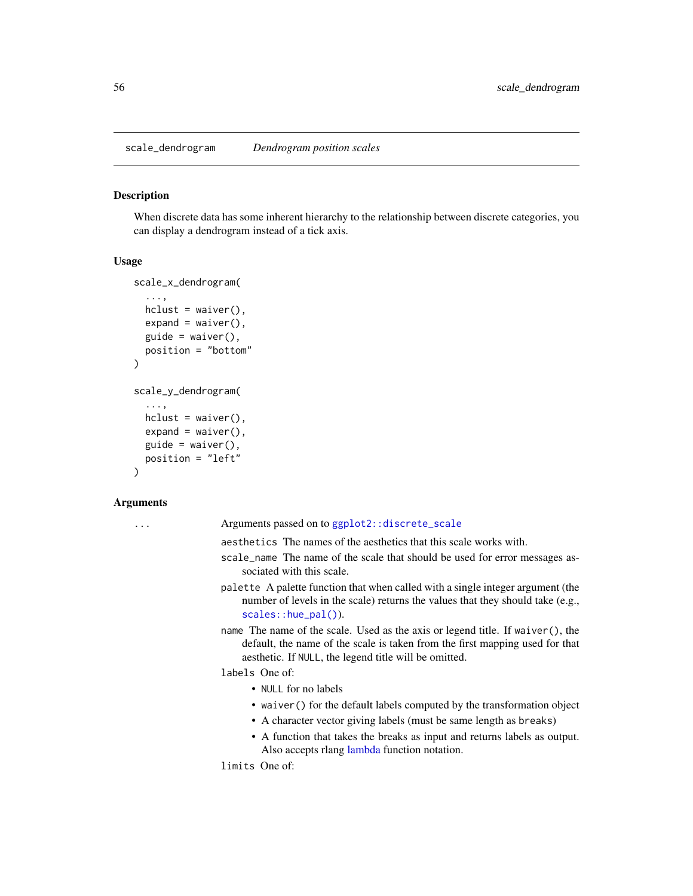scale\_dendrogram *Dendrogram position scales*

#### <span id="page-55-0"></span>Description

When discrete data has some inherent hierarchy to the relationship between discrete categories, you can display a dendrogram instead of a tick axis.

# Usage

```
scale_x_dendrogram(
  ...,
  hclust = waiver(),
  expand = waire(),
  guide = waire(),
 position = "bottom"
)
scale_y_dendrogram(
  ...,
  hclust = waiver(),
  expand = waire(),
  guide = waiver(),
 position = "left"
\mathcal{L}
```
#### Arguments

... Arguments passed on to [ggplot2::discrete\\_scale](#page-0-0)

aesthetics The names of the aesthetics that this scale works with.

- scale\_name The name of the scale that should be used for error messages associated with this scale.
- palette A palette function that when called with a single integer argument (the number of levels in the scale) returns the values that they should take (e.g., [scales::hue\\_pal\(\)](#page-0-0)).
- name The name of the scale. Used as the axis or legend title. If waiver(), the default, the name of the scale is taken from the first mapping used for that aesthetic. If NULL, the legend title will be omitted.

labels One of:

- NULL for no labels
- waiver() for the default labels computed by the transformation object
- A character vector giving labels (must be same length as breaks)
- A function that takes the breaks as input and returns labels as output. Also accepts rlang [lambda](#page-0-0) function notation.

limits One of: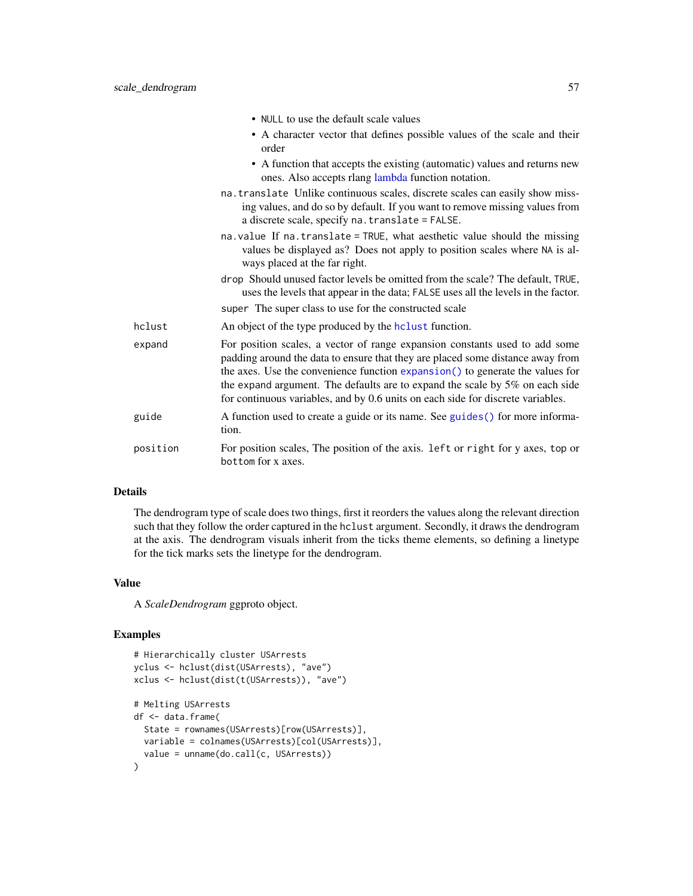|          | • NULL to use the default scale values                                                                                                                                                                                                                                                                                                                                                                               |
|----------|----------------------------------------------------------------------------------------------------------------------------------------------------------------------------------------------------------------------------------------------------------------------------------------------------------------------------------------------------------------------------------------------------------------------|
|          | • A character vector that defines possible values of the scale and their<br>order                                                                                                                                                                                                                                                                                                                                    |
|          | • A function that accepts the existing (automatic) values and returns new<br>ones. Also accepts rlang lambda function notation.                                                                                                                                                                                                                                                                                      |
|          | na. translate Unlike continuous scales, discrete scales can easily show miss-<br>ing values, and do so by default. If you want to remove missing values from<br>a discrete scale, specify na. translate = FALSE.                                                                                                                                                                                                     |
|          | na. value If na. translate = TRUE, what aesthetic value should the missing<br>values be displayed as? Does not apply to position scales where NA is al-<br>ways placed at the far right.                                                                                                                                                                                                                             |
|          | drop Should unused factor levels be omitted from the scale? The default, TRUE,<br>uses the levels that appear in the data; FALSE uses all the levels in the factor.                                                                                                                                                                                                                                                  |
|          | super The super class to use for the constructed scale                                                                                                                                                                                                                                                                                                                                                               |
| hclust   | An object of the type produced by the holiest function.                                                                                                                                                                                                                                                                                                                                                              |
| expand   | For position scales, a vector of range expansion constants used to add some<br>padding around the data to ensure that they are placed some distance away from<br>the axes. Use the convenience function expansion() to generate the values for<br>the expand argument. The defaults are to expand the scale by $5\%$ on each side<br>for continuous variables, and by 0.6 units on each side for discrete variables. |
| guide    | A function used to create a guide or its name. See guides () for more informa-<br>tion.                                                                                                                                                                                                                                                                                                                              |
| position | For position scales, The position of the axis. left or right for y axes, top or<br>bottom for x axes.                                                                                                                                                                                                                                                                                                                |

# Details

The dendrogram type of scale does two things, first it reorders the values along the relevant direction such that they follow the order captured in the hclust argument. Secondly, it draws the dendrogram at the axis. The dendrogram visuals inherit from the ticks theme elements, so defining a linetype for the tick marks sets the linetype for the dendrogram.

### Value

A *ScaleDendrogram* ggproto object.

# Examples

```
# Hierarchically cluster USArrests
yclus <- hclust(dist(USArrests), "ave")
xclus <- hclust(dist(t(USArrests)), "ave")
# Melting USArrests
df <- data.frame(
  State = rownames(USArrests)[row(USArrests)],
 variable = colnames(USArrests)[col(USArrests)],
  value = unname(do.call(c, USArrests))
)
```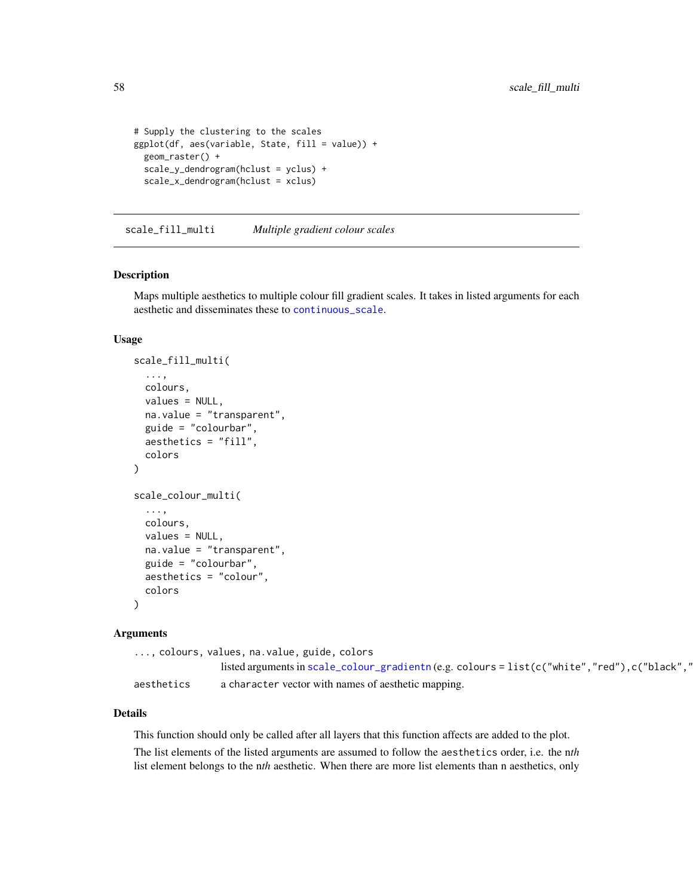```
# Supply the clustering to the scales
ggplot(df, aes(variable, State, fill = value)) +
 geom_raster() +
 scale_y_dendrogram(hclust = yclus) +
 scale_x_dendrogram(hclust = xclus)
```
scale\_fill\_multi *Multiple gradient colour scales*

### Description

Maps multiple aesthetics to multiple colour fill gradient scales. It takes in listed arguments for each aesthetic and disseminates these to [continuous\\_scale](#page-0-0).

#### Usage

```
scale_fill_multi(
  ...,
 colours,
 values = NULL,
 na.value = "transparent",
 guide = "colourbar",
  aesthetics = "fill",
  colors
)
scale_colour_multi(
  ...,
 colours,
 values = NULL,
 na.value = "transparent",
  guide = "colourbar",
  aesthetics = "colour",
  colors
)
```
### Arguments

..., colours, values, na.value, guide, colors

|            | listed arguments in scale_colour_gradientn (e.g. colours = $list(c("white", "red"), c("black", "l")$ |
|------------|------------------------------------------------------------------------------------------------------|
| aesthetics | a character vector with names of aesthetic mapping.                                                  |

#### Details

This function should only be called after all layers that this function affects are added to the plot.

The list elements of the listed arguments are assumed to follow the aesthetics order, i.e. the n*th* list element belongs to the n*th* aesthetic. When there are more list elements than n aesthetics, only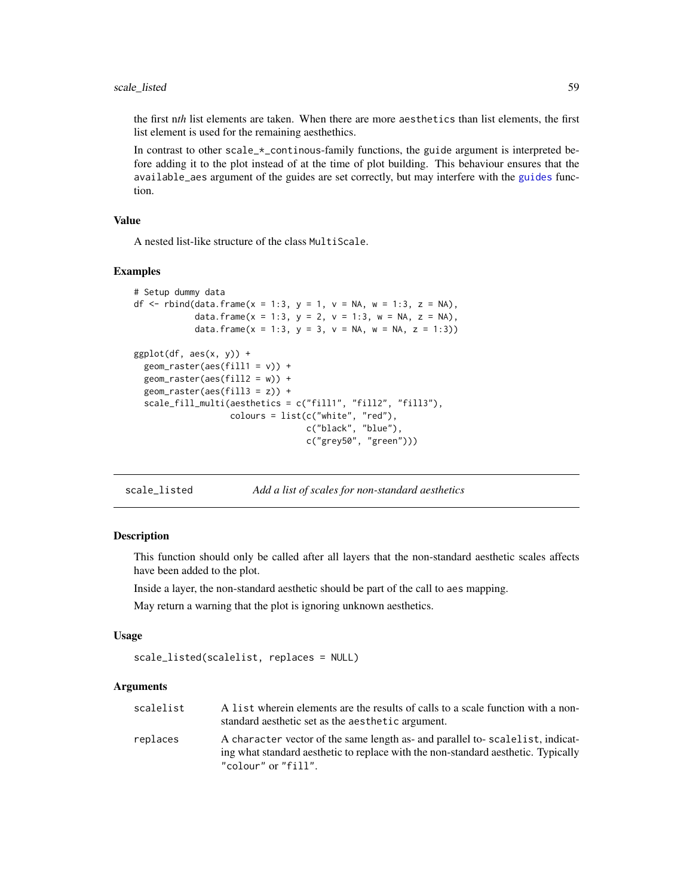### scale\_listed 59

the first n*th* list elements are taken. When there are more aesthetics than list elements, the first list element is used for the remaining aesthethics.

In contrast to other  $scale_{\pm}$  continous-family functions, the guide argument is interpreted before adding it to the plot instead of at the time of plot building. This behaviour ensures that the available\_aes argument of the guides are set correctly, but may interfere with the [guides](#page-0-0) function.

#### Value

A nested list-like structure of the class MultiScale.

#### Examples

```
# Setup dummy data
df <- rbind(data.frame(x = 1:3, y = 1, v = NA, w = 1:3, z = NA),
            data.frame(x = 1:3, y = 2, v = 1:3, w = NA, z = NA),
            data.frame(x = 1:3, y = 3, v = NA, w = NA, z = 1:3))
ggplot(df, aes(x, y)) +geom_raster(aes(fill1 = v)) +
 geom_raster(aes(fill2 = w)) +
 geom_raster(aes(fill3 = z)) +
 scale_fill_multi(aesthetics = c("fill1", "fill2", "fill3"),
                   colours = list(c("white", "red"),
                                  c("black", "blue"),
                                  c("grey50", "green")))
```
scale\_listed *Add a list of scales for non-standard aesthetics*

### **Description**

This function should only be called after all layers that the non-standard aesthetic scales affects have been added to the plot.

Inside a layer, the non-standard aesthetic should be part of the call to aes mapping.

May return a warning that the plot is ignoring unknown aesthetics.

#### Usage

```
scale_listed(scalelist, replaces = NULL)
```

| scalelist | A list wherein elements are the results of calls to a scale function with a non-<br>standard aesthetic set as the aesthetic argument.                                                     |
|-----------|-------------------------------------------------------------------------------------------------------------------------------------------------------------------------------------------|
| replaces  | A character vector of the same length as- and parallel to-scalelist, indicat-<br>ing what standard aesthetic to replace with the non-standard aesthetic. Typically<br>"colour" or "fill". |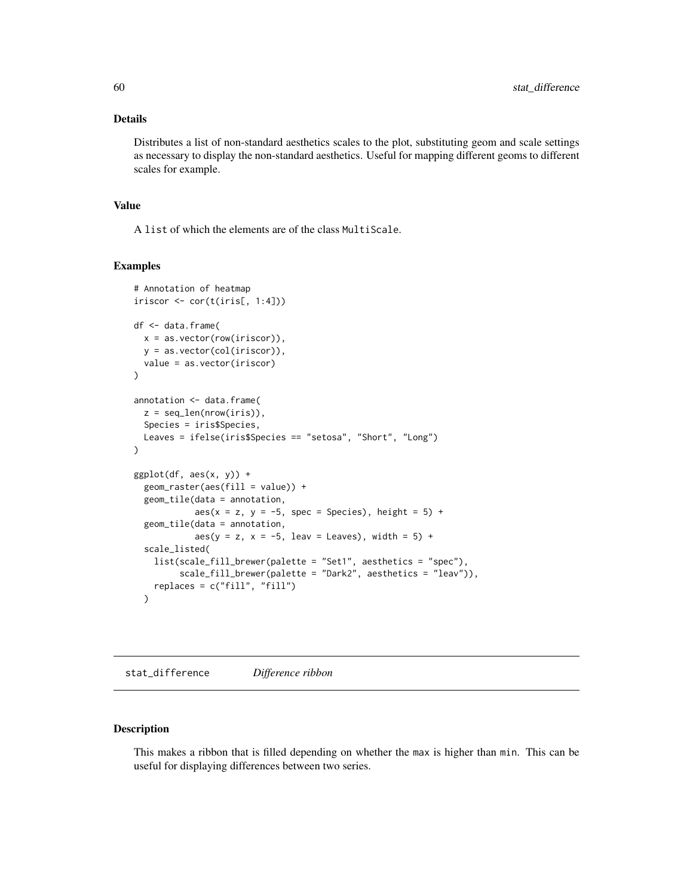### Details

Distributes a list of non-standard aesthetics scales to the plot, substituting geom and scale settings as necessary to display the non-standard aesthetics. Useful for mapping different geoms to different scales for example.

#### Value

A list of which the elements are of the class MultiScale.

#### Examples

```
# Annotation of heatmap
iriscor \le cor(t(iris[, 1:4]))
df <- data.frame(
  x = as.vector(row(iriscor)),y = as.vector(col(iriscor)),
  value = as.vector(iriscor)
\mathcal{L}annotation <- data.frame(
  z = \text{seq\_len}(nrow(iris)),Species = iris$Species,
  Leaves = ifelse(iris$Species == "setosa", "Short", "Long")
)
ggplot(df, aes(x, y)) +geom_raster(aes(fill = value)) +
  geom_tile(data = annotation,
            aes(x = z, y = -5, spec = Species), height = 5) +geom_tile(data = annotation,
            aes(y = z, x = -5, \text{leav} = \text{Leaves}), \text{width} = 5) +scale_listed(
    list(scale_fill_brewer(palette = "Set1", aesthetics = "spec"),
         scale_fill_brewer(palette = "Dark2", aesthetics = "leav")),
    replaces = c("fill", "fill")
  )
```
stat\_difference *Difference ribbon*

# Description

This makes a ribbon that is filled depending on whether the max is higher than min. This can be useful for displaying differences between two series.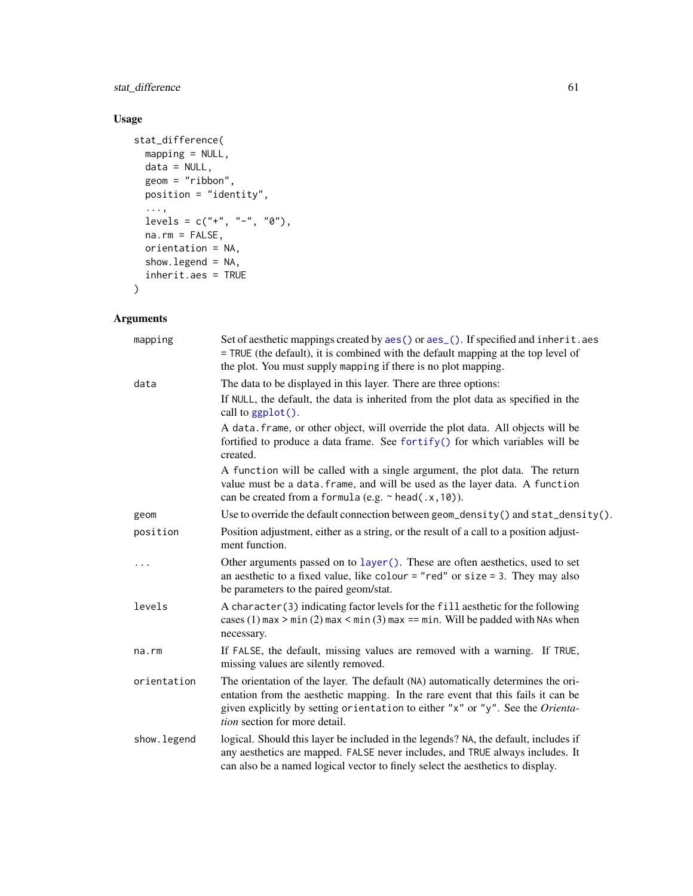# stat\_difference 61

# Usage

```
stat_difference(
  mapping = NULL,
  data = NULL,geom = "ribbon",
 position = "identity",
  ...,
 levels = c("''", "-"", "0"),
  na.rm = FALSE,orientation = NA,
  show.legend = NA,
  inherit.aes = TRUE
\mathcal{L}
```

| mapping      | Set of aesthetic mappings created by aes() or aes_(). If specified and inherit.aes<br>= TRUE (the default), it is combined with the default mapping at the top level of<br>the plot. You must supply mapping if there is no plot mapping.                                                      |
|--------------|------------------------------------------------------------------------------------------------------------------------------------------------------------------------------------------------------------------------------------------------------------------------------------------------|
| data         | The data to be displayed in this layer. There are three options:<br>If NULL, the default, the data is inherited from the plot data as specified in the<br>call to ggplot().                                                                                                                    |
|              | A data. frame, or other object, will override the plot data. All objects will be<br>fortified to produce a data frame. See fortify() for which variables will be<br>created.                                                                                                                   |
|              | A function will be called with a single argument, the plot data. The return<br>value must be a data. frame, and will be used as the layer data. A function<br>can be created from a formula (e.g. $\sim$ head(.x, 10)).                                                                        |
| geom         | Use to override the default connection between geom_density() and stat_density().                                                                                                                                                                                                              |
| position     | Position adjustment, either as a string, or the result of a call to a position adjust-<br>ment function.                                                                                                                                                                                       |
| .            | Other arguments passed on to layer (). These are often aesthetics, used to set<br>an aesthetic to a fixed value, like colour = "red" or size = 3. They may also<br>be parameters to the paired geom/stat.                                                                                      |
| levels       | A character (3) indicating factor levels for the fill aesthetic for the following<br>cases (1) max $>$ min (2) max $<$ min (3) max == min. Will be padded with NAs when<br>necessary.                                                                                                          |
| na.rm        | If FALSE, the default, missing values are removed with a warning. If TRUE,<br>missing values are silently removed.                                                                                                                                                                             |
| orientation  | The orientation of the layer. The default (NA) automatically determines the ori-<br>entation from the aesthetic mapping. In the rare event that this fails it can be<br>given explicitly by setting orientation to either "x" or "y". See the Orienta-<br><i>tion</i> section for more detail. |
| show. legend | logical. Should this layer be included in the legends? NA, the default, includes if<br>any aesthetics are mapped. FALSE never includes, and TRUE always includes. It<br>can also be a named logical vector to finely select the aesthetics to display.                                         |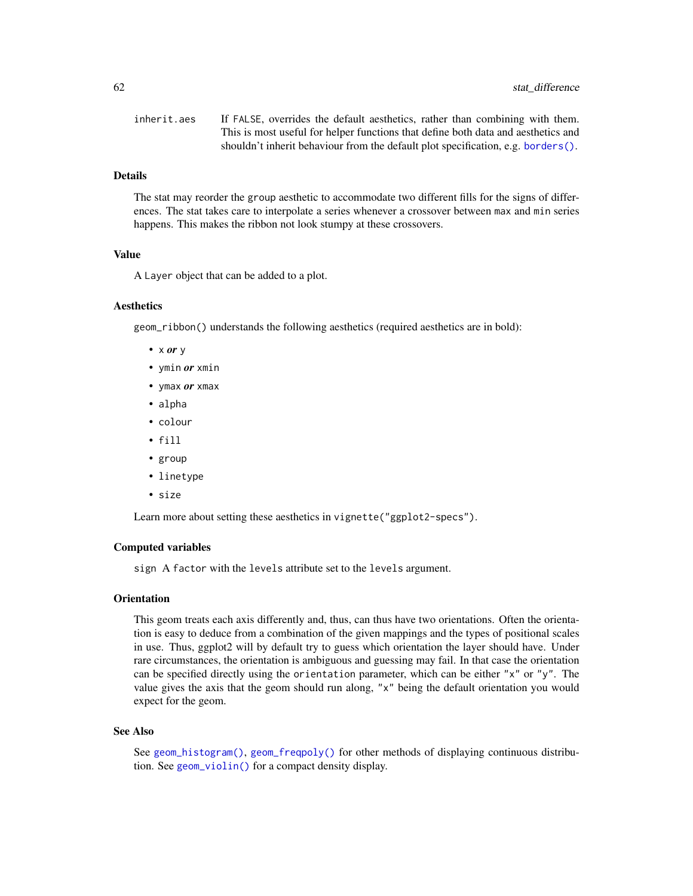| inherit.aes | If FALSE, overrides the default aesthetics, rather than combining with them.      |
|-------------|-----------------------------------------------------------------------------------|
|             | This is most useful for helper functions that define both data and aesthetics and |
|             | shouldn't inherit behaviour from the default plot specification, e.g. borders().  |

### Details

The stat may reorder the group aesthetic to accommodate two different fills for the signs of differences. The stat takes care to interpolate a series whenever a crossover between max and min series happens. This makes the ribbon not look stumpy at these crossovers.

### Value

A Layer object that can be added to a plot.

# **Aesthetics**

geom\_ribbon() understands the following aesthetics (required aesthetics are in bold):

- x *or* y
- ymin *or* xmin
- ymax *or* xmax
- alpha
- colour
- fill
- group
- linetype
- size

Learn more about setting these aesthetics in vignette("ggplot2-specs").

# Computed variables

sign A factor with the levels attribute set to the levels argument.

#### **Orientation**

This geom treats each axis differently and, thus, can thus have two orientations. Often the orientation is easy to deduce from a combination of the given mappings and the types of positional scales in use. Thus, ggplot2 will by default try to guess which orientation the layer should have. Under rare circumstances, the orientation is ambiguous and guessing may fail. In that case the orientation can be specified directly using the orientation parameter, which can be either "x" or "y". The value gives the axis that the geom should run along, "x" being the default orientation you would expect for the geom.

#### See Also

See [geom\\_histogram\(\)](#page-0-0), [geom\\_freqpoly\(\)](#page-0-0) for other methods of displaying continuous distribution. See [geom\\_violin\(\)](#page-0-0) for a compact density display.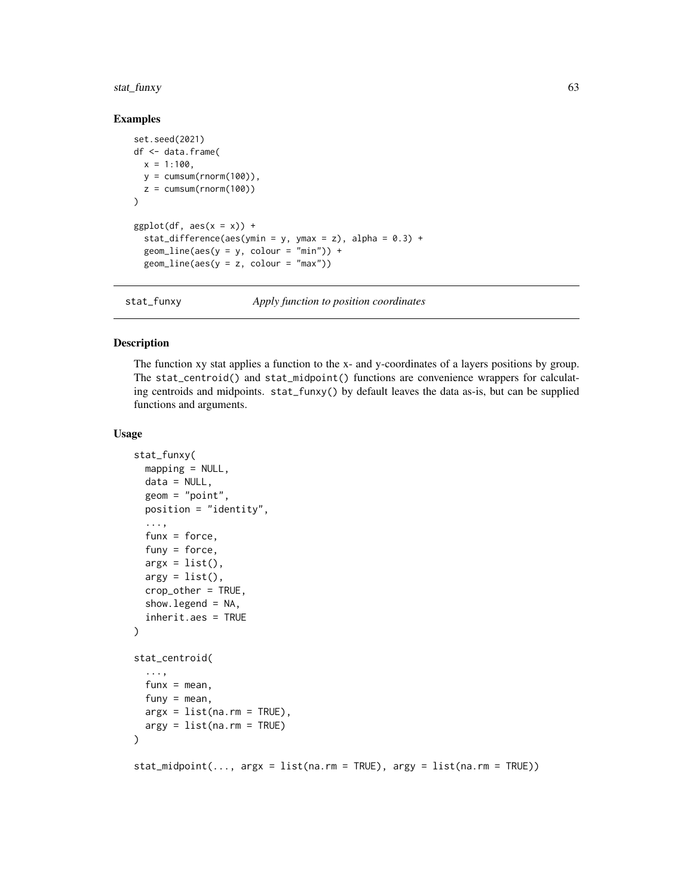# stat\_funxy 63

#### Examples

```
set.seed(2021)
df <- data.frame(
  x = 1:100,
  y = \text{cumsum}(\text{rnorm}(100)),z = \text{cumsum}(\text{rnorm}(100))\mathcal{L}ggplot(df, aes(x = x)) +stat_difference(aes(ymin = y, ymax = z), alpha = 0.3) +
  geom\_line(aes(y = y, colour = "min")) +geom\_line(aes(y = z, colour = "max"))
```
stat\_funxy *Apply function to position coordinates*

## Description

The function xy stat applies a function to the x- and y-coordinates of a layers positions by group. The stat\_centroid() and stat\_midpoint() functions are convenience wrappers for calculating centroids and midpoints. stat\_funxy() by default leaves the data as-is, but can be supplied functions and arguments.

#### Usage

```
stat_funxy(
 mapping = NULL,data = NULL,
  geom = "point",
 position = "identity",
  ...,
  funx = force,funy = force,argx = list(),
  argy = list(),
  crop_other = TRUE,
  show.legend = NA,
  inherit.aes = TRUE
)
stat_centroid(
  ...,
  funx = mean,
 funy = mean,
 args = list(na.rm = TRUE),argy = list(na.rm = TRUE)\lambdastat\_midpoint(..., \text{ arg}x = list(na.rm = TRUE), \text{ arg}y = list(na.rm = TRUE))
```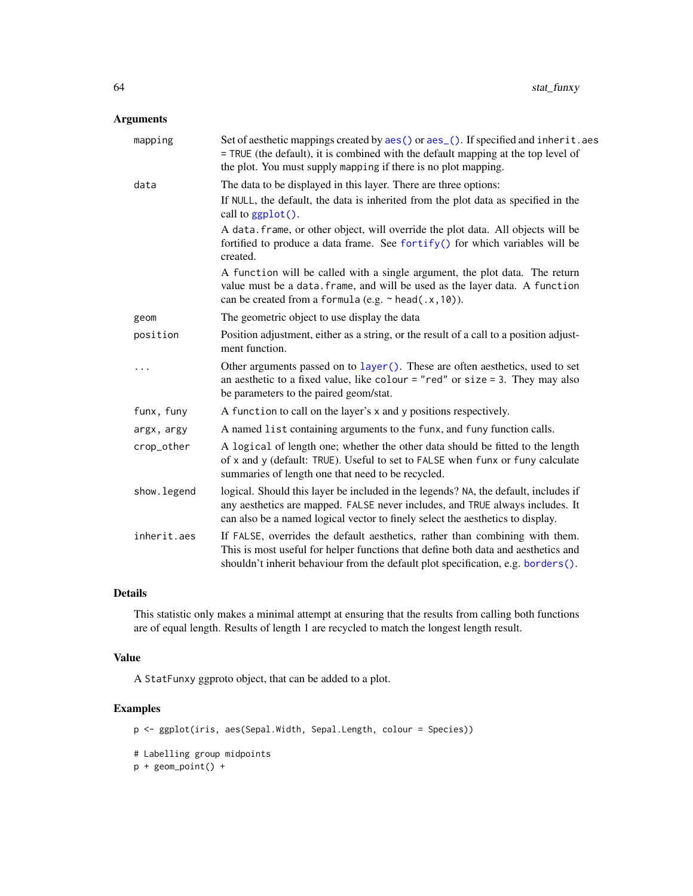# Arguments

| mapping      | Set of aesthetic mappings created by aes() or aes_(). If specified and inherit.aes<br>= TRUE (the default), it is combined with the default mapping at the top level of<br>the plot. You must supply mapping if there is no plot mapping.              |
|--------------|--------------------------------------------------------------------------------------------------------------------------------------------------------------------------------------------------------------------------------------------------------|
| data         | The data to be displayed in this layer. There are three options:                                                                                                                                                                                       |
|              | If NULL, the default, the data is inherited from the plot data as specified in the<br>call to ggplot().                                                                                                                                                |
|              | A data. frame, or other object, will override the plot data. All objects will be<br>fortified to produce a data frame. See fortify() for which variables will be<br>created.                                                                           |
|              | A function will be called with a single argument, the plot data. The return<br>value must be a data. frame, and will be used as the layer data. A function<br>can be created from a formula (e.g. $\sim$ head(.x, 10)).                                |
| geom         | The geometric object to use display the data                                                                                                                                                                                                           |
| position     | Position adjustment, either as a string, or the result of a call to a position adjust-<br>ment function.                                                                                                                                               |
|              | Other arguments passed on to layer (). These are often aesthetics, used to set<br>an aesthetic to a fixed value, like colour = "red" or size = 3. They may also<br>be parameters to the paired geom/stat.                                              |
| funx, funy   | A function to call on the layer's x and y positions respectively.                                                                                                                                                                                      |
| argx, argy   | A named list containing arguments to the funx, and funy function calls.                                                                                                                                                                                |
| crop_other   | A logical of length one; whether the other data should be fitted to the length<br>of x and y (default: TRUE). Useful to set to FALSE when funx or funy calculate<br>summaries of length one that need to be recycled.                                  |
| show. legend | logical. Should this layer be included in the legends? NA, the default, includes if<br>any aesthetics are mapped. FALSE never includes, and TRUE always includes. It<br>can also be a named logical vector to finely select the aesthetics to display. |
| inherit.aes  | If FALSE, overrides the default aesthetics, rather than combining with them.<br>This is most useful for helper functions that define both data and aesthetics and<br>shouldn't inherit behaviour from the default plot specification, e.g. borders().  |

# Details

This statistic only makes a minimal attempt at ensuring that the results from calling both functions are of equal length. Results of length 1 are recycled to match the longest length result.

# Value

A StatFunxy ggproto object, that can be added to a plot.

# Examples

```
p <- ggplot(iris, aes(Sepal.Width, Sepal.Length, colour = Species))
# Labelling group midpoints
p + geom\_point() +
```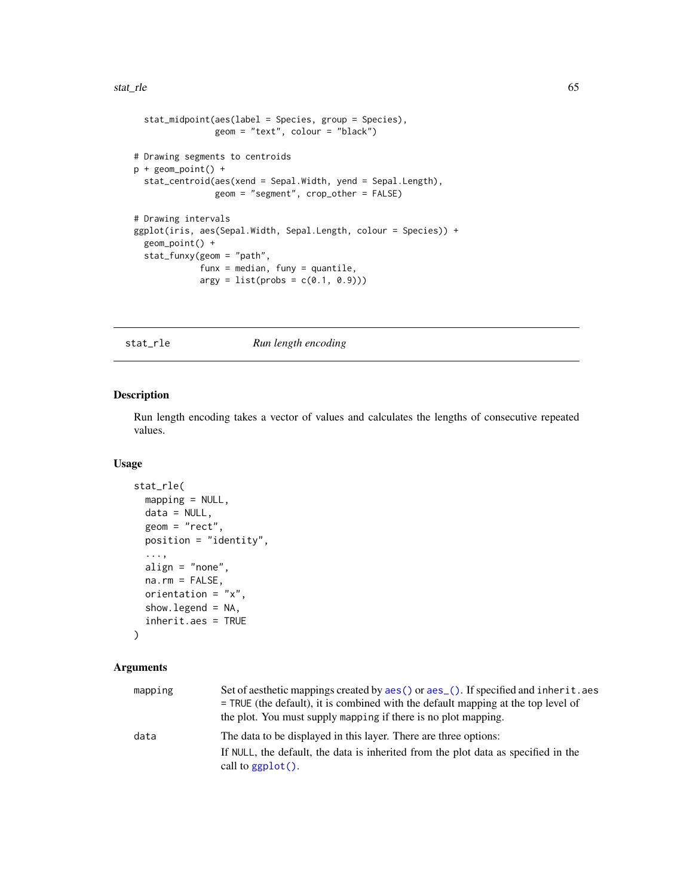```
stat_midpoint(aes(label = Species, group = Species),
               geom = "text", colour = "black")
# Drawing segments to centroids
p + geom\_point() +stat_centroid(aes(xend = Sepal.Width, yend = Sepal.Length),
                geom = "segment", crop_other = FALSE)
# Drawing intervals
ggplot(iris, aes(Sepal.Width, Sepal.Length, colour = Species)) +
 geom_point() +
 stat_funxy(geom = "path",
            funx = median, funy = quantile,argy = list(probs = c(0.1, 0.9)))
```
stat\_rle *Run length encoding*

# Description

Run length encoding takes a vector of values and calculates the lengths of consecutive repeated values.

### Usage

```
stat_rle(
 mapping = NULL,
  data = NULL,geom = "rect",
 position = "identity",
  ...,
  align = "none",
  na.rm = FALSE,orientation = "x",
  show.legend = NA,
  inherit.aes = TRUE
)
```

| mapping | Set of aesthetic mappings created by aes () or aes (). If specified and inherit. aes<br>$=$ TRUE (the default), it is combined with the default mapping at the top level of<br>the plot. You must supply mapping if there is no plot mapping. |
|---------|-----------------------------------------------------------------------------------------------------------------------------------------------------------------------------------------------------------------------------------------------|
| data    | The data to be displayed in this layer. There are three options:                                                                                                                                                                              |
|         | If NULL, the default, the data is inherited from the plot data as specified in the<br>call to $ggplot()$ .                                                                                                                                    |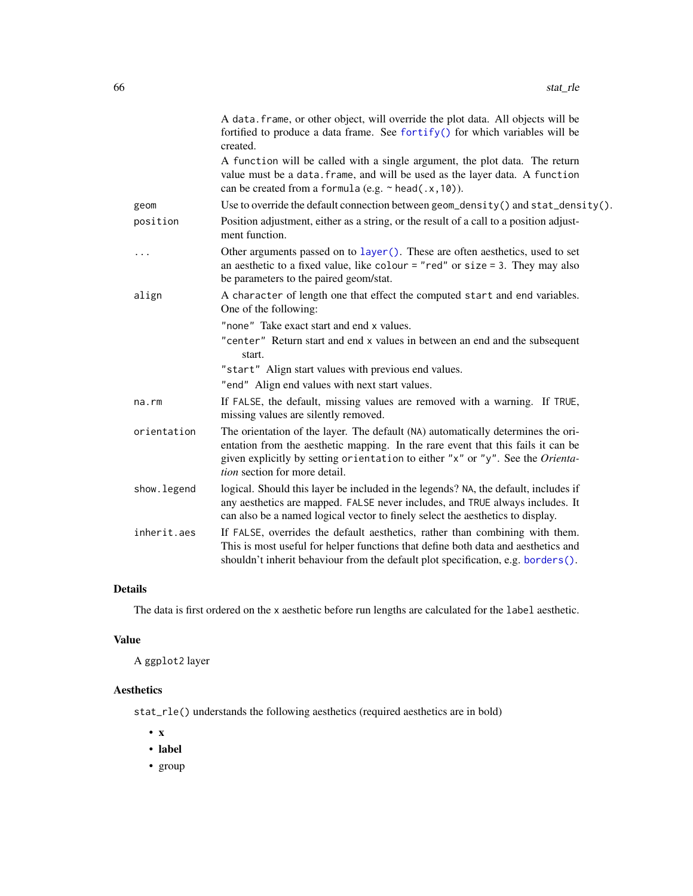|             | A data. frame, or other object, will override the plot data. All objects will be<br>fortified to produce a data frame. See fortify() for which variables will be<br>created.                                                                                                                   |
|-------------|------------------------------------------------------------------------------------------------------------------------------------------------------------------------------------------------------------------------------------------------------------------------------------------------|
|             | A function will be called with a single argument, the plot data. The return<br>value must be a data. frame, and will be used as the layer data. A function<br>can be created from a formula (e.g. $\sim$ head(.x, 10)).                                                                        |
| geom        | Use to override the default connection between $geom\_density()$ and $stat\_density()$ .                                                                                                                                                                                                       |
| position    | Position adjustment, either as a string, or the result of a call to a position adjust-<br>ment function.                                                                                                                                                                                       |
| .           | Other arguments passed on to layer (). These are often aesthetics, used to set<br>an aesthetic to a fixed value, like colour = "red" or size = 3. They may also<br>be parameters to the paired geom/stat.                                                                                      |
| align       | A character of length one that effect the computed start and end variables.<br>One of the following:                                                                                                                                                                                           |
|             | "none" Take exact start and end x values.                                                                                                                                                                                                                                                      |
|             | "center" Return start and end x values in between an end and the subsequent<br>start.                                                                                                                                                                                                          |
|             | "start" Align start values with previous end values.<br>"end" Align end values with next start values.                                                                                                                                                                                         |
| na.rm       | If FALSE, the default, missing values are removed with a warning. If TRUE,<br>missing values are silently removed.                                                                                                                                                                             |
| orientation | The orientation of the layer. The default (NA) automatically determines the ori-<br>entation from the aesthetic mapping. In the rare event that this fails it can be<br>given explicitly by setting orientation to either "x" or "y". See the Orienta-<br><i>tion</i> section for more detail. |
| show.legend | logical. Should this layer be included in the legends? NA, the default, includes if<br>any aesthetics are mapped. FALSE never includes, and TRUE always includes. It<br>can also be a named logical vector to finely select the aesthetics to display.                                         |
| inherit.aes | If FALSE, overrides the default aesthetics, rather than combining with them.<br>This is most useful for helper functions that define both data and aesthetics and<br>shouldn't inherit behaviour from the default plot specification, e.g. borders().                                          |

# Details

The data is first ordered on the x aesthetic before run lengths are calculated for the label aesthetic.

# Value

A ggplot2 layer

# Aesthetics

stat\_rle() understands the following aesthetics (required aesthetics are in bold)

- x
- label
- group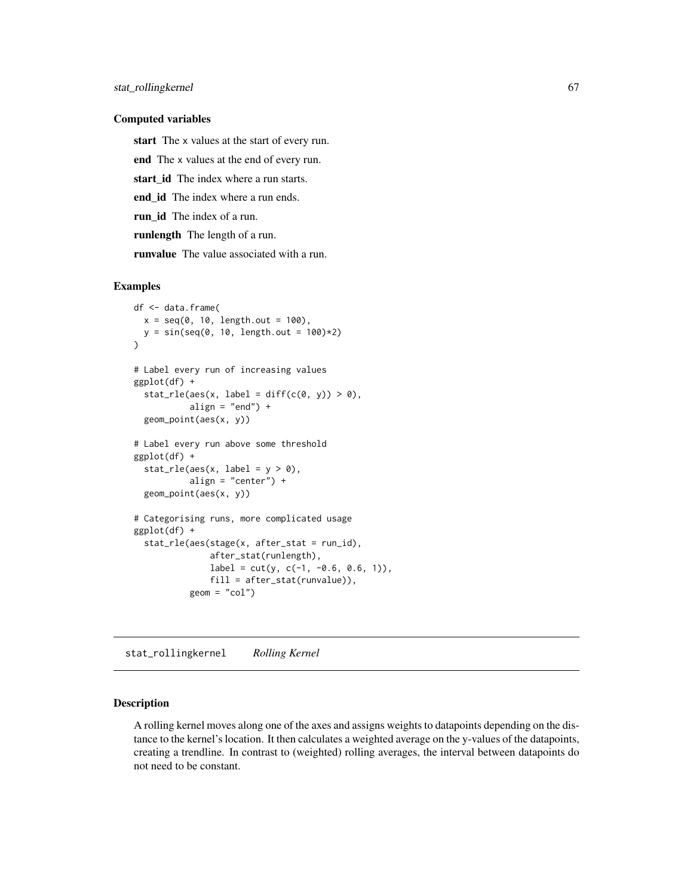#### Computed variables

start The x values at the start of every run.

end The x values at the end of every run.

start id The index where a run starts.

end\_id The index where a run ends.

run\_id The index of a run.

runlength The length of a run.

runvalue The value associated with a run.

### Examples

```
df <- data.frame(
  x = seq(0, 10, length.out = 100),
  y = sin(seq(0, 10, length.out = 100)*2)\lambda# Label every run of increasing values
ggplot(df) +
  stat_rle(aes(x, label = diff(c(0, y)) > 0),
           align = "end") +
  geom_point(aes(x, y))
# Label every run above some threshold
ggplot(df) +
  stat_rle(aes(x, label = y > 0),
           align = "center") +
  geom_point(aes(x, y))
# Categorising runs, more complicated usage
ggplot(df) +
  stat_rle(aes(stage(x, after_stat = run_id),
               after_stat(runlength),
               label = cut(y, c(-1, -0.6, 0.6, 1)),fill = after_stat(runvalue)),
           geom = "col")
```
stat\_rollingkernel *Rolling Kernel*

# Description

A rolling kernel moves along one of the axes and assigns weights to datapoints depending on the distance to the kernel's location. It then calculates a weighted average on the y-values of the datapoints, creating a trendline. In contrast to (weighted) rolling averages, the interval between datapoints do not need to be constant.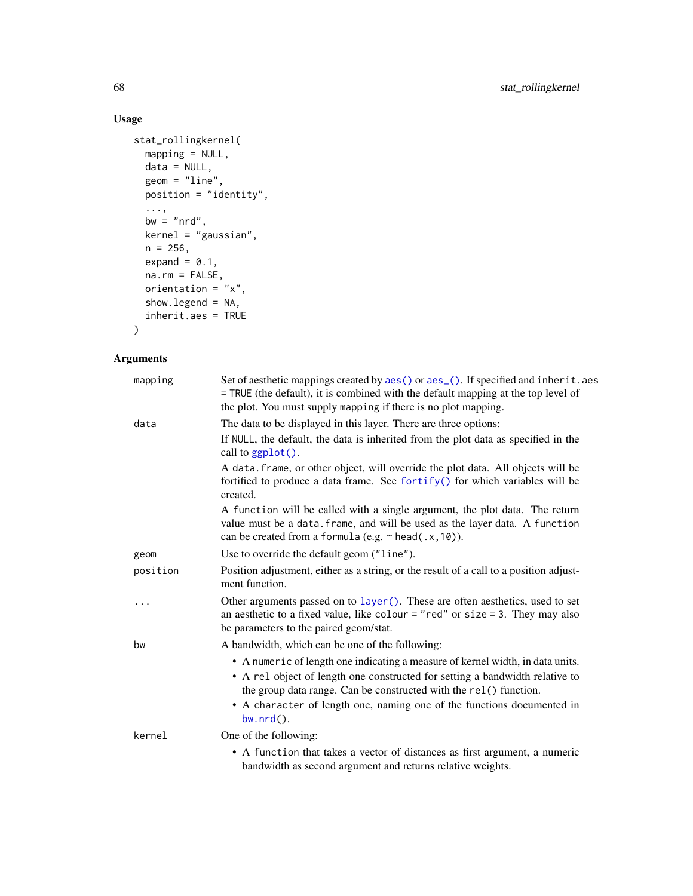# Usage

```
stat_rollingkernel(
 mapping = NULL,
 data = NULL,
 geom = "line",
 position = "identity",
  ...,
 bw = "nrd",
 kernel = "gaussian",
 n = 256,
 expand = 0.1,
 na.rm = FALSE,
 orientation = "x",show.legend = NA,
 inherit.aes = TRUE
)
```

| mapping  | Set of aesthetic mappings created by aes() or aes_(). If specified and inherit.aes<br>= TRUE (the default), it is combined with the default mapping at the top level of<br>the plot. You must supply mapping if there is no plot mapping.                                                                                     |
|----------|-------------------------------------------------------------------------------------------------------------------------------------------------------------------------------------------------------------------------------------------------------------------------------------------------------------------------------|
| data     | The data to be displayed in this layer. There are three options:                                                                                                                                                                                                                                                              |
|          | If NULL, the default, the data is inherited from the plot data as specified in the<br>call to ggplot().                                                                                                                                                                                                                       |
|          | A data. frame, or other object, will override the plot data. All objects will be<br>fortified to produce a data frame. See fortify() for which variables will be<br>created.                                                                                                                                                  |
|          | A function will be called with a single argument, the plot data. The return<br>value must be a data. frame, and will be used as the layer data. A function<br>can be created from a formula (e.g. $\sim$ head(.x, 10)).                                                                                                       |
| geom     | Use to override the default geom ("line").                                                                                                                                                                                                                                                                                    |
| position | Position adjustment, either as a string, or the result of a call to a position adjust-<br>ment function.                                                                                                                                                                                                                      |
| $\cdots$ | Other arguments passed on to layer (). These are often aesthetics, used to set<br>an aesthetic to a fixed value, like colour = "red" or size = 3. They may also<br>be parameters to the paired geom/stat.                                                                                                                     |
| bw       | A bandwidth, which can be one of the following:                                                                                                                                                                                                                                                                               |
|          | • A numeric of length one indicating a measure of kernel width, in data units.<br>• A rel object of length one constructed for setting a bandwidth relative to<br>the group data range. Can be constructed with the rel() function.<br>• A character of length one, naming one of the functions documented in<br>$bw.nrd()$ . |
| kernel   | One of the following:                                                                                                                                                                                                                                                                                                         |
|          | • A function that takes a vector of distances as first argument, a numeric<br>bandwidth as second argument and returns relative weights.                                                                                                                                                                                      |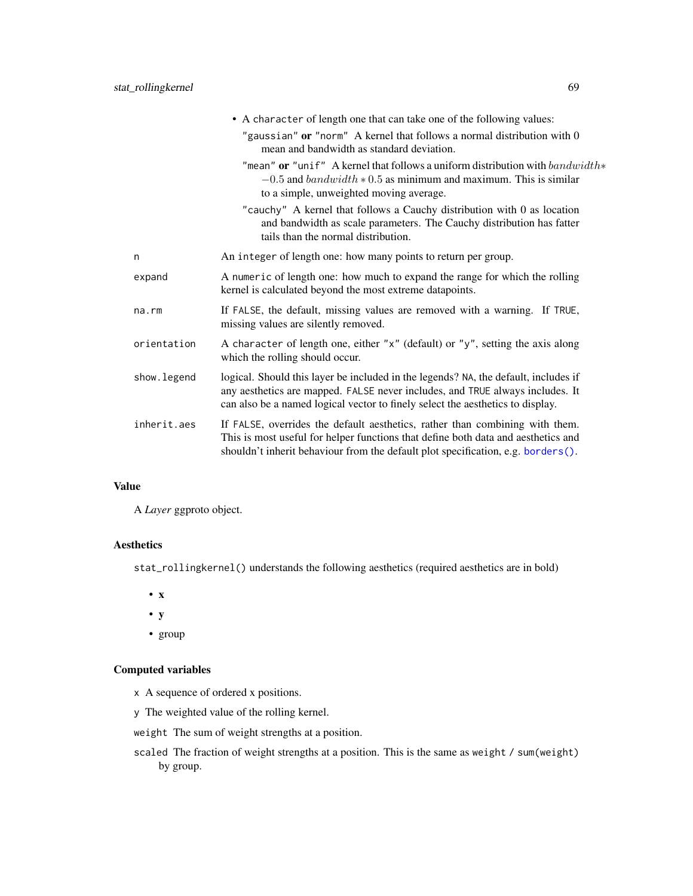|             | • A character of length one that can take one of the following values:                                                                                                                                                                                 |
|-------------|--------------------------------------------------------------------------------------------------------------------------------------------------------------------------------------------------------------------------------------------------------|
|             | "gaussian" or "norm" A kernel that follows a normal distribution with $0$<br>mean and bandwidth as standard deviation.                                                                                                                                 |
|             | "mean" or "unif" A kernel that follows a uniform distribution with $bandwidth*$<br>$-0.5$ and $bandwidth * 0.5$ as minimum and maximum. This is similar<br>to a simple, unweighted moving average.                                                     |
|             | "cauchy" A kernel that follows a Cauchy distribution with 0 as location<br>and bandwidth as scale parameters. The Cauchy distribution has fatter<br>tails than the normal distribution.                                                                |
| n           | An integer of length one: how many points to return per group.                                                                                                                                                                                         |
| expand      | A numeric of length one: how much to expand the range for which the rolling<br>kernel is calculated beyond the most extreme datapoints.                                                                                                                |
| $na$ . $rm$ | If FALSE, the default, missing values are removed with a warning. If TRUE,<br>missing values are silently removed.                                                                                                                                     |
| orientation | A character of length one, either "x" (default) or "y", setting the axis along<br>which the rolling should occur.                                                                                                                                      |
| show.legend | logical. Should this layer be included in the legends? NA, the default, includes if<br>any aesthetics are mapped. FALSE never includes, and TRUE always includes. It<br>can also be a named logical vector to finely select the aesthetics to display. |
| inherit.aes | If FALSE, overrides the default aesthetics, rather than combining with them.<br>This is most useful for helper functions that define both data and aesthetics and<br>shouldn't inherit behaviour from the default plot specification, e.g. borders().  |
|             |                                                                                                                                                                                                                                                        |

# Value

A *Layer* ggproto object.

# Aesthetics

stat\_rollingkernel() understands the following aesthetics (required aesthetics are in bold)

- x
- y
- group

# Computed variables

- x A sequence of ordered x positions.
- y The weighted value of the rolling kernel.

weight The sum of weight strengths at a position.

scaled The fraction of weight strengths at a position. This is the same as weight / sum(weight) by group.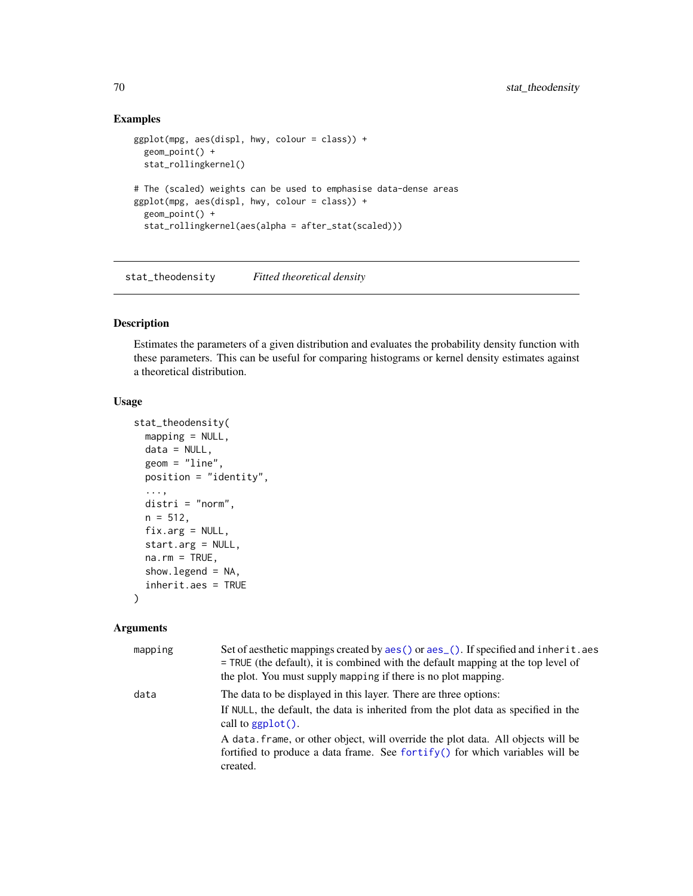# Examples

```
ggplot(mpg, aes(displ, hwy, colour = class)) +geom_point() +
 stat_rollingkernel()
# The (scaled) weights can be used to emphasise data-dense areas
ggplot(mpg, aes(displ, hwy, colour = class)) +
 geom_point() +
 stat_rollingkernel(aes(alpha = after_stat(scaled)))
```
stat\_theodensity *Fitted theoretical density*

# Description

Estimates the parameters of a given distribution and evaluates the probability density function with these parameters. This can be useful for comparing histograms or kernel density estimates against a theoretical distribution.

#### Usage

```
stat_theodensity(
 mapping = NULL,
 data = NULL,geom = "line",position = "identity",
  ...,
 distri = "norm",
 n = 512,fix.argv = NULL,start.arg = NULL,
 na.rm = TRUE,show.legend = NA,
  inherit.aes = TRUE
)
```

| mapping | Set of aesthetic mappings created by aes () or aes (). If specified and inherit. aes<br>= TRUE (the default), it is combined with the default mapping at the top level of<br>the plot. You must supply mapping if there is no plot mapping. |
|---------|---------------------------------------------------------------------------------------------------------------------------------------------------------------------------------------------------------------------------------------------|
| data    | The data to be displayed in this layer. There are three options:<br>If NULL, the default, the data is inherited from the plot data as specified in the<br>call to $ggplot()$ .                                                              |
|         | A data, frame, or other object, will override the plot data. All objects will be<br>fortified to produce a data frame. See fortify() for which variables will be<br>created.                                                                |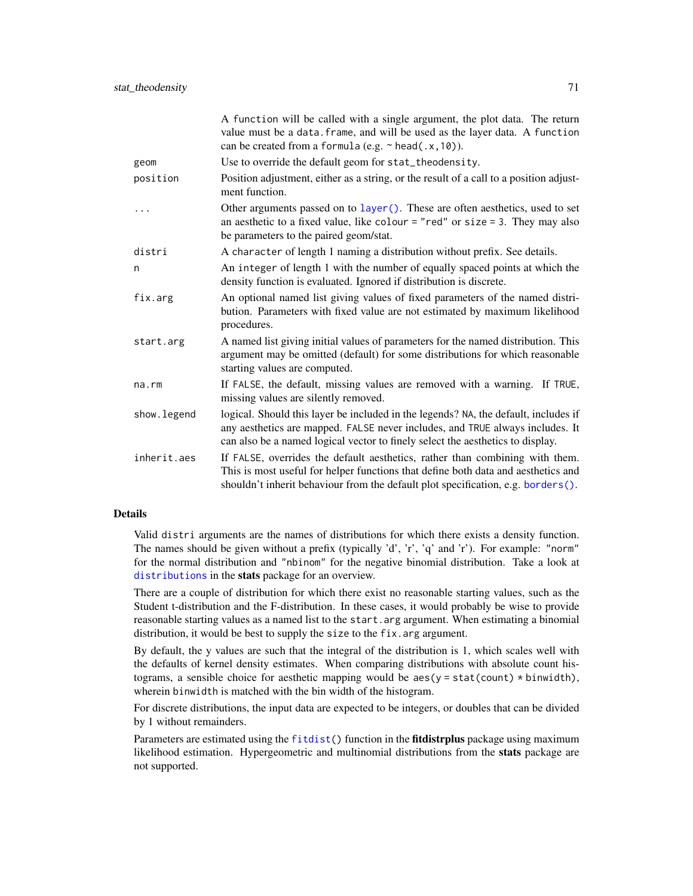|             | A function will be called with a single argument, the plot data. The return<br>value must be a data. frame, and will be used as the layer data. A function<br>can be created from a formula (e.g. $\sim$ head(.x, 10)).                                |
|-------------|--------------------------------------------------------------------------------------------------------------------------------------------------------------------------------------------------------------------------------------------------------|
| geom        | Use to override the default geom for stat_theodensity.                                                                                                                                                                                                 |
| position    | Position adjustment, either as a string, or the result of a call to a position adjust-<br>ment function.                                                                                                                                               |
| .           | Other arguments passed on to layer(). These are often aesthetics, used to set<br>an aesthetic to a fixed value, like colour = "red" or size = 3. They may also<br>be parameters to the paired geom/stat.                                               |
| distri      | A character of length 1 naming a distribution without prefix. See details.                                                                                                                                                                             |
| n           | An integer of length 1 with the number of equally spaced points at which the<br>density function is evaluated. Ignored if distribution is discrete.                                                                                                    |
| fix.arg     | An optional named list giving values of fixed parameters of the named distri-<br>bution. Parameters with fixed value are not estimated by maximum likelihood<br>procedures.                                                                            |
| start.arg   | A named list giving initial values of parameters for the named distribution. This<br>argument may be omitted (default) for some distributions for which reasonable<br>starting values are computed.                                                    |
| na.rm       | If FALSE, the default, missing values are removed with a warning. If TRUE,<br>missing values are silently removed.                                                                                                                                     |
| show.legend | logical. Should this layer be included in the legends? NA, the default, includes if<br>any aesthetics are mapped. FALSE never includes, and TRUE always includes. It<br>can also be a named logical vector to finely select the aesthetics to display. |
| inherit.aes | If FALSE, overrides the default aesthetics, rather than combining with them.<br>This is most useful for helper functions that define both data and aesthetics and<br>shouldn't inherit behaviour from the default plot specification, e.g. borders().  |

#### Details

Valid distri arguments are the names of distributions for which there exists a density function. The names should be given without a prefix (typically 'd', 'r', 'q' and 'r'). For example: "norm" for the normal distribution and "nbinom" for the negative binomial distribution. Take a look at [distributions](#page-0-0) in the stats package for an overview.

There are a couple of distribution for which there exist no reasonable starting values, such as the Student t-distribution and the F-distribution. In these cases, it would probably be wise to provide reasonable starting values as a named list to the start.arg argument. When estimating a binomial distribution, it would be best to supply the size to the fix. arg argument.

By default, the y values are such that the integral of the distribution is 1, which scales well with the defaults of kernel density estimates. When comparing distributions with absolute count histograms, a sensible choice for aesthetic mapping would be aes( $y = stat$ (count)  $*$  binwidth), wherein binwidth is matched with the bin width of the histogram.

For discrete distributions, the input data are expected to be integers, or doubles that can be divided by 1 without remainders.

Parameters are estimated using the [fitdist\(](#page-0-0)) function in the **fitdistrplus** package using maximum likelihood estimation. Hypergeometric and multinomial distributions from the stats package are not supported.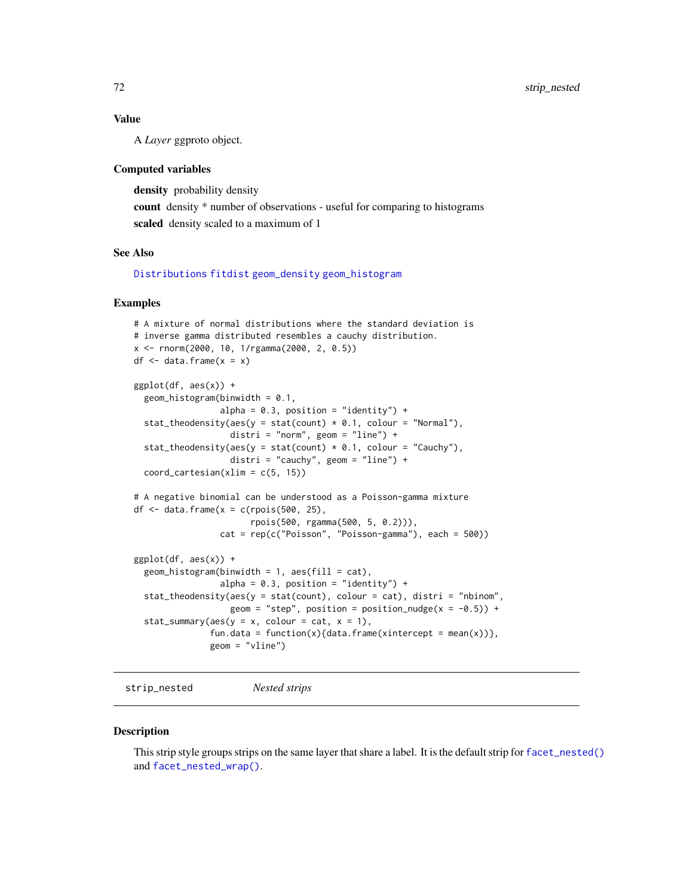# Value

A *Layer* ggproto object.

#### Computed variables

density probability density count density \* number of observations - useful for comparing to histograms scaled density scaled to a maximum of 1

#### See Also

[Distributions](#page-0-0) [fitdist](#page-0-0) [geom\\_density](#page-0-0) [geom\\_histogram](#page-0-0)

### Examples

```
# A mixture of normal distributions where the standard deviation is
# inverse gamma distributed resembles a cauchy distribution.
x <- rnorm(2000, 10, 1/rgamma(2000, 2, 0.5))
df \leq data.frame(x = x)
ggplot(df, aes(x)) +geom\_histogram(binwidth = 0.1,alpha = 0.3, position = "identity") +
 stat_theodensity(aes(y = stat(count) * 0.1, colour = "Normal"),
                   distri = "norm", geom = "line") +
 stat_theodensity(aes(y = stat(count) * 0.1, colour = "Cauchy"),
                   distri = "cauchy", geom = "line") +coord\_cartesian(xlim = c(5, 15))# A negative binomial can be understood as a Poisson-gamma mixture
df \le data.frame(x = c(rpois(500, 25),
                       rpois(500, rgamma(500, 5, 0.2))),
                 cat = rep(c("Poisson", "Poisson-gamma"), each = 500))
ggplot(df, aes(x)) +geom\_histogram(binwidth = 1, aes(fill = cat),alpha = 0.3, position = "identity") +
 stat_theodensity(aes(y = stat(count), colour = cat), distri = "nbinom",
                  geom = "step", position = position_nudge(x = -0.5)) +
 stat_summary(aes(y = x, colour = cat, x = 1),
               fun.data = function(x){data.frame(xintercept = mean(x))},
               geom = "vline")
```
strip\_nested *Nested strips*

#### **Description**

This strip style groups strips on the same layer that share a label. It is the default strip for [facet\\_nested\(\)](#page-13-0) and [facet\\_nested\\_wrap\(\)](#page-16-0).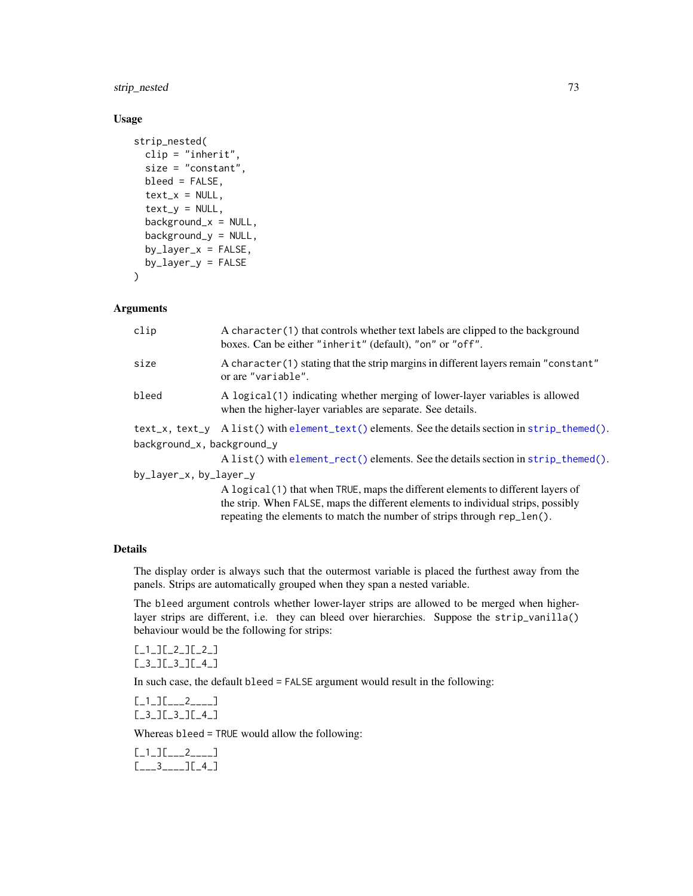<span id="page-72-0"></span>strip\_nested 73

## Usage

```
strip_nested(
 clip = "inherit",
  size = "constant",
 bleed = FALSE,
  text_x = NULL,text_y = NULL,background_x = NULL,
  background_y = NULL,
  by_layer_x = FALSE,
  by_{\text{layer}_y} = FALSE
)
```
#### Arguments

| clip                       | A character (1) that controls whether text labels are clipped to the background<br>boxes. Can be either "inherit" (default), "on" or "off". |  |
|----------------------------|---------------------------------------------------------------------------------------------------------------------------------------------|--|
| size                       | A character (1) stating that the strip margins in different layers remain "constant"<br>or are "variable".                                  |  |
| bleed                      | A logical (1) indicating whether merging of lower-layer variables is allowed<br>when the higher-layer variables are separate. See details.  |  |
|                            | $text_x$ , $text_y$ A list() with element_text() elements. See the details section in strip_themed().                                       |  |
| background_x, background_y |                                                                                                                                             |  |
|                            | A list() with element_rect() elements. See the details section in strip_themed().                                                           |  |
| by_layer_x, by_layer_y     |                                                                                                                                             |  |
|                            | A logical (1) that when TRUE, maps the different elements to different layers of                                                            |  |
|                            | the strip. When FALSE, maps the different elements to individual strips, possibly                                                           |  |
|                            | repeating the elements to match the number of strips through rep_len().                                                                     |  |

#### Details

The display order is always such that the outermost variable is placed the furthest away from the panels. Strips are automatically grouped when they span a nested variable.

The bleed argument controls whether lower-layer strips are allowed to be merged when higherlayer strips are different, i.e. they can bleed over hierarchies. Suppose the strip\_vanilla() behaviour would be the following for strips:

```
[_1_][_2_][_2_]
[_3_][_3_][_4_]
```
In such case, the default bleed = FALSE argument would result in the following:

[\_1\_][\_\_\_2\_\_\_\_] [\_3\_][\_3\_][\_4\_]

Whereas bleed = TRUE would allow the following:

[\_1\_][\_\_\_2\_\_\_\_] [\_\_\_3\_\_\_\_][\_4\_]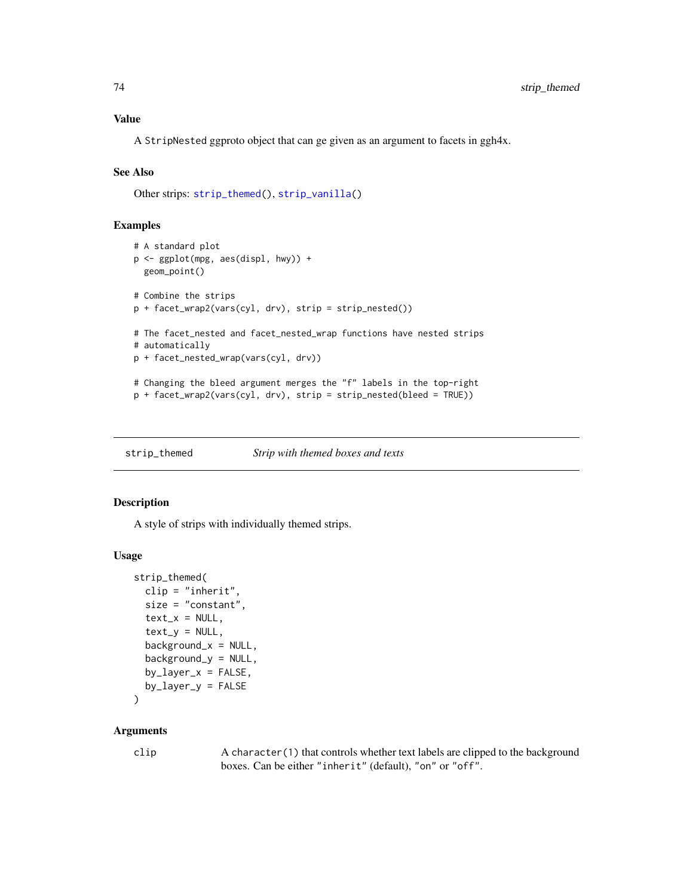<span id="page-73-1"></span>A StripNested ggproto object that can ge given as an argument to facets in ggh4x.

#### See Also

Other strips: [strip\\_themed\(](#page-73-0)), [strip\\_vanilla\(](#page-75-0))

#### Examples

```
# A standard plot
p <- ggplot(mpg, aes(displ, hwy)) +
  geom_point()
# Combine the strips
p + facet_wrap2(vars(cyl, drv), strip = strip_nested())
# The facet_nested and facet_nested_wrap functions have nested strips
# automatically
p + facet_nested_wrap(vars(cyl, drv))
# Changing the bleed argument merges the "f" labels in the top-right
p + facet_wrap2(vars(cyl, drv), strip = strip_nested(bleed = TRUE))
```
<span id="page-73-0"></span>strip\_themed *Strip with themed boxes and texts*

# Description

A style of strips with individually themed strips.

#### Usage

```
strip_themed(
 clip = "inherit",
  size = "constant",
  text_x = NULL,text_y = NULL,backgroundx = NULL,
 background_y = NULL,
 by_layer_x = FALSE,
 by_layer_y = FALSE
\lambda
```
#### Arguments

clip A character(1) that controls whether text labels are clipped to the background boxes. Can be either "inherit" (default), "on" or "off".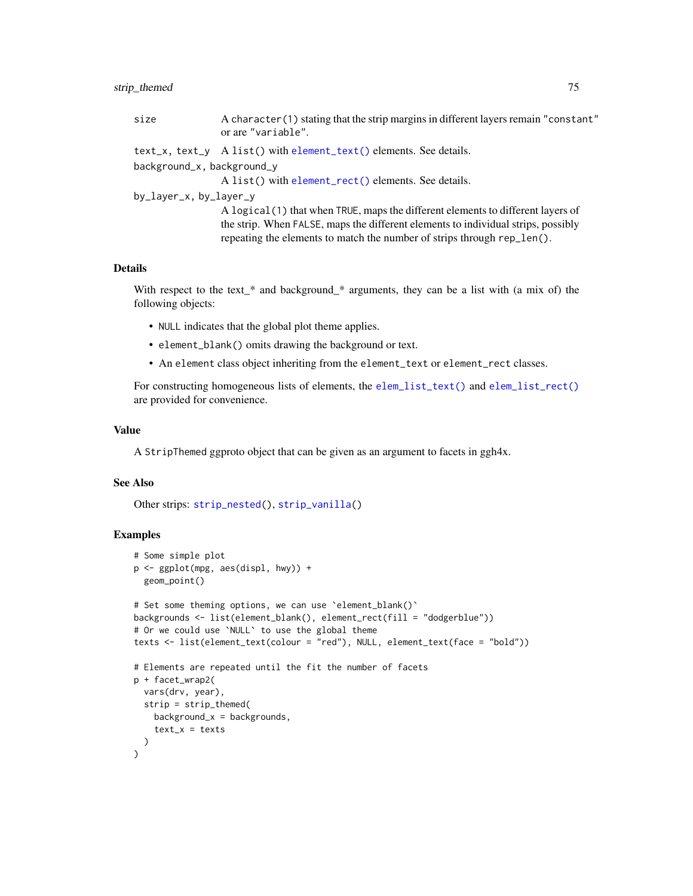# <span id="page-74-0"></span>strip\_themed 75

| size                       | A character (1) stating that the strip margins in different layers remain "constant"<br>or are "variable". |
|----------------------------|------------------------------------------------------------------------------------------------------------|
|                            | $text_x$ , $text_y$ A list() with element_text() elements. See details.                                    |
| background_x, background_y |                                                                                                            |
|                            | A list() with element_rect() elements. See details.                                                        |
| by_layer_x, by_layer_y     |                                                                                                            |
|                            | A logical (1) that when TRUE, maps the different elements to different layers of                           |
|                            | the strip. When FALSE, maps the different elements to individual strips, possibly                          |
|                            | repeating the elements to match the number of strips through rep_len().                                    |

#### Details

With respect to the text\_\* and background\_\* arguments, they can be a list with (a mix of) the following objects:

- NULL indicates that the global plot theme applies.
- element\_blank() omits drawing the background or text.
- An element class object inheriting from the element\_text or element\_rect classes.

For constructing homogeneous lists of elements, the [elem\\_list\\_text\(\)](#page-2-0) and [elem\\_list\\_rect\(\)](#page-2-0) are provided for convenience.

#### Value

A StripThemed ggproto object that can be given as an argument to facets in ggh4x.

# See Also

Other strips: [strip\\_nested\(](#page-71-0)), [strip\\_vanilla\(](#page-75-0))

# Examples

```
# Some simple plot
p <- ggplot(mpg, aes(displ, hwy)) +
  geom_point()
# Set some theming options, we can use 'element_blank()'
backgrounds <- list(element_blank(), element_rect(fill = "dodgerblue"))
# Or we could use `NULL` to use the global theme
texts <- list(element_text(colour = "red"), NULL, element_text(face = "bold"))
# Elements are repeated until the fit the number of facets
p + facet_wrap2(
  vars(drv, year),
  strip = strip_themed(
   background_x = backgrounds,
    text_x = texts)
\mathcal{L}
```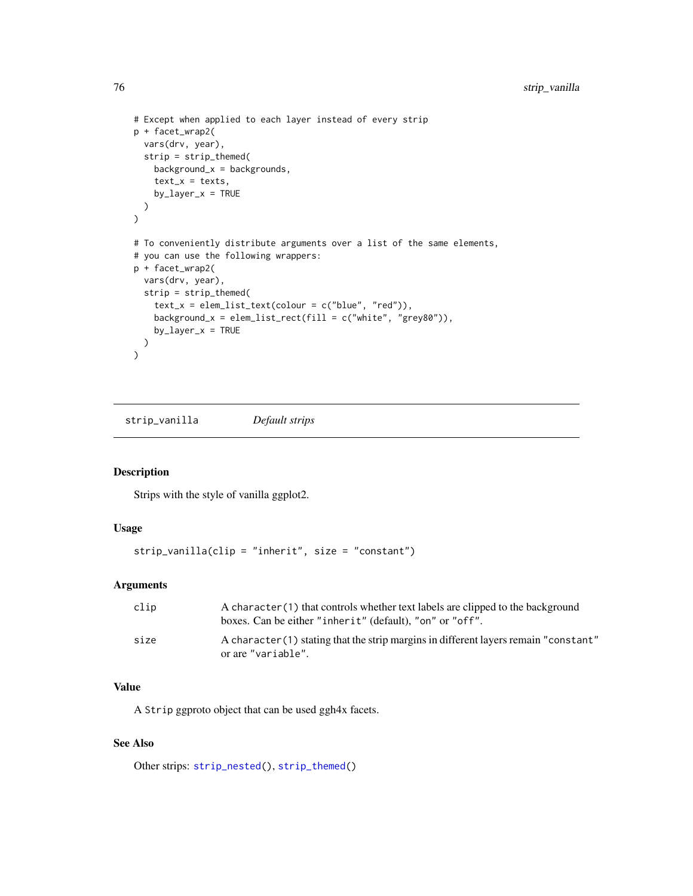```
# Except when applied to each layer instead of every strip
p + facet_wrap2(
 vars(drv, year),
 strip = strip_themed(
   background_x = background,
    text_x = texts,by_layer_x = TRUE)
\mathcal{L}# To conveniently distribute arguments over a list of the same elements,
# you can use the following wrappers:
p + facet_wrap2(
  vars(drv, year),
  strip = strip_themed(
    text_x = elementList_test(colour = c("blue", "red")),
    background_x = elem_list_rect(fill = c("white", "grey80")),
    by_layer_x = TRUE)
\mathcal{L}
```
<span id="page-75-0"></span>strip\_vanilla *Default strips*

## Description

Strips with the style of vanilla ggplot2.

# Usage

```
strip_vanilla(clip = "inherit", size = "constant")
```
# Arguments

| clip | A character (1) that controls whether text labels are clipped to the background<br>boxes. Can be either "inherit" (default), "on" or "off". |
|------|---------------------------------------------------------------------------------------------------------------------------------------------|
| size | A character (1) stating that the strip margins in different layers remain "constant"<br>or are "variable".                                  |

#### Value

A Strip ggproto object that can be used ggh4x facets.

#### See Also

Other strips: [strip\\_nested\(](#page-71-0)), [strip\\_themed\(](#page-73-0))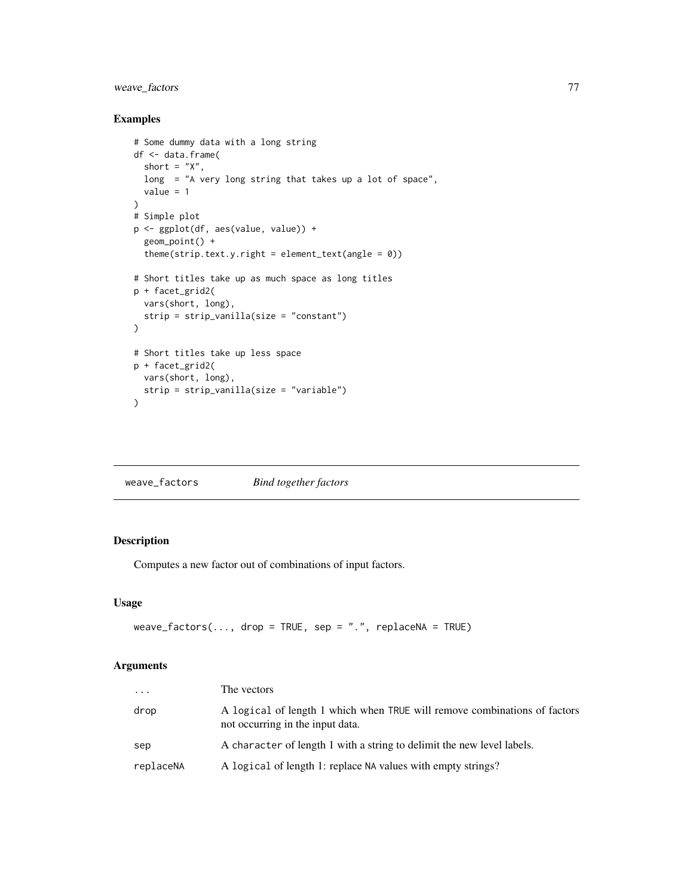# <span id="page-76-0"></span>weave\_factors 77

# Examples

```
# Some dummy data with a long string
df <- data.frame(
  short = "X",long = "A very long string that takes up a lot of space",
  value = 1
)
# Simple plot
p <- ggplot(df, aes(value, value)) +
 geom_point() +
  theme(strip.text.y.right = element_test(range = 0)# Short titles take up as much space as long titles
p + facet_grid2(
  vars(short, long),
  strip = strip_vanilla(size = "constant")
)
# Short titles take up less space
p + facet_grid2(
 vars(short, long),
  strip = strip_vanilla(size = "variable")
\mathcal{L}
```
weave\_factors *Bind together factors*

# Description

Computes a new factor out of combinations of input factors.

#### Usage

```
weave_factors(..., drop = TRUE, sep = ".", replaceNA = TRUE)
```
#### Arguments

| .         | The vectors                                                                                                   |
|-----------|---------------------------------------------------------------------------------------------------------------|
| drop      | A logical of length 1 which when TRUE will remove combinations of factors<br>not occurring in the input data. |
| sep       | A character of length 1 with a string to delimit the new level labels.                                        |
| replaceNA | A logical of length 1: replace NA values with empty strings?                                                  |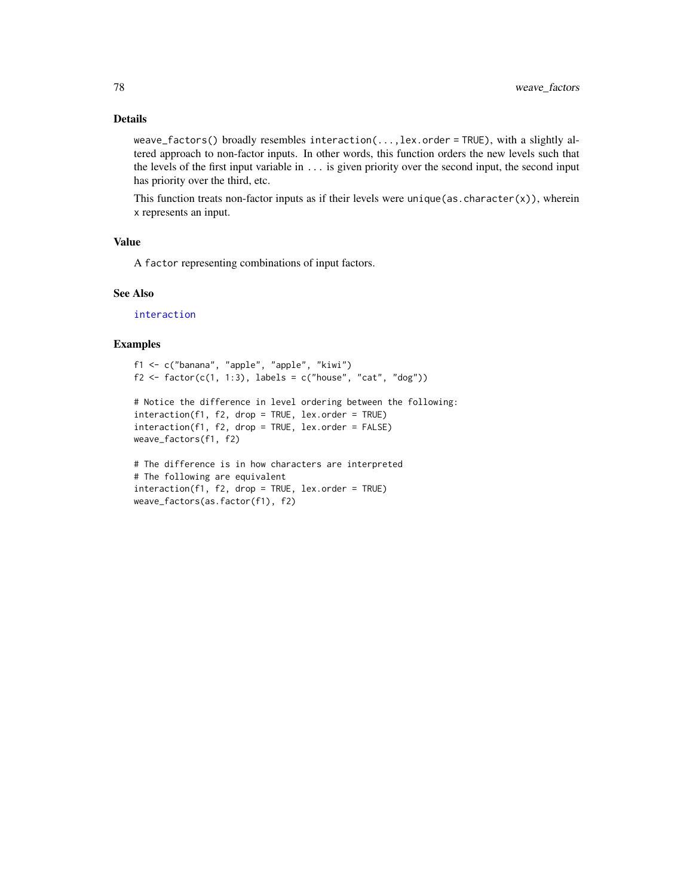#### <span id="page-77-0"></span>Details

weave\_factors() broadly resembles interaction(...,lex.order = TRUE), with a slightly altered approach to non-factor inputs. In other words, this function orders the new levels such that the levels of the first input variable in ... is given priority over the second input, the second input has priority over the third, etc.

This function treats non-factor inputs as if their levels were unique(as.character(x)), wherein x represents an input.

# Value

A factor representing combinations of input factors.

# See Also

[interaction](#page-0-0)

# Examples

```
f1 <- c("banana", "apple", "apple", "kiwi")
f2 \leftarrow factor(c(1, 1:3), labels = c("house", "cat", "dog"))# Notice the difference in level ordering between the following:
interaction(f1, f2, drop = TRUE, lex.order = TRUE)
interaction(f1, f2, drop = TRUE, lex.order = FALSE)
weave_factors(f1, f2)
# The difference is in how characters are interpreted
# The following are equivalent
```
interaction(f1, f2, drop = TRUE, lex.order = TRUE)

weave\_factors(as.factor(f1), f2)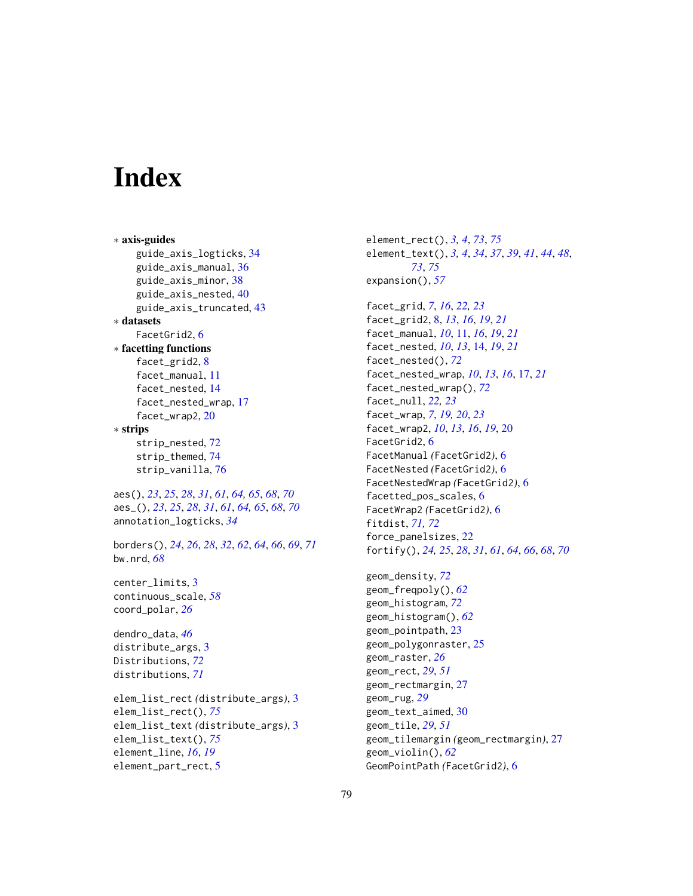# **Index**

∗ axis-guides guide\_axis\_logticks, [34](#page-33-0) guide\_axis\_manual, [36](#page-35-0) guide\_axis\_minor, [38](#page-37-0) guide\_axis\_nested, [40](#page-39-0) guide\_axis\_truncated, [43](#page-42-0) ∗ datasets FacetGrid2, [6](#page-5-0) ∗ facetting functions facet\_grid2, [8](#page-7-0) facet\_manual, [11](#page-10-0) facet\_nested, [14](#page-13-0) facet\_nested\_wrap, [17](#page-16-0) facet\_wrap2, [20](#page-19-0) ∗ strips strip\_nested, [72](#page-71-1) strip\_themed, [74](#page-73-1) strip\_vanilla, [76](#page-75-1) aes(), *[23](#page-22-0)*, *[25](#page-24-0)*, *[28](#page-27-0)*, *[31](#page-30-0)*, *[61](#page-60-0)*, *[64,](#page-63-0) [65](#page-64-0)*, *[68](#page-67-0)*, *[70](#page-69-0)* aes\_(), *[23](#page-22-0)*, *[25](#page-24-0)*, *[28](#page-27-0)*, *[31](#page-30-0)*, *[61](#page-60-0)*, *[64,](#page-63-0) [65](#page-64-0)*, *[68](#page-67-0)*, *[70](#page-69-0)* annotation\_logticks, *[34](#page-33-0)* borders(), *[24](#page-23-0)*, *[26](#page-25-0)*, *[28](#page-27-0)*, *[32](#page-31-0)*, *[62](#page-61-0)*, *[64](#page-63-0)*, *[66](#page-65-0)*, *[69](#page-68-0)*, *[71](#page-70-0)* bw.nrd, *[68](#page-67-0)* center\_limits, [3](#page-2-1) continuous\_scale, *[58](#page-57-0)* coord\_polar, *[26](#page-25-0)* dendro\_data, *[46](#page-45-0)* distribute\_args, [3](#page-2-1) Distributions, *[72](#page-71-1)* distributions, *[71](#page-70-0)* elem\_list\_rect *(*distribute\_args*)*, [3](#page-2-1) elem\_list\_rect(), *[75](#page-74-0)* elem\_list\_text *(*distribute\_args*)*, [3](#page-2-1) elem\_list\_text(), *[75](#page-74-0)* element\_line, *[16](#page-15-0)*, *[19](#page-18-0)* element\_part\_rect, [5](#page-4-0)

element\_rect(), *[3,](#page-2-1) [4](#page-3-0)*, *[73](#page-72-0)*, *[75](#page-74-0)* element\_text(), *[3,](#page-2-1) [4](#page-3-0)*, *[34](#page-33-0)*, *[37](#page-36-0)*, *[39](#page-38-0)*, *[41](#page-40-0)*, *[44](#page-43-0)*, *[48](#page-47-0)*, *[73](#page-72-0)*, *[75](#page-74-0)* expansion(), *[57](#page-56-0)*

facet\_grid, *[7](#page-6-0)*, *[16](#page-15-0)*, *[22,](#page-21-0) [23](#page-22-0)* facet\_grid2, [8,](#page-7-0) *[13](#page-12-0)*, *[16](#page-15-0)*, *[19](#page-18-0)*, *[21](#page-20-0)* facet\_manual, *[10](#page-9-0)*, [11,](#page-10-0) *[16](#page-15-0)*, *[19](#page-18-0)*, *[21](#page-20-0)* facet\_nested, *[10](#page-9-0)*, *[13](#page-12-0)*, [14,](#page-13-0) *[19](#page-18-0)*, *[21](#page-20-0)* facet\_nested(), *[72](#page-71-1)* facet\_nested\_wrap, *[10](#page-9-0)*, *[13](#page-12-0)*, *[16](#page-15-0)*, [17,](#page-16-0) *[21](#page-20-0)* facet\_nested\_wrap(), *[72](#page-71-1)* facet\_null, *[22,](#page-21-0) [23](#page-22-0)* facet\_wrap, *[7](#page-6-0)*, *[19,](#page-18-0) [20](#page-19-0)*, *[23](#page-22-0)* facet\_wrap2, *[10](#page-9-0)*, *[13](#page-12-0)*, *[16](#page-15-0)*, *[19](#page-18-0)*, [20](#page-19-0) FacetGrid2, [6](#page-5-0) FacetManual *(*FacetGrid2*)*, [6](#page-5-0) FacetNested *(*FacetGrid2*)*, [6](#page-5-0) FacetNestedWrap *(*FacetGrid2*)*, [6](#page-5-0) facetted\_pos\_scales, [6](#page-5-0) FacetWrap2 *(*FacetGrid2*)*, [6](#page-5-0) fitdist, *[71,](#page-70-0) [72](#page-71-1)* force\_panelsizes, [22](#page-21-0) fortify(), *[24,](#page-23-0) [25](#page-24-0)*, *[28](#page-27-0)*, *[31](#page-30-0)*, *[61](#page-60-0)*, *[64](#page-63-0)*, *[66](#page-65-0)*, *[68](#page-67-0)*, *[70](#page-69-0)*

geom\_density, *[72](#page-71-1)* geom\_freqpoly(), *[62](#page-61-0)* geom\_histogram, *[72](#page-71-1)* geom\_histogram(), *[62](#page-61-0)* geom\_pointpath, [23](#page-22-0) geom\_polygonraster, [25](#page-24-0) geom\_raster, *[26](#page-25-0)* geom\_rect, *[29](#page-28-0)*, *[51](#page-50-0)* geom\_rectmargin, [27](#page-26-0) geom\_rug, *[29](#page-28-0)* geom\_text\_aimed, [30](#page-29-0) geom\_tile, *[29](#page-28-0)*, *[51](#page-50-0)* geom\_tilemargin *(*geom\_rectmargin*)*, [27](#page-26-0) geom\_violin(), *[62](#page-61-0)* GeomPointPath *(*FacetGrid2*)*, [6](#page-5-0)